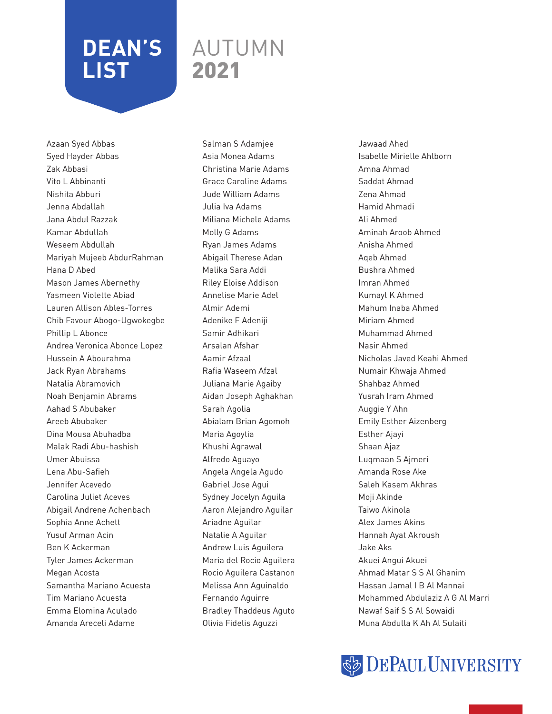### AUTUMN 2021

Azaan Syed Abbas Syed Hayder Abbas Zak Abbasi Vito L Abbinanti Nishita Abburi Jenna Abdallah Jana Abdul Razzak Kamar Abdullah Weseem Abdullah Mariyah Mujeeb AbdurRahman Hana D Abed Mason James Abernethy Yasmeen Violette Abiad Lauren Allison Ables-Torres Chib Favour Abogo-Ugwokegbe Phillip L Abonce Andrea Veronica Abonce Lopez Hussein A Abourahma Jack Ryan Abrahams Natalia Abramovich Noah Benjamin Abrams Aahad S Abubaker Areeb Abubaker Dina Mousa Abuhadba Malak Radi Abu-hashish Umer Abuissa Lena Abu-Safieh Jennifer Acevedo Carolina Juliet Aceves Abigail Andrene Achenbach Sophia Anne Achett Yusuf Arman Acin Ben K Ackerman Tyler James Ackerman Megan Acosta Samantha Mariano Acuesta Tim Mariano Acuesta Emma Elomina Aculado Amanda Areceli Adame

Salman S Adamjee Asia Monea Adams Christina Marie Adams Grace Caroline Adams Jude William Adams Julia Iva Adams Miliana Michele Adams Molly G Adams Ryan James Adams Abigail Therese Adan Malika Sara Addi Riley Eloise Addison Annelise Marie Adel Almir Ademi Adenike F Adeniji Samir Adhikari Arsalan Afshar Aamir Afzaal Rafia Waseem Afzal Juliana Marie Agaiby Aidan Joseph Aghakhan Sarah Agolia Abialam Brian Agomoh Maria Agoytia Khushi Agrawal Alfredo Aguayo Angela Angela Agudo Gabriel Jose Agui Sydney Jocelyn Aguila Aaron Alejandro Aguilar Ariadne Aguilar Natalie A Aguilar Andrew Luis Aguilera Maria del Rocio Aguilera Rocio Aguilera Castanon Melissa Ann Aguinaldo Fernando Aguirre Bradley Thaddeus Aguto Olivia Fidelis Aguzzi

Jawaad Ahed Isabelle Mirielle Ahlborn Amna Ahmad Saddat Ahmad Zena Ahmad Hamid Ahmadi Ali Ahmed Aminah Aroob Ahmed Anisha Ahmed Aqeb Ahmed Bushra Ahmed Imran Ahmed Kumayl K Ahmed Mahum Inaba Ahmed Miriam Ahmed Muhammad Ahmed Nasir Ahmed Nicholas Javed Keahi Ahmed Numair Khwaja Ahmed Shahbaz Ahmed Yusrah Iram Ahmed Auggie Y Ahn Emily Esther Aizenberg Esther Ajayi Shaan Ajaz Luqmaan S Ajmeri Amanda Rose Ake Saleh Kasem Akhras Moji Akinde Taiwo Akinola Alex James Akins Hannah Ayat Akroush Jake Aks Akuei Angui Akuei Ahmad Matar S S Al Ghanim Hassan Jamal I B Al Mannai Mohammed Abdulaziz A G Al Marri Nawaf Saif S S Al Sowaidi Muna Abdulla K Ah Al Sulaiti

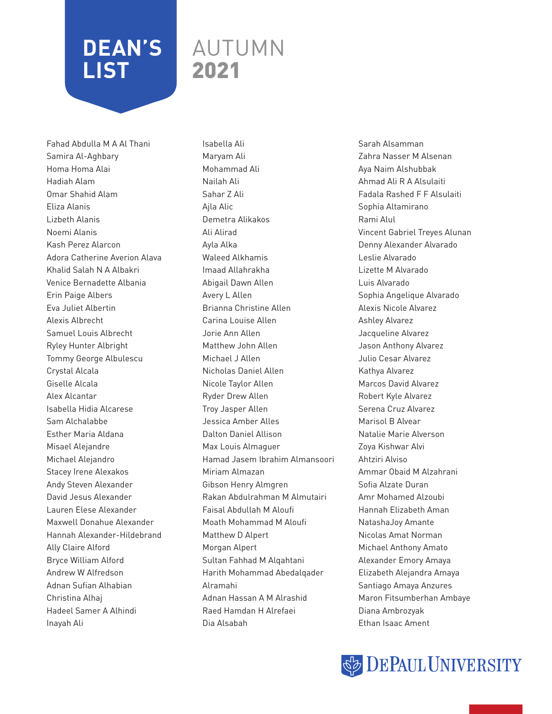### AUTUMN 2021

Fahad Abdulla M A Al Thani Samira Al-Aghbary Homa Homa Alai Hadiah Alam Omar Shahid Alam Eliza Alanis Lizbeth Alanis Noemi Alanis Kash Perez Alarcon Adora Catherine Averion Alava Khalid Salah N A Albakri Venice Bernadette Albania Erin Paige Albers Eva Juliet Albertin Alexis Albrecht Samuel Louis Albrecht Ryley Hunter Albright Tommy George Albulescu Crystal Alcala Giselle Alcala Alex Alcantar Isabella Hidia Alcarese Sam Alchalabbe Esther Maria Aldana Misael Alejandre Michael Alejandro Stacey Irene Alexakos Andy Steven Alexander David Jesus Alexander Lauren Elese Alexander Maxwell Donahue Alexander Hannah Alexander-Hildebrand Ally Claire Alford Bryce William Alford Andrew W Alfredson Adnan Sufian Alhabian Christina Alhaj Hadeel Samer A Alhindi Inayah Ali

Isabella Ali Maryam Ali Mohammad Ali Nailah Ali Sahar Z Ali Ajla Alic Demetra Alikakos Ali Alirad Ayla Alka Waleed Alkhamis Imaad Allahrakha Abigail Dawn Allen Avery L Allen Brianna Christine Allen Carina Louise Allen Jorie Ann Allen Matthew John Allen Michael J Allen Nicholas Daniel Allen Nicole Taylor Allen Ryder Drew Allen Troy Jasper Allen Jessica Amber Alles Dalton Daniel Allison Max Louis Almaguer Hamad Jasem Ibrahim Almansoori Miriam Almazan Gibson Henry Almgren Rakan Abdulrahman M Almutairi Faisal Abdullah M Aloufi Moath Mohammad M Aloufi Matthew D Alpert Morgan Alpert Sultan Fahhad M Alqahtani Harith Mohammad Abedalqader Alramahi Adnan Hassan A M Alrashid Raed Hamdan H Alrefaei Dia Alsabah

Sarah Alsamman Zahra Nasser M Alsenan Aya Naim Alshubbak Ahmad Ali R A Alsulaiti Fadala Rashed F F Alsulaiti Sophia Altamirano Rami Alul Vincent Gabriel Treyes Alunan Denny Alexander Alvarado Leslie Alvarado Lizette M Alvarado Luis Alvarado Sophia Angelique Alvarado Alexis Nicole Alvarez Ashley Alvarez Jacqueline Alvarez Jason Anthony Alvarez Julio Cesar Alvarez Kathya Alvarez Marcos David Alvarez Robert Kyle Alvarez Serena Cruz Alvarez Marisol B Alvear Natalie Marie Alverson Zoya Kishwar Alvi Ahtziri Alviso Ammar Obaid M Alzahrani Sofia Alzate Duran Amr Mohamed Alzoubi Hannah Elizabeth Aman NatashaJoy Amante Nicolas Amat Norman Michael Anthony Amato Alexander Emory Amaya Elizabeth Alejandra Amaya Santiago Amaya Anzures Maron Fitsumberhan Ambaye Diana Ambrozyak Ethan Isaac Ament

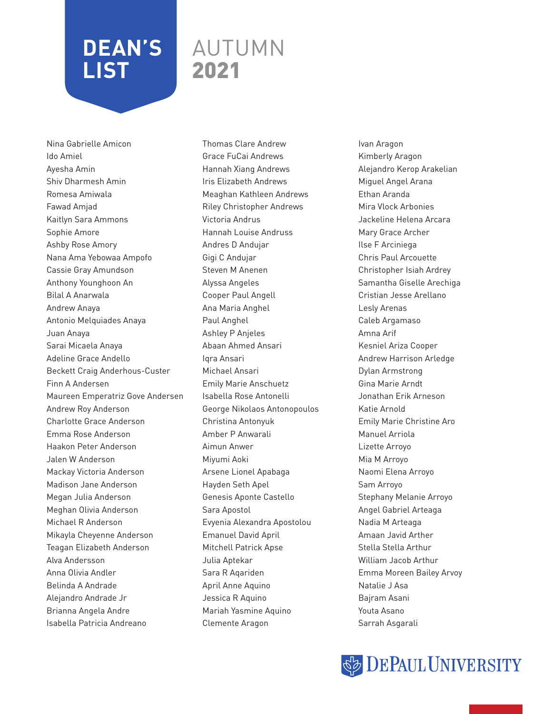### AUTUMN 2021

Nina Gabrielle Amicon Ido Amiel Ayesha Amin Shiv Dharmesh Amin Romesa Amiwala Fawad Amjad Kaitlyn Sara Ammons Sophie Amore Ashby Rose Amory Nana Ama Yebowaa Ampofo Cassie Gray Amundson Anthony Younghoon An Bilal A Anarwala Andrew Anaya Antonio Melquiades Anaya Juan Anaya Sarai Micaela Anaya Adeline Grace Andello Beckett Craig Anderhous-Custer Finn A Andersen Maureen Emperatriz Gove Andersen Andrew Roy Anderson Charlotte Grace Anderson Emma Rose Anderson Haakon Peter Anderson Jalen W Anderson Mackay Victoria Anderson Madison Jane Anderson Megan Julia Anderson Meghan Olivia Anderson Michael R Anderson Mikayla Cheyenne Anderson Teagan Elizabeth Anderson Alva Andersson Anna Olivia Andler Belinda A Andrade Alejandro Andrade Jr Brianna Angela Andre Isabella Patricia Andreano

Thomas Clare Andrew Grace FuCai Andrews Hannah Xiang Andrews Iris Elizabeth Andrews Meaghan Kathleen Andrews Riley Christopher Andrews Victoria Andrus Hannah Louise Andruss Andres D Andujar Gigi C Andujar Steven M Anenen Alyssa Angeles Cooper Paul Angell Ana Maria Anghel Paul Anghel Ashley P Anjeles Abaan Ahmed Ansari Iqra Ansari Michael Ansari Emily Marie Anschuetz Isabella Rose Antonelli George Nikolaos Antonopoulos Christina Antonyuk Amber P Anwarali Aimun Anwer Miyumi Aoki Arsene Lionel Apabaga Hayden Seth Apel Genesis Aponte Castello Sara Apostol Evyenia Alexandra Apostolou Emanuel David April Mitchell Patrick Apse Julia Aptekar Sara R Aqariden April Anne Aquino Jessica R Aquino Mariah Yasmine Aquino Clemente Aragon

Ivan Aragon Kimberly Aragon Alejandro Kerop Arakelian Miguel Angel Arana Ethan Aranda Mira Vlock Arbonies Jackeline Helena Arcara Mary Grace Archer Ilse F Arciniega Chris Paul Arcouette Christopher Isiah Ardrey Samantha Giselle Arechiga Cristian Jesse Arellano Lesly Arenas Caleb Argamaso Amna Arif Kesniel Ariza Cooper Andrew Harrison Arledge Dylan Armstrong Gina Marie Arndt Jonathan Erik Arneson Katie Arnold Emily Marie Christine Aro Manuel Arriola Lizette Arroyo Mia M Arroyo Naomi Elena Arroyo Sam Arroyo Stephany Melanie Arroyo Angel Gabriel Arteaga Nadia M Arteaga Amaan Javid Arther Stella Stella Arthur William Jacob Arthur Emma Moreen Bailey Arvoy Natalie J Asa Bajram Asani Youta Asano Sarrah Asgarali

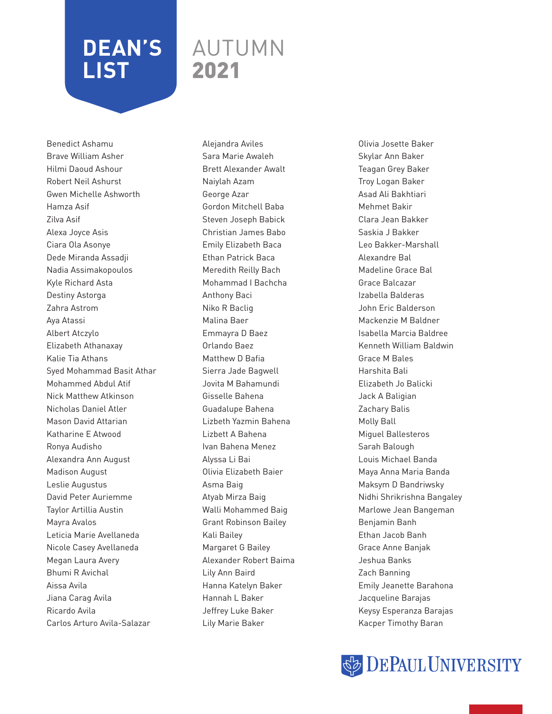### AUTUMN 2021

Benedict Ashamu Brave William Asher Hilmi Daoud Ashour Robert Neil Ashurst Gwen Michelle Ashworth Hamza Asif Zilva Asif Alexa Joyce Asis Ciara Ola Asonye Dede Miranda Assadji Nadia Assimakopoulos Kyle Richard Asta Destiny Astorga Zahra Astrom Aya Atassi Albert Atczylo Elizabeth Athanaxay Kalie Tia Athans Syed Mohammad Basit Athar Mohammed Abdul Atif Nick Matthew Atkinson Nicholas Daniel Atler Mason David Attarian Katharine E Atwood Ronya Audisho Alexandra Ann August Madison August Leslie Augustus David Peter Auriemme Taylor Artillia Austin Mayra Avalos Leticia Marie Avellaneda Nicole Casey Avellaneda Megan Laura Avery Bhumi R Avichal Aissa Avila Jiana Carag Avila Ricardo Avila Carlos Arturo Avila-Salazar

Alejandra Aviles Sara Marie Awaleh Brett Alexander Awalt Naiylah Azam George Azar Gordon Mitchell Baba Steven Joseph Babick Christian James Babo Emily Elizabeth Baca Ethan Patrick Baca Meredith Reilly Bach Mohammad I Bachcha Anthony Baci Niko R Baclig Malina Baer Emmayra D Baez Orlando Baez Matthew D Bafia Sierra Jade Bagwell Jovita M Bahamundi Gisselle Bahena Guadalupe Bahena Lizbeth Yazmin Bahena Lizbett A Bahena Ivan Bahena Menez Alyssa Li Bai Olivia Elizabeth Baier Asma Baig Atyab Mirza Baig Walli Mohammed Baig Grant Robinson Bailey Kali Bailey Margaret G Bailey Alexander Robert Baima Lily Ann Baird Hanna Katelyn Baker Hannah L Baker Jeffrey Luke Baker Lily Marie Baker

Olivia Josette Baker Skylar Ann Baker Teagan Grey Baker Troy Logan Baker Asad Ali Bakhtiari Mehmet Bakir Clara Jean Bakker Saskia J Bakker Leo Bakker-Marshall Alexandre Bal Madeline Grace Bal Grace Balcazar Izabella Balderas John Eric Balderson Mackenzie M Baldner Isabella Marcia Baldree Kenneth William Baldwin Grace M Bales Harshita Bali Elizabeth Jo Balicki Jack A Baligian Zachary Balis Molly Ball Miguel Ballesteros Sarah Balough Louis Michael Banda Maya Anna Maria Banda Maksym D Bandriwsky Nidhi Shrikrishna Bangaley Marlowe Jean Bangeman Benjamin Banh Ethan Jacob Banh Grace Anne Banjak Jeshua Banks Zach Banning Emily Jeanette Barahona Jacqueline Barajas Keysy Esperanza Barajas Kacper Timothy Baran

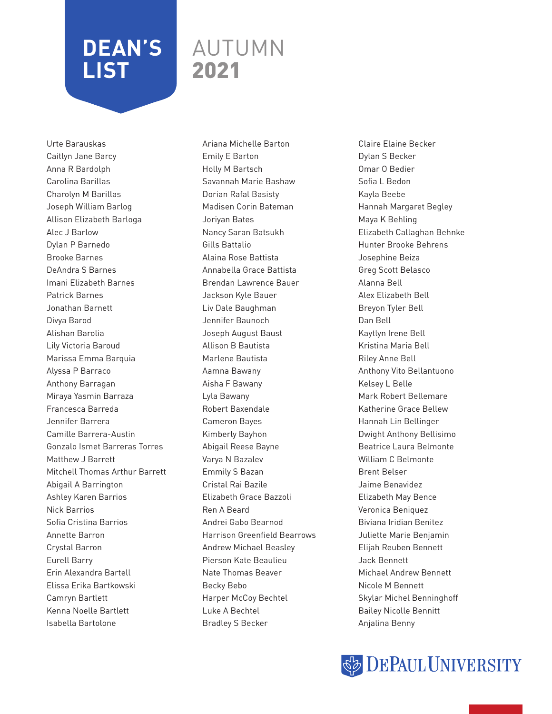### AUTUMN 2021

Urte Barauskas Caitlyn Jane Barcy Anna R Bardolph Carolina Barillas Charolyn M Barillas Joseph William Barlog Allison Elizabeth Barloga Alec J Barlow Dylan P Barnedo Brooke Barnes DeAndra S Barnes Imani Elizabeth Barnes Patrick Barnes Jonathan Barnett Divya Barod Alishan Barolia Lily Victoria Baroud Marissa Emma Barquia Alyssa P Barraco Anthony Barragan Miraya Yasmin Barraza Francesca Barreda Jennifer Barrera Camille Barrera-Austin Gonzalo Ismet Barreras Torres Matthew J Barrett Mitchell Thomas Arthur Barrett Abigail A Barrington Ashley Karen Barrios Nick Barrios Sofia Cristina Barrios Annette Barron Crystal Barron Eurell Barry Erin Alexandra Bartell Elissa Erika Bartkowski Camryn Bartlett Kenna Noelle Bartlett Isabella Bartolone

Ariana Michelle Barton Emily E Barton Holly M Bartsch Savannah Marie Bashaw Dorian Rafal Basisty Madisen Corin Bateman Joriyan Bates Nancy Saran Batsukh Gills Battalio Alaina Rose Battista Annabella Grace Battista Brendan Lawrence Bauer Jackson Kyle Bauer Liv Dale Baughman Jennifer Baunoch Joseph August Baust Allison B Bautista Marlene Bautista Aamna Bawany Aisha F Bawany Lyla Bawany Robert Baxendale Cameron Bayes Kimberly Bayhon Abigail Reese Bayne Varya N Bazalev Emmily S Bazan Cristal Rai Bazile Elizabeth Grace Bazzoli Ren A Beard Andrei Gabo Bearnod Harrison Greenfield Bearrows Andrew Michael Beasley Pierson Kate Beaulieu Nate Thomas Beaver Becky Bebo Harper McCoy Bechtel Luke A Bechtel Bradley S Becker

Claire Elaine Becker Dylan S Becker Omar O Bedier Sofia L Bedon Kayla Beebe Hannah Margaret Begley Maya K Behling Elizabeth Callaghan Behnke Hunter Brooke Behrens Josephine Beiza Greg Scott Belasco Alanna Bell Alex Elizabeth Bell Breyon Tyler Bell Dan Bell Kaytlyn Irene Bell Kristina Maria Bell Riley Anne Bell Anthony Vito Bellantuono Kelsey L Belle Mark Robert Bellemare Katherine Grace Bellew Hannah Lin Bellinger Dwight Anthony Bellisimo Beatrice Laura Belmonte William C Belmonte Brent Belser Jaime Benavidez Elizabeth May Bence Veronica Beniquez Biviana Iridian Benitez Juliette Marie Benjamin Elijah Reuben Bennett Jack Bennett Michael Andrew Bennett Nicole M Bennett Skylar Michel Benninghoff Bailey Nicolle Bennitt Anjalina Benny

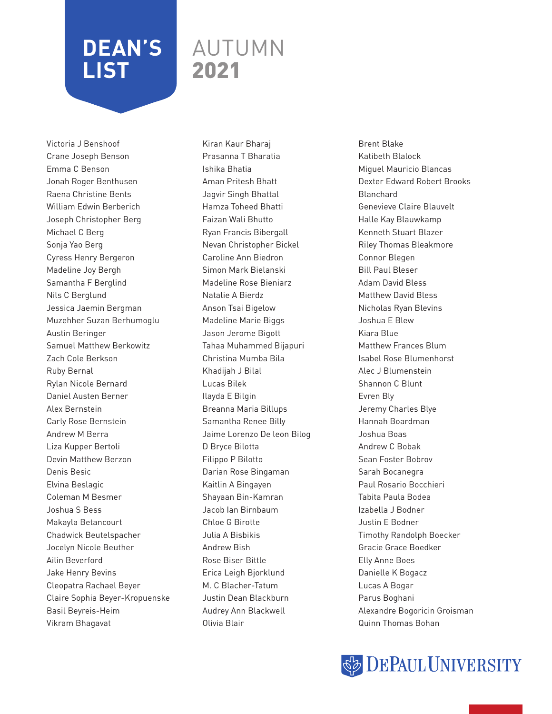### AUTUMN 2021

Victoria J Benshoof Crane Joseph Benson Emma C Benson Jonah Roger Benthusen Raena Christine Bents William Edwin Berberich Joseph Christopher Berg Michael C Berg Sonja Yao Berg Cyress Henry Bergeron Madeline Joy Bergh Samantha F Berglind Nils C Berglund Jessica Jaemin Bergman Muzehher Suzan Berhumoglu Austin Beringer Samuel Matthew Berkowitz Zach Cole Berkson Ruby Bernal Rylan Nicole Bernard Daniel Austen Berner Alex Bernstein Carly Rose Bernstein Andrew M Berra Liza Kupper Bertoli Devin Matthew Berzon Denis Besic Elvina Beslagic Coleman M Besmer Joshua S Bess Makayla Betancourt Chadwick Beutelspacher Jocelyn Nicole Beuther Ailin Beverford Jake Henry Bevins Cleopatra Rachael Beyer Claire Sophia Beyer-Kropuenske Basil Beyreis-Heim Vikram Bhagavat

Kiran Kaur Bharaj Prasanna T Bharatia Ishika Bhatia Aman Pritesh Bhatt Jagvir Singh Bhattal Hamza Toheed Bhatti Faizan Wali Bhutto Ryan Francis Bibergall Nevan Christopher Bickel Caroline Ann Biedron Simon Mark Bielanski Madeline Rose Bieniarz Natalie A Bierdz Anson Tsai Bigelow Madeline Marie Biggs Jason Jerome Bigott Tahaa Muhammed Bijapuri Christina Mumba Bila Khadijah J Bilal Lucas Bilek Ilayda E Bilgin Breanna Maria Billups Samantha Renee Billy Jaime Lorenzo De leon Bilog D Bryce Bilotta Filippo P Bilotto Darian Rose Bingaman Kaitlin A Bingayen Shayaan Bin-Kamran Jacob Ian Birnbaum Chloe G Birotte Julia A Bisbikis Andrew Bish Rose Biser Bittle Erica Leigh Bjorklund M. C Blacher-Tatum Justin Dean Blackburn Audrey Ann Blackwell Olivia Blair

Brent Blake Katibeth Blalock Miguel Mauricio Blancas Dexter Edward Robert Brooks Blanchard Genevieve Claire Blauvelt Halle Kay Blauwkamp Kenneth Stuart Blazer Riley Thomas Bleakmore Connor Blegen Bill Paul Bleser Adam David Bless Matthew David Bless Nicholas Ryan Blevins Joshua E Blew Kiara Blue Matthew Frances Blum Isabel Rose Blumenhorst Alec J Blumenstein Shannon C Blunt Evren Bly Jeremy Charles Blye Hannah Boardman Joshua Boas Andrew C Bobak Sean Foster Bobrov Sarah Bocanegra Paul Rosario Bocchieri Tabita Paula Bodea Izabella J Bodner Justin E Bodner Timothy Randolph Boecker Gracie Grace Boedker Elly Anne Boes Danielle K Bogacz Lucas A Bogar Parus Boghani Alexandre Bogoricin Groisman Quinn Thomas Bohan

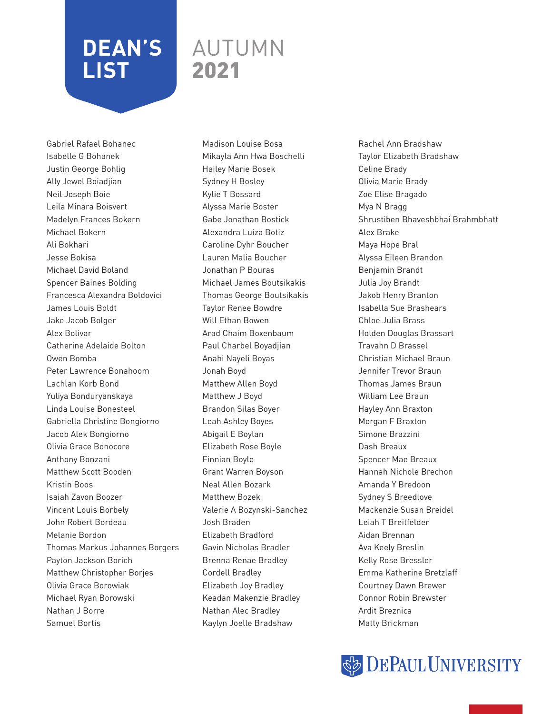### AUTUMN 2021

Gabriel Rafael Bohanec Isabelle G Bohanek Justin George Bohlig Ally Jewel Boiadjian Neil Joseph Boie Leila Minara Boisvert Madelyn Frances Bokern Michael Bokern Ali Bokhari Jesse Bokisa Michael David Boland Spencer Baines Bolding Francesca Alexandra Boldovici James Louis Boldt Jake Jacob Bolger Alex Bolivar Catherine Adelaide Bolton Owen Bomba Peter Lawrence Bonahoom Lachlan Korb Bond Yuliya Bonduryanskaya Linda Louise Bonesteel Gabriella Christine Bongiorno Jacob Alek Bongiorno Olivia Grace Bonocore Anthony Bonzani Matthew Scott Booden Kristin Boos Isaiah Zavon Boozer Vincent Louis Borbely John Robert Bordeau Melanie Bordon Thomas Markus Johannes Borgers Payton Jackson Borich Matthew Christopher Borjes Olivia Grace Borowiak Michael Ryan Borowski Nathan J Borre Samuel Bortis

Madison Louise Bosa Mikayla Ann Hwa Boschelli Hailey Marie Bosek Sydney H Bosley Kylie T Bossard Alyssa Marie Boster Gabe Jonathan Bostick Alexandra Luiza Botiz Caroline Dyhr Boucher Lauren Malia Boucher Jonathan P Bouras Michael James Boutsikakis Thomas George Boutsikakis Taylor Renee Bowdre Will Ethan Bowen Arad Chaim Boxenbaum Paul Charbel Boyadjian Anahi Nayeli Boyas Jonah Boyd Matthew Allen Boyd Matthew J Boyd Brandon Silas Boyer Leah Ashley Boyes Abigail E Boylan Elizabeth Rose Boyle Finnian Boyle Grant Warren Boyson Neal Allen Bozark Matthew Bozek Valerie A Bozynski-Sanchez Josh Braden Elizabeth Bradford Gavin Nicholas Bradler Brenna Renae Bradley Cordell Bradley Elizabeth Joy Bradley Keadan Makenzie Bradley Nathan Alec Bradley Kaylyn Joelle Bradshaw

Rachel Ann Bradshaw Taylor Elizabeth Bradshaw Celine Brady Olivia Marie Brady Zoe Elise Bragado Mya N Bragg Shrustiben Bhaveshbhai Brahmbhatt Alex Brake Maya Hope Bral Alyssa Eileen Brandon Benjamin Brandt Julia Joy Brandt Jakob Henry Branton Isabella Sue Brashears Chloe Julia Brass Holden Douglas Brassart Travahn D Brassel Christian Michael Braun Jennifer Trevor Braun Thomas James Braun William Lee Braun Hayley Ann Braxton Morgan F Braxton Simone Brazzini Dash Breaux Spencer Mae Breaux Hannah Nichole Brechon Amanda Y Bredoon Sydney S Breedlove Mackenzie Susan Breidel Leiah T Breitfelder Aidan Brennan Ava Keely Breslin Kelly Rose Bressler Emma Katherine Bretzlaff Courtney Dawn Brewer Connor Robin Brewster Ardit Breznica Matty Brickman

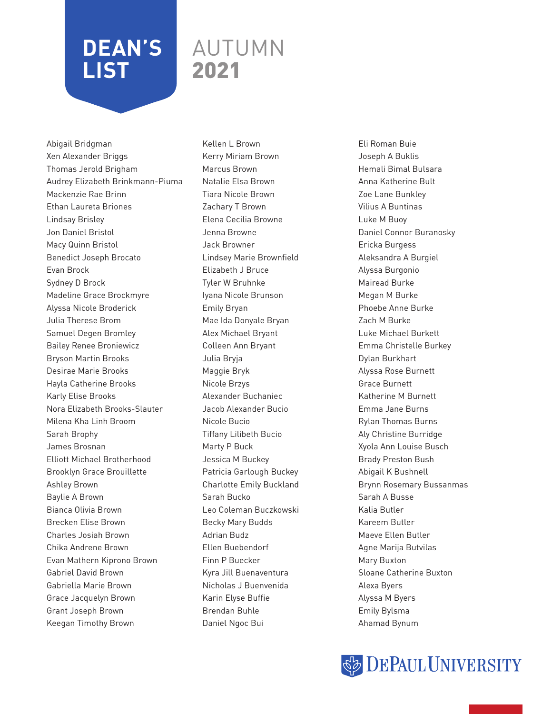### AUTUMN 2021

Abigail Bridgman Xen Alexander Briggs Thomas Jerold Brigham Audrey Elizabeth Brinkmann-Piuma Mackenzie Rae Brinn Ethan Laureta Briones Lindsay Brisley Jon Daniel Bristol Macy Quinn Bristol Benedict Joseph Brocato Evan Brock Sydney D Brock Madeline Grace Brockmyre Alyssa Nicole Broderick Julia Therese Brom Samuel Degen Bromley Bailey Renee Broniewicz Bryson Martin Brooks Desirae Marie Brooks Hayla Catherine Brooks Karly Elise Brooks Nora Elizabeth Brooks-Slauter Milena Kha Linh Broom Sarah Brophy James Brosnan Elliott Michael Brotherhood Brooklyn Grace Brouillette Ashley Brown Baylie A Brown Bianca Olivia Brown Brecken Elise Brown Charles Josiah Brown Chika Andrene Brown Evan Mathern Kiprono Brown Gabriel David Brown Gabriella Marie Brown Grace Jacquelyn Brown Grant Joseph Brown Keegan Timothy Brown

Kellen L Brown Kerry Miriam Brown Marcus Brown Natalie Elsa Brown Tiara Nicole Brown Zachary T Brown Elena Cecilia Browne Jenna Browne Jack Browner Lindsey Marie Brownfield Elizabeth J Bruce Tyler W Bruhnke Iyana Nicole Brunson Emily Bryan Mae Ida Donyale Bryan Alex Michael Bryant Colleen Ann Bryant Julia Bryja Maggie Bryk Nicole Brzys Alexander Buchaniec Jacob Alexander Bucio Nicole Bucio Tiffany Lilibeth Bucio Marty P Buck Jessica M Buckey Patricia Garlough Buckey Charlotte Emily Buckland Sarah Bucko Leo Coleman Buczkowski Becky Mary Budds Adrian Budz Ellen Buebendorf Finn P Buecker Kyra Jill Buenaventura Nicholas J Buenvenida Karin Elyse Buffie Brendan Buhle Daniel Ngoc Bui

Eli Roman Buie Joseph A Buklis Hemali Bimal Bulsara Anna Katherine Bult Zoe Lane Bunkley Vilius A Buntinas Luke M Buoy Daniel Connor Buranosky Ericka Burgess Aleksandra A Burgiel Alyssa Burgonio Mairead Burke Megan M Burke Phoebe Anne Burke Zach M Burke Luke Michael Burkett Emma Christelle Burkey Dylan Burkhart Alyssa Rose Burnett Grace Burnett Katherine M Burnett Emma Jane Burns Rylan Thomas Burns Aly Christine Burridge Xyola Ann Louise Busch Brady Preston Bush Abigail K Bushnell Brynn Rosemary Bussanmas Sarah A Busse Kalia Butler Kareem Butler Maeve Ellen Butler Agne Marija Butvilas Mary Buxton Sloane Catherine Buxton Alexa Byers Alyssa M Byers Emily Bylsma Ahamad Bynum

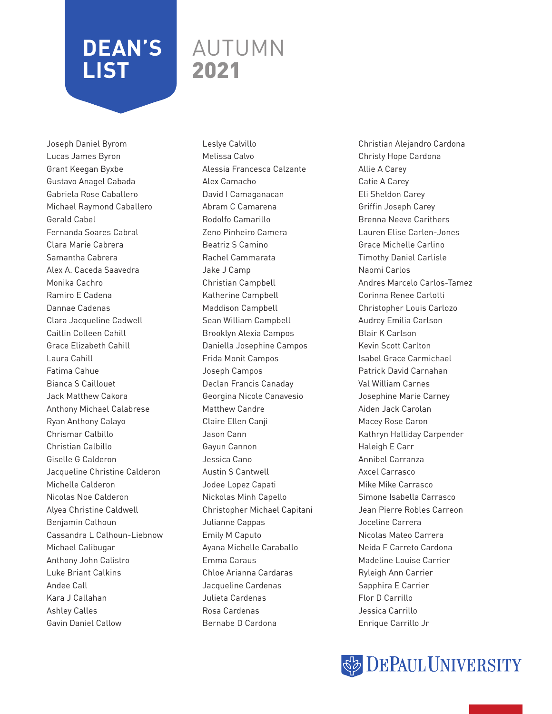### AUTUMN 2021

Joseph Daniel Byrom Lucas James Byron Grant Keegan Byxbe Gustavo Anagel Cabada Gabriela Rose Caballero Michael Raymond Caballero Gerald Cabel Fernanda Soares Cabral Clara Marie Cabrera Samantha Cabrera Alex A. Caceda Saavedra Monika Cachro Ramiro E Cadena Dannae Cadenas Clara Jacqueline Cadwell Caitlin Colleen Cahill Grace Elizabeth Cahill Laura Cahill Fatima Cahue Bianca S Caillouet Jack Matthew Cakora Anthony Michael Calabrese Ryan Anthony Calayo Chrismar Calbillo Christian Calbillo Giselle G Calderon Jacqueline Christine Calderon Michelle Calderon Nicolas Noe Calderon Alyea Christine Caldwell Benjamin Calhoun Cassandra L Calhoun-Liebnow Michael Calibugar Anthony John Calistro Luke Briant Calkins Andee Call Kara J Callahan Ashley Calles Gavin Daniel Callow

Leslye Calvillo Melissa Calvo Alessia Francesca Calzante Alex Camacho David I Camaganacan Abram C Camarena Rodolfo Camarillo Zeno Pinheiro Camera Beatriz S Camino Rachel Cammarata Jake J Camp Christian Campbell Katherine Campbell Maddison Campbell Sean William Campbell Brooklyn Alexia Campos Daniella Josephine Campos Frida Monit Campos Joseph Campos Declan Francis Canaday Georgina Nicole Canavesio Matthew Candre Claire Ellen Canji Jason Cann Gayun Cannon Jessica Cano Austin S Cantwell Jodee Lopez Capati Nickolas Minh Capello Christopher Michael Capitani Julianne Cappas Emily M Caputo Ayana Michelle Caraballo Emma Caraus Chloe Arianna Cardaras Jacqueline Cardenas Julieta Cardenas Rosa Cardenas Bernabe D Cardona

Christian Alejandro Cardona Christy Hope Cardona Allie A Carey Catie A Carey Eli Sheldon Carey Griffin Joseph Carey Brenna Neeve Carithers Lauren Elise Carlen-Jones Grace Michelle Carlino Timothy Daniel Carlisle Naomi Carlos Andres Marcelo Carlos-Tamez Corinna Renee Carlotti Christopher Louis Carlozo Audrey Emilia Carlson Blair K Carlson Kevin Scott Carlton Isabel Grace Carmichael Patrick David Carnahan Val William Carnes Josephine Marie Carney Aiden Jack Carolan Macey Rose Caron Kathryn Halliday Carpender Haleigh E Carr Annibel Carranza Axcel Carrasco Mike Mike Carrasco Simone Isabella Carrasco Jean Pierre Robles Carreon Joceline Carrera Nicolas Mateo Carrera Neida F Carreto Cardona Madeline Louise Carrier Ryleigh Ann Carrier Sapphira E Carrier Flor D Carrillo Jessica Carrillo Enrique Carrillo Jr

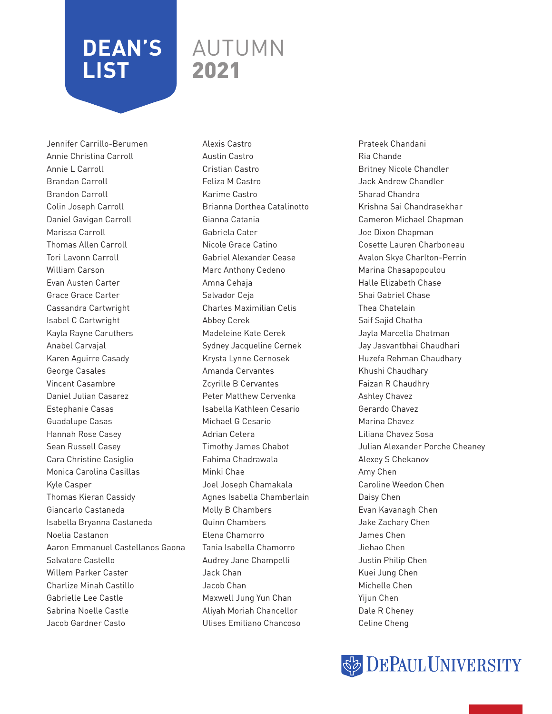### AUTUMN 2021

Jennifer Carrillo-Berumen Annie Christina Carroll Annie L Carroll Brandan Carroll Brandon Carroll Colin Joseph Carroll Daniel Gavigan Carroll Marissa Carroll Thomas Allen Carroll Tori Lavonn Carroll William Carson Evan Austen Carter Grace Grace Carter Cassandra Cartwright Isabel C Cartwright Kayla Rayne Caruthers Anabel Carvajal Karen Aguirre Casady George Casales Vincent Casambre Daniel Julian Casarez Estephanie Casas Guadalupe Casas Hannah Rose Casey Sean Russell Casey Cara Christine Casiglio Monica Carolina Casillas Kyle Casper Thomas Kieran Cassidy Giancarlo Castaneda Isabella Bryanna Castaneda Noelia Castanon Aaron Emmanuel Castellanos Gaona Salvatore Castello Willem Parker Caster Charlize Minah Castillo Gabrielle Lee Castle Sabrina Noelle Castle Jacob Gardner Casto

Alexis Castro Austin Castro Cristian Castro Feliza M Castro Karime Castro Brianna Dorthea Catalinotto Gianna Catania Gabriela Cater Nicole Grace Catino Gabriel Alexander Cease Marc Anthony Cedeno Amna Cehaja Salvador Ceja Charles Maximilian Celis Abbey Cerek Madeleine Kate Cerek Sydney Jacqueline Cernek Krysta Lynne Cernosek Amanda Cervantes Zcyrille B Cervantes Peter Matthew Cervenka Isabella Kathleen Cesario Michael G Cesario Adrian Cetera Timothy James Chabot Fahima Chadrawala Minki Chae Joel Joseph Chamakala Agnes Isabella Chamberlain Molly B Chambers Quinn Chambers Elena Chamorro Tania Isabella Chamorro Audrey Jane Champelli Jack Chan Jacob Chan Maxwell Jung Yun Chan Aliyah Moriah Chancellor Ulises Emiliano Chancoso

Prateek Chandani Ria Chande Britney Nicole Chandler Jack Andrew Chandler Sharad Chandra Krishna Sai Chandrasekhar Cameron Michael Chapman Joe Dixon Chapman Cosette Lauren Charboneau Avalon Skye Charlton-Perrin Marina Chasapopoulou Halle Elizabeth Chase Shai Gabriel Chase Thea Chatelain Saif Sajid Chatha Jayla Marcella Chatman Jay Jasvantbhai Chaudhari Huzefa Rehman Chaudhary Khushi Chaudhary Faizan R Chaudhry Ashley Chavez Gerardo Chavez Marina Chavez Liliana Chavez Sosa Julian Alexander Porche Cheaney Alexey S Chekanov Amy Chen Caroline Weedon Chen Daisy Chen Evan Kavanagh Chen Jake Zachary Chen James Chen Jiehao Chen Justin Philip Chen Kuei Jung Chen Michelle Chen Yijun Chen Dale R Cheney Celine Cheng

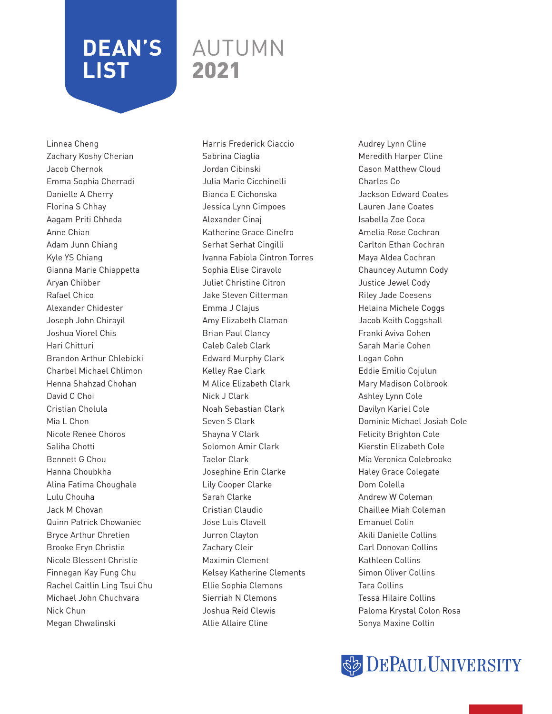### AUTUMN 2021

Linnea Cheng Zachary Koshy Cherian Jacob Chernok Emma Sophia Cherradi Danielle A Cherry Florina S Chhay Aagam Priti Chheda Anne Chian Adam Junn Chiang Kyle YS Chiang Gianna Marie Chiappetta Aryan Chibber Rafael Chico Alexander Chidester Joseph John Chirayil Joshua Viorel Chis Hari Chitturi Brandon Arthur Chlebicki Charbel Michael Chlimon Henna Shahzad Chohan David C Choi Cristian Cholula Mia L Chon Nicole Renee Choros Saliha Chotti Bennett G Chou Hanna Choubkha Alina Fatima Choughale Lulu Chouha Jack M Chovan Quinn Patrick Chowaniec Bryce Arthur Chretien Brooke Eryn Christie Nicole Blessent Christie Finnegan Kay Fung Chu Rachel Caitlin Ling Tsui Chu Michael John Chuchvara Nick Chun Megan Chwalinski

Harris Frederick Ciaccio Sabrina Ciaglia Jordan Cibinski Julia Marie Cicchinelli Bianca E Cichonska Jessica Lynn Cimpoes Alexander Cinaj Katherine Grace Cinefro Serhat Serhat Cingilli Ivanna Fabiola Cintron Torres Sophia Elise Ciravolo Juliet Christine Citron Jake Steven Citterman Emma J Clajus Amy Elizabeth Claman Brian Paul Clancy Caleb Caleb Clark Edward Murphy Clark Kelley Rae Clark M Alice Elizabeth Clark Nick J Clark Noah Sebastian Clark Seven S Clark Shayna V Clark Solomon Amir Clark Taelor Clark Josephine Erin Clarke Lily Cooper Clarke Sarah Clarke Cristian Claudio Jose Luis Clavell Jurron Clayton Zachary Cleir Maximin Clement Kelsey Katherine Clements Ellie Sophia Clemons Sierriah N Clemons Joshua Reid Clewis Allie Allaire Cline

Audrey Lynn Cline Meredith Harper Cline Cason Matthew Cloud Charles Co Jackson Edward Coates Lauren Jane Coates Isabella Zoe Coca Amelia Rose Cochran Carlton Ethan Cochran Maya Aldea Cochran Chauncey Autumn Cody Justice Jewel Cody Riley Jade Coesens Helaina Michele Coggs Jacob Keith Coggshall Franki Aviva Cohen Sarah Marie Cohen Logan Cohn Eddie Emilio Cojulun Mary Madison Colbrook Ashley Lynn Cole Davilyn Kariel Cole Dominic Michael Josiah Cole Felicity Brighton Cole Kierstin Elizabeth Cole Mia Veronica Colebrooke Haley Grace Colegate Dom Colella Andrew W Coleman Chaillee Miah Coleman Emanuel Colin Akili Danielle Collins Carl Donovan Collins Kathleen Collins Simon Oliver Collins Tara Collins Tessa Hilaire Collins Paloma Krystal Colon Rosa Sonya Maxine Coltin

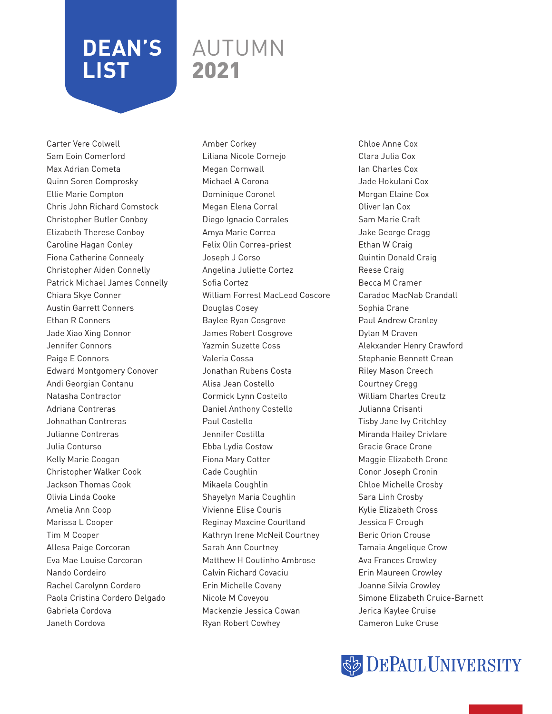### AUTUMN 2021

Carter Vere Colwell Sam Eoin Comerford Max Adrian Cometa Quinn Soren Comprosky Ellie Marie Compton Chris John Richard Comstock Christopher Butler Conboy Elizabeth Therese Conboy Caroline Hagan Conley Fiona Catherine Conneely Christopher Aiden Connelly Patrick Michael James Connelly Chiara Skye Conner Austin Garrett Conners Ethan R Conners Jade Xiao Xing Connor Jennifer Connors Paige E Connors Edward Montgomery Conover Andi Georgian Contanu Natasha Contractor Adriana Contreras Johnathan Contreras Julianne Contreras Julia Conturso Kelly Marie Coogan Christopher Walker Cook Jackson Thomas Cook Olivia Linda Cooke Amelia Ann Coop Marissa L Cooper Tim M Cooper Allesa Paige Corcoran Eva Mae Louise Corcoran Nando Cordeiro Rachel Carolynn Cordero Paola Cristina Cordero Delgado Gabriela Cordova Janeth Cordova

Amber Corkey Liliana Nicole Cornejo Megan Cornwall Michael A Corona Dominique Coronel Megan Elena Corral Diego Ignacio Corrales Amya Marie Correa Felix Olin Correa-priest Joseph J Corso Angelina Juliette Cortez Sofia Cortez William Forrest MacLeod Coscore Douglas Cosey Baylee Ryan Cosgrove James Robert Cosgrove Yazmin Suzette Coss Valeria Cossa Jonathan Rubens Costa Alisa Jean Costello Cormick Lynn Costello Daniel Anthony Costello Paul Costello Jennifer Costilla Ebba Lydia Costow Fiona Mary Cotter Cade Coughlin Mikaela Coughlin Shayelyn Maria Coughlin Vivienne Elise Couris Reginay Maxcine Courtland Kathryn Irene McNeil Courtney Sarah Ann Courtney Matthew H Coutinho Ambrose Calvin Richard Covaciu Erin Michelle Coveny Nicole M Coveyou Mackenzie Jessica Cowan Ryan Robert Cowhey

Chloe Anne Cox Clara Julia Cox Ian Charles Cox Jade Hokulani Cox Morgan Elaine Cox Oliver Ian Cox Sam Marie Craft Jake George Cragg Ethan W Craig Quintin Donald Craig Reese Craig Becca M Cramer Caradoc MacNab Crandall Sophia Crane Paul Andrew Cranley Dylan M Craven Alekxander Henry Crawford Stephanie Bennett Crean Riley Mason Creech Courtney Cregg William Charles Creutz Julianna Crisanti Tisby Jane Ivy Critchley Miranda Hailey Crivlare Gracie Grace Crone Maggie Elizabeth Crone Conor Joseph Cronin Chloe Michelle Crosby Sara Linh Crosby Kylie Elizabeth Cross Jessica F Crough Beric Orion Crouse Tamaia Angelique Crow Ava Frances Crowley Erin Maureen Crowley Joanne Silvia Crowley Simone Elizabeth Cruice-Barnett Jerica Kaylee Cruise Cameron Luke Cruse

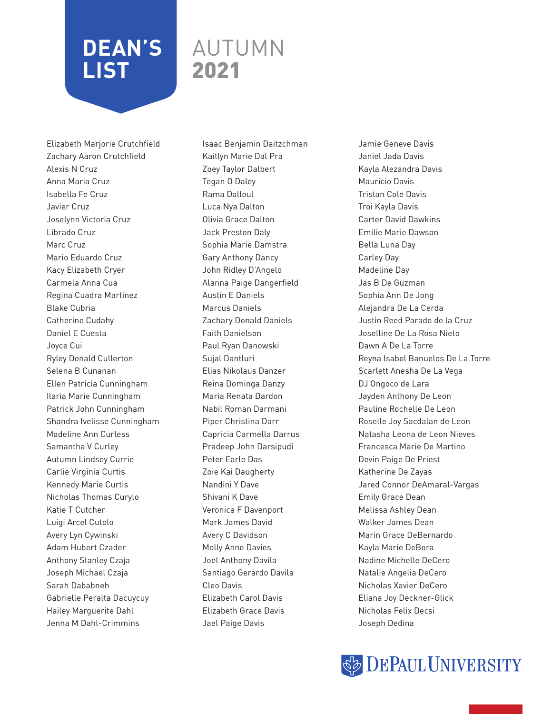### AUTUMN 2021

Elizabeth Marjorie Crutchfield Zachary Aaron Crutchfield Alexis N Cruz Anna Maria Cruz Isabella Fe Cruz Javier Cruz Joselynn Victoria Cruz Librado Cruz Marc Cruz Mario Eduardo Cruz Kacy Elizabeth Cryer Carmela Anna Cua Regina Cuadra Martinez Blake Cubria Catherine Cudahy Daniel E Cuesta Joyce Cui Ryley Donald Cullerton Selena B Cunanan Ellen Patricia Cunningham Ilaria Marie Cunningham Patrick John Cunningham Shandra Ivelisse Cunningham Madeline Ann Curless Samantha V Curley Autumn Lindsey Currie Carlie Virginia Curtis Kennedy Marie Curtis Nicholas Thomas Curylo Katie T Cutcher Luigi Arcel Cutolo Avery Lyn Cywinski Adam Hubert Czader Anthony Stanley Czaja Joseph Michael Czaja Sarah Dababneh Gabrielle Peralta Dacuycuy Hailey Marguerite Dahl Jenna M Dahl-Crimmins

Isaac Benjamin Daitzchman Kaitlyn Marie Dal Pra Zoey Taylor Dalbert Tegan O Daley Rama Dalloul Luca Nya Dalton Olivia Grace Dalton Jack Preston Daly Sophia Marie Damstra Gary Anthony Dancy John Ridley D'Angelo Alanna Paige Dangerfield Austin E Daniels Marcus Daniels Zachary Donald Daniels Faith Danielson Paul Ryan Danowski Sujal Dantluri Elias Nikolaus Danzer Reina Dominga Danzy Maria Renata Dardon Nabil Roman Darmani Piper Christina Darr Capricia Carmella Darrus Pradeep John Darsipudi Peter Earle Das Zoie Kai Daugherty Nandini Y Dave Shivani K Dave Veronica F Davenport Mark James David Avery C Davidson Molly Anne Davies Joel Anthony Davila Santiago Gerardo Davila Cleo Davis Elizabeth Carol Davis Elizabeth Grace Davis Jael Paige Davis

Jamie Geneve Davis Janiel Jada Davis Kayla Alezandra Davis Mauricio Davis Tristan Cole Davis Troi Kayla Davis Carter David Dawkins Emilie Marie Dawson Bella Luna Day Carley Day Madeline Day Jas B De Guzman Sophia Ann De Jong Alejandra De La Cerda Justin Reed Parado de la Cruz Joselline De La Rosa Nieto Dawn A De La Torre Reyna Isabel Banuelos De La Torre Scarlett Anesha De La Vega DJ Ongoco de Lara Jayden Anthony De Leon Pauline Rochelle De Leon Roselle Joy Sacdalan de Leon Natasha Leona de Leon Nieves Francesca Marie De Martino Devin Paige De Priest Katherine De Zayas Jared Connor DeAmaral-Vargas Emily Grace Dean Melissa Ashley Dean Walker James Dean Marin Grace DeBernardo Kayla Marie DeBora Nadine Michelle DeCero Natalie Angelia DeCero Nicholas Xavier DeCero Eliana Joy Deckner-Glick Nicholas Felix Decsi Joseph Dedina

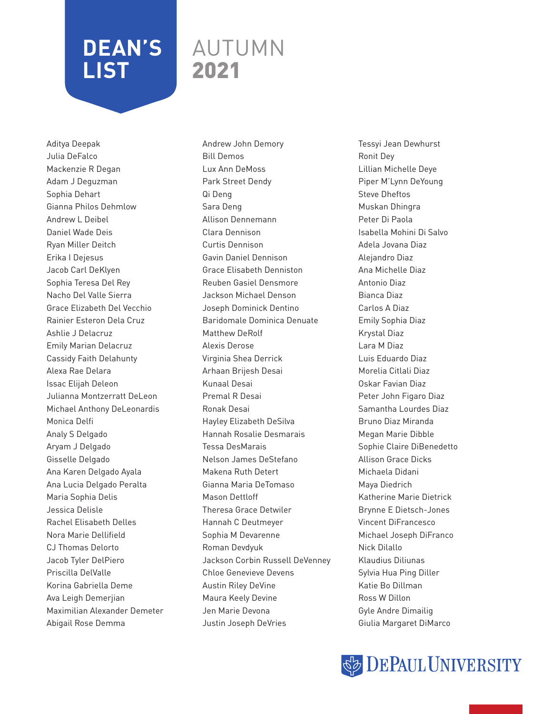### AUTUMN 2021

Aditya Deepak Julia DeFalco Mackenzie R Degan Adam J Deguzman Sophia Dehart Gianna Philos Dehmlow Andrew L Deibel Daniel Wade Deis Ryan Miller Deitch Erika I Dejesus Jacob Carl DeKlyen Sophia Teresa Del Rey Nacho Del Valle Sierra Grace Elizabeth Del Vecchio Rainier Esteron Dela Cruz Ashlie J Delacruz Emily Marian Delacruz Cassidy Faith Delahunty Alexa Rae Delara Issac Elijah Deleon Julianna Montzerratt DeLeon Michael Anthony DeLeonardis Monica Delfi Analy S Delgado Aryam J Delgado Gisselle Delgado Ana Karen Delgado Ayala Ana Lucia Delgado Peralta Maria Sophia Delis Jessica Delisle Rachel Elisabeth Delles Nora Marie Dellifield CJ Thomas Delorto Jacob Tyler DelPiero Priscilla DelValle Korina Gabriella Deme Ava Leigh Demerjian Maximilian Alexander Demeter Abigail Rose Demma

Andrew John Demory Bill Demos Lux Ann DeMoss Park Street Dendy Qi Deng Sara Deng Allison Dennemann Clara Dennison Curtis Dennison Gavin Daniel Dennison Grace Elisabeth Denniston Reuben Gasiel Densmore Jackson Michael Denson Joseph Dominick Dentino Baridomale Dominica Denuate Matthew DeRolf Alexis Derose Virginia Shea Derrick Arhaan Brijesh Desai Kunaal Desai Premal R Desai Ronak Desai Hayley Elizabeth DeSilva Hannah Rosalie Desmarais Tessa DesMarais Nelson James DeStefano Makena Ruth Detert Gianna Maria DeTomaso Mason Dettloff Theresa Grace Detwiler Hannah C Deutmeyer Sophia M Devarenne Roman Devdyuk Jackson Corbin Russell DeVenney Chloe Genevieve Devens Austin Riley DeVine Maura Keely Devine Jen Marie Devona Justin Joseph DeVries

Tessyi Jean Dewhurst Ronit Dey Lillian Michelle Deye Piper M'Lynn DeYoung Steve Dheftos Muskan Dhingra Peter Di Paola Isabella Mohini Di Salvo Adela Jovana Diaz Alejandro Diaz Ana Michelle Diaz Antonio Diaz Bianca Diaz Carlos A Diaz Emily Sophia Diaz Krystal Diaz Lara M Diaz Luis Eduardo Diaz Morelia Citlali Diaz Oskar Favian Diaz Peter John Figaro Diaz Samantha Lourdes Diaz Bruno Diaz Miranda Megan Marie Dibble Sophie Claire DiBenedetto Allison Grace Dicks Michaela Didani Maya Diedrich Katherine Marie Dietrick Brynne E Dietsch-Jones Vincent DiFrancesco Michael Joseph DiFranco Nick Dilallo Klaudius Diliunas Sylvia Hua Ping Diller Katie Bo Dillman Ross W Dillon Gyle Andre Dimailig Giulia Margaret DiMarco

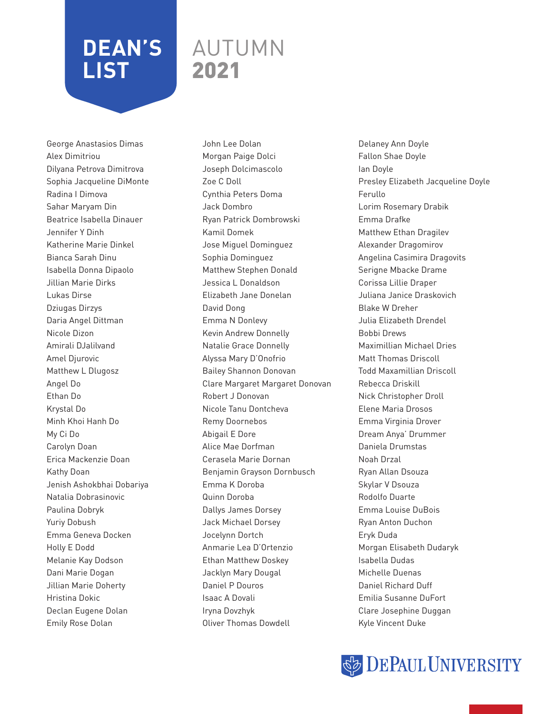### AUTUMN 2021

George Anastasios Dimas Alex Dimitriou Dilyana Petrova Dimitrova Sophia Jacqueline DiMonte Radina I Dimova Sahar Maryam Din Beatrice Isabella Dinauer Jennifer Y Dinh Katherine Marie Dinkel Bianca Sarah Dinu Isabella Donna Dipaolo Jillian Marie Dirks Lukas Dirse Dziugas Dirzys Daria Angel Dittman Nicole Dizon Amirali DJalilvand Amel Djurovic Matthew L Dlugosz Angel Do Ethan Do Krystal Do Minh Khoi Hanh Do My Ci Do Carolyn Doan Erica Mackenzie Doan Kathy Doan Jenish Ashokbhai Dobariya Natalia Dobrasinovic Paulina Dobryk Yuriy Dobush Emma Geneva Docken Holly E Dodd Melanie Kay Dodson Dani Marie Dogan Jillian Marie Doherty Hristina Dokic Declan Eugene Dolan Emily Rose Dolan

John Lee Dolan Morgan Paige Dolci Joseph Dolcimascolo Zoe C Doll Cynthia Peters Doma Jack Dombro Ryan Patrick Dombrowski Kamil Domek Jose Miguel Dominguez Sophia Dominguez Matthew Stephen Donald Jessica L Donaldson Elizabeth Jane Donelan David Dong Emma N Donlevy Kevin Andrew Donnelly Natalie Grace Donnelly Alyssa Mary D'Onofrio Bailey Shannon Donovan Clare Margaret Margaret Donovan Robert J Donovan Nicole Tanu Dontcheva Remy Doornebos Abigail E Dore Alice Mae Dorfman Cerasela Marie Dornan Benjamin Grayson Dornbusch Emma K Doroba Quinn Doroba Dallys James Dorsey Jack Michael Dorsey Jocelynn Dortch Anmarie Lea D'Ortenzio Ethan Matthew Doskey Jacklyn Mary Dougal Daniel P Douros Isaac A Dovali Iryna Dovzhyk Oliver Thomas Dowdell

Delaney Ann Doyle Fallon Shae Doyle Ian Doyle Presley Elizabeth Jacqueline Doyle Ferullo Lorim Rosemary Drabik Emma Drafke Matthew Ethan Dragilev Alexander Dragomirov Angelina Casimira Dragovits Serigne Mbacke Drame Corissa Lillie Draper Juliana Janice Draskovich Blake W Dreher Julia Elizabeth Drendel Bobbi Drews Maximillian Michael Dries Matt Thomas Driscoll Todd Maxamillian Driscoll Rebecca Driskill Nick Christopher Droll Elene Maria Drosos Emma Virginia Drover Dream Anya' Drummer Daniela Drumstas Noah Drzal Ryan Allan Dsouza Skylar V Dsouza Rodolfo Duarte Emma Louise DuBois Ryan Anton Duchon Eryk Duda Morgan Elisabeth Dudaryk Isabella Dudas Michelle Duenas Daniel Richard Duff Emilia Susanne DuFort Clare Josephine Duggan Kyle Vincent Duke

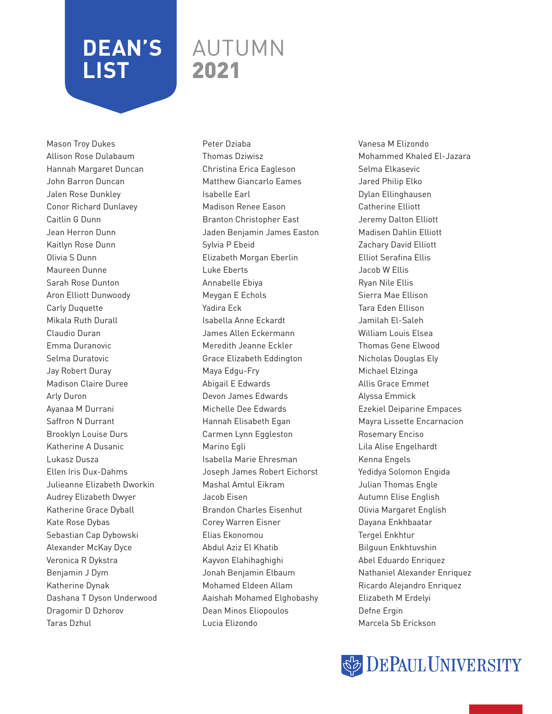### AUTUMN 2021

Mason Troy Dukes Allison Rose Dulabaum Hannah Margaret Duncan John Barron Duncan Jalen Rose Dunkley Conor Richard Dunlavey Caitlin G Dunn Jean Herron Dunn Kaitlyn Rose Dunn Olivia S Dunn Maureen Dunne Sarah Rose Dunton Aron Elliott Dunwoody Carly Duquette Mikala Ruth Durall Claudio Duran Emma Duranovic Selma Duratovic Jay Robert Duray Madison Claire Duree Arly Duron Ayanaa M Durrani Saffron N Durrant Brooklyn Louise Durs Katherine A Dusanic Lukasz Dusza Ellen Iris Dux-Dahms Julieanne Elizabeth Dworkin Audrey Elizabeth Dwyer Katherine Grace Dyball Kate Rose Dybas Sebastian Cap Dybowski Alexander McKay Dyce Veronica R Dykstra Benjamin J Dym Katherine Dynak Dashana T Dyson Underwood Dragomir D Dzhorov Taras Dzhul

Peter Dziaba Thomas Dziwisz Christina Erica Eagleson Matthew Giancarlo Eames Isabelle Earl Madison Renee Eason Branton Christopher East Jaden Benjamin James Easton Sylvia P Ebeid Elizabeth Morgan Eberlin Luke Eberts Annabelle Ebiya Meygan E Echols Yadira Eck Isabella Anne Eckardt James Allen Eckermann Meredith Jeanne Eckler Grace Elizabeth Eddington Maya Edgu-Fry Abigail E Edwards Devon James Edwards Michelle Dee Edwards Hannah Elisabeth Egan Carmen Lynn Eggleston Marino Egli Isabella Marie Ehresman Joseph James Robert Eichorst Mashal Amtul Eikram Jacob Eisen Brandon Charles Eisenhut Corey Warren Eisner Elias Ekonomou Abdul Aziz El Khatib Kayvon Elahihaghighi Jonah Benjamin Elbaum Mohamed Eldeen Allam Aaishah Mohamed Elghobashy Dean Minos Eliopoulos Lucia Elizondo

Vanesa M Elizondo Mohammed Khaled El-Jazara Selma Elkasevic Jared Philip Elko Dylan Ellinghausen Catherine Elliott Jeremy Dalton Elliott Madisen Dahlin Elliott Zachary David Elliott Elliot Serafina Ellis Jacob W Ellis Ryan Nile Ellis Sierra Mae Ellison Tara Eden Ellison Jamilah El-Saleh William Louis Elsea Thomas Gene Elwood Nicholas Douglas Ely Michael Elzinga Allis Grace Emmet Alyssa Emmick Ezekiel Deiparine Empaces Mayra Lissette Encarnacion Rosemary Enciso Lila Alise Engelhardt Kenna Engels Yedidya Solomon Engida Julian Thomas Engle Autumn Elise English Olivia Margaret English Dayana Enkhbaatar Tergel Enkhtur Bilguun Enkhtuvshin Abel Eduardo Enriquez Nathaniel Alexander Enriquez Ricardo Alejandro Enriquez Elizabeth M Erdelyi Defne Ergin Marcela Sb Erickson

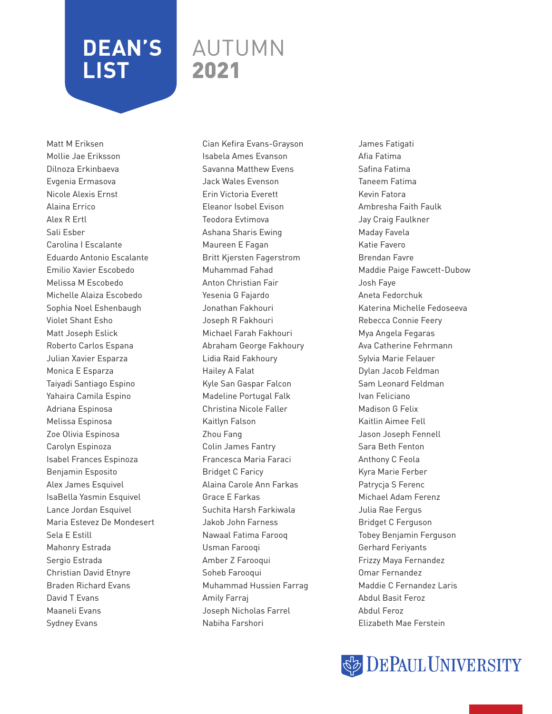### AUTUMN 2021

Matt M Eriksen Mollie Jae Eriksson Dilnoza Erkinbaeva Evgenia Ermasova Nicole Alexis Ernst Alaina Errico Alex R Ertl Sali Esber Carolina I Escalante Eduardo Antonio Escalante Emilio Xavier Escobedo Melissa M Escobedo Michelle Alaiza Escobedo Sophia Noel Eshenbaugh Violet Shant Esho Matt Joseph Eslick Roberto Carlos Espana Julian Xavier Esparza Monica E Esparza Taiyadi Santiago Espino Yahaira Camila Espino Adriana Espinosa Melissa Espinosa Zoe Olivia Espinosa Carolyn Espinoza Isabel Frances Espinoza Benjamin Esposito Alex James Esquivel IsaBella Yasmin Esquivel Lance Jordan Esquivel Maria Estevez De Mondesert Sela E Estill Mahonry Estrada Sergio Estrada Christian David Etnyre Braden Richard Evans David T Evans Maaneli Evans Sydney Evans

Cian Kefira Evans-Grayson Isabela Ames Evanson Savanna Matthew Evens Jack Wales Evenson Erin Victoria Everett Eleanor Isobel Evison Teodora Evtimova Ashana Sharis Ewing Maureen E Fagan Britt Kjersten Fagerstrom Muhammad Fahad Anton Christian Fair Yesenia G Fajardo Jonathan Fakhouri Joseph R Fakhouri Michael Farah Fakhouri Abraham George Fakhoury Lidia Raid Fakhoury Hailey A Falat Kyle San Gaspar Falcon Madeline Portugal Falk Christina Nicole Faller Kaitlyn Falson Zhou Fang Colin James Fantry Francesca Maria Faraci Bridget C Faricy Alaina Carole Ann Farkas Grace E Farkas Suchita Harsh Farkiwala Jakob John Farness Nawaal Fatima Farooq Usman Farooqi Amber Z Farooqui Soheb Farooqui Muhammad Hussien Farrag Amily Farraj Joseph Nicholas Farrel Nabiha Farshori

James Fatigati Afia Fatima Safina Fatima Taneem Fatima Kevin Fatora Ambresha Faith Faulk Jay Craig Faulkner Maday Favela Katie Favero Brendan Favre Maddie Paige Fawcett-Dubow Josh Faye Aneta Fedorchuk Katerina Michelle Fedoseeva Rebecca Connie Feery Mya Angela Fegaras Ava Catherine Fehrmann Sylvia Marie Felauer Dylan Jacob Feldman Sam Leonard Feldman Ivan Feliciano Madison G Felix Kaitlin Aimee Fell Jason Joseph Fennell Sara Beth Fenton Anthony C Feola Kyra Marie Ferber Patrycja S Ferenc Michael Adam Ferenz Julia Rae Fergus Bridget C Ferguson Tobey Benjamin Ferguson Gerhard Feriyants Frizzy Maya Fernandez Omar Fernandez Maddie C Fernandez Laris Abdul Basit Feroz Abdul Feroz Elizabeth Mae Ferstein

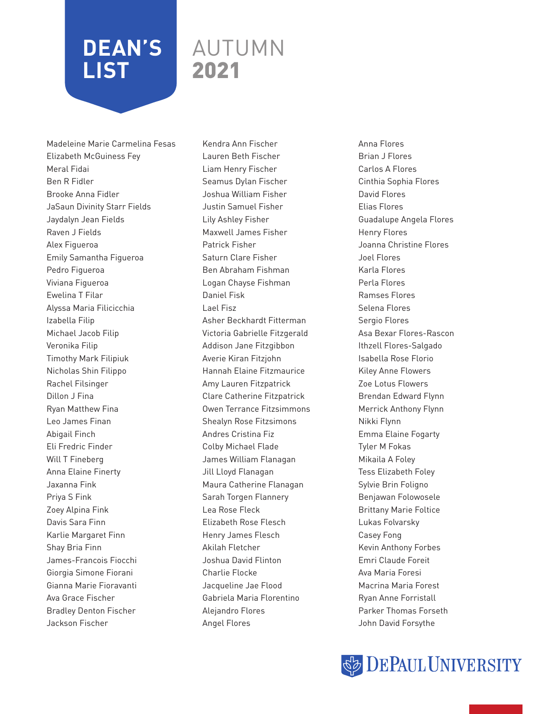#### AUTUMN 2021

Madeleine Marie Carmelina Fesas Elizabeth McGuiness Fey Meral Fidai Ben R Fidler Brooke Anna Fidler JaSaun Divinity Starr Fields Jaydalyn Jean Fields Raven J Fields Alex Figueroa Emily Samantha Figueroa Pedro Figueroa Viviana Figueroa Ewelina T Filar Alyssa Maria Filicicchia Izabella Filip Michael Jacob Filip Veronika Filip Timothy Mark Filipiuk Nicholas Shin Filippo Rachel Filsinger Dillon J Fina Ryan Matthew Fina Leo James Finan Abigail Finch Eli Fredric Finder Will T Fineberg Anna Elaine Finerty Jaxanna Fink Priya S Fink Zoey Alpina Fink Davis Sara Finn Karlie Margaret Finn Shay Bria Finn James-Francois Fiocchi Giorgia Simone Fiorani Gianna Marie Fioravanti Ava Grace Fischer Bradley Denton Fischer Jackson Fischer

Kendra Ann Fischer Lauren Beth Fischer Liam Henry Fischer Seamus Dylan Fischer Joshua William Fisher Justin Samuel Fisher Lily Ashley Fisher Maxwell James Fisher Patrick Fisher Saturn Clare Fisher Ben Abraham Fishman Logan Chayse Fishman Daniel Fisk Lael Fisz Asher Beckhardt Fitterman Victoria Gabrielle Fitzgerald Addison Jane Fitzgibbon Averie Kiran Fitzjohn Hannah Elaine Fitzmaurice Amy Lauren Fitzpatrick Clare Catherine Fitzpatrick Owen Terrance Fitzsimmons Shealyn Rose Fitzsimons Andres Cristina Fiz Colby Michael Flade James William Flanagan Jill Lloyd Flanagan Maura Catherine Flanagan Sarah Torgen Flannery Lea Rose Fleck Elizabeth Rose Flesch Henry James Flesch Akilah Fletcher Joshua David Flinton Charlie Flocke Jacqueline Jae Flood Gabriela Maria Florentino Alejandro Flores Angel Flores

Anna Flores Brian J Flores Carlos A Flores Cinthia Sophia Flores David Flores Elias Flores Guadalupe Angela Flores Henry Flores Joanna Christine Flores Joel Flores Karla Flores Perla Flores Ramses Flores Selena Flores Sergio Flores Asa Bexar Flores-Rascon Ithzell Flores-Salgado Isabella Rose Florio Kiley Anne Flowers Zoe Lotus Flowers Brendan Edward Flynn Merrick Anthony Flynn Nikki Flynn Emma Elaine Fogarty Tyler M Fokas Mikaila A Foley Tess Elizabeth Foley Sylvie Brin Foligno Benjawan Folowosele Brittany Marie Foltice Lukas Folvarsky Casey Fong Kevin Anthony Forbes Emri Claude Foreit Ava Maria Foresi Macrina Maria Forest Ryan Anne Forristall Parker Thomas Forseth John David Forsythe

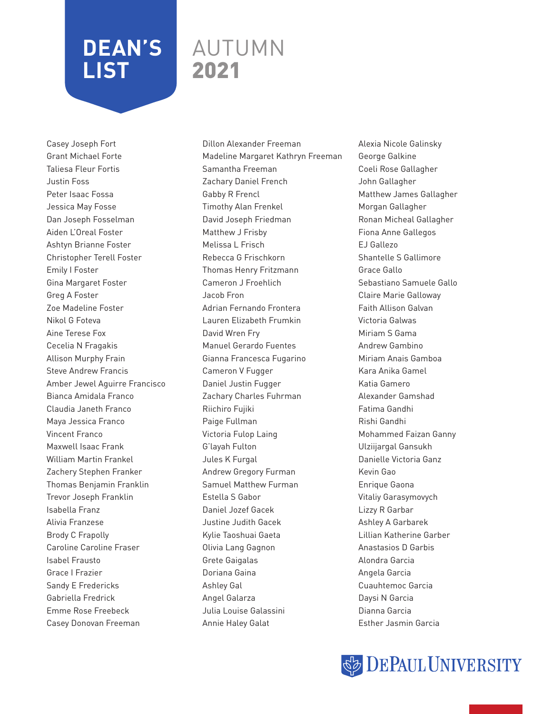### AUTUMN 2021

Casey Joseph Fort Grant Michael Forte Taliesa Fleur Fortis Justin Foss Peter Isaac Fossa Jessica May Fosse Dan Joseph Fosselman Aiden L'Oreal Foster Ashtyn Brianne Foster Christopher Terell Foster Emily I Foster Gina Margaret Foster Greg A Foster Zoe Madeline Foster Nikol G Foteva Aine Terese Fox Cecelia N Fragakis Allison Murphy Frain Steve Andrew Francis Amber Jewel Aguirre Francisco Bianca Amidala Franco Claudia Janeth Franco Maya Jessica Franco Vincent Franco Maxwell Isaac Frank William Martin Frankel Zachery Stephen Franker Thomas Benjamin Franklin Trevor Joseph Franklin Isabella Franz Alivia Franzese Brody C Frapolly Caroline Caroline Fraser Isabel Frausto Grace I Frazier Sandy E Fredericks Gabriella Fredrick Emme Rose Freebeck Casey Donovan Freeman

Dillon Alexander Freeman Madeline Margaret Kathryn Freeman Samantha Freeman Zachary Daniel French Gabby R Frencl Timothy Alan Frenkel David Joseph Friedman Matthew J Frisby Melissa L Frisch Rebecca G Frischkorn Thomas Henry Fritzmann Cameron J Froehlich Jacob Fron Adrian Fernando Frontera Lauren Elizabeth Frumkin David Wren Fry Manuel Gerardo Fuentes Gianna Francesca Fugarino Cameron V Fugger Daniel Justin Fugger Zachary Charles Fuhrman Riichiro Fujiki Paige Fullman Victoria Fulop Laing G'layah Fulton Jules K Furgal Andrew Gregory Furman Samuel Matthew Furman Estella S Gabor Daniel Jozef Gacek Justine Judith Gacek Kylie Taoshuai Gaeta Olivia Lang Gagnon Grete Gaigalas Doriana Gaina Ashley Gal Angel Galarza Julia Louise Galassini Annie Haley Galat

Alexia Nicole Galinsky George Galkine Coeli Rose Gallagher John Gallagher Matthew James Gallagher Morgan Gallagher Ronan Micheal Gallagher Fiona Anne Gallegos EJ Gallezo Shantelle S Gallimore Grace Gallo Sebastiano Samuele Gallo Claire Marie Galloway Faith Allison Galvan Victoria Galwas Miriam S Gama Andrew Gambino Miriam Anais Gamboa Kara Anika Gamel Katia Gamero Alexander Gamshad Fatima Gandhi Rishi Gandhi Mohammed Faizan Ganny Ulziijargal Gansukh Danielle Victoria Ganz Kevin Gao Enrique Gaona Vitaliy Garasymovych Lizzy R Garbar Ashley A Garbarek Lillian Katherine Garber Anastasios D Garbis Alondra Garcia Angela Garcia Cuauhtemoc Garcia Daysi N Garcia Dianna Garcia Esther Jasmin Garcia

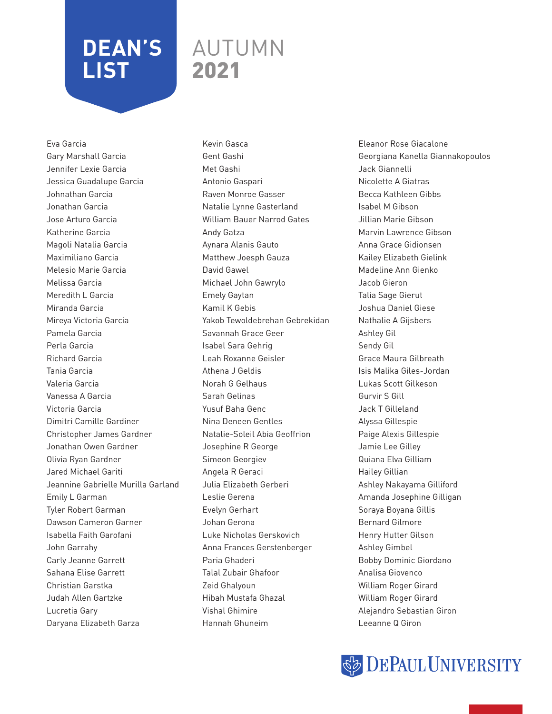### AUTUMN 2021

Eva Garcia Gary Marshall Garcia Jennifer Lexie Garcia Jessica Guadalupe Garcia Johnathan Garcia Jonathan Garcia Jose Arturo Garcia Katherine Garcia Magoli Natalia Garcia Maximiliano Garcia Melesio Marie Garcia Melissa Garcia Meredith L Garcia Miranda Garcia Mireya Victoria Garcia Pamela Garcia Perla Garcia Richard Garcia Tania Garcia Valeria Garcia Vanessa A Garcia Victoria Garcia Dimitri Camille Gardiner Christopher James Gardner Jonathan Owen Gardner Olivia Ryan Gardner Jared Michael Gariti Jeannine Gabrielle Murilla Garland Emily L Garman Tyler Robert Garman Dawson Cameron Garner Isabella Faith Garofani John Garrahy Carly Jeanne Garrett Sahana Elise Garrett Christian Garstka Judah Allen Gartzke Lucretia Gary Daryana Elizabeth Garza

Kevin Gasca Gent Gashi Met Gashi Antonio Gaspari Raven Monroe Gasser Natalie Lynne Gasterland William Bauer Narrod Gates Andy Gatza Aynara Alanis Gauto Matthew Joesph Gauza David Gawel Michael John Gawrylo Emely Gaytan Kamil K Gebis Yakob Tewoldebrehan Gebrekidan Savannah Grace Geer Isabel Sara Gehrig Leah Roxanne Geisler Athena J Geldis Norah G Gelhaus Sarah Gelinas Yusuf Baha Genc Nina Deneen Gentles Natalie-Soleil Abia Geoffrion Josephine R George Simeon Georgiev Angela R Geraci Julia Elizabeth Gerberi Leslie Gerena Evelyn Gerhart Johan Gerona Luke Nicholas Gerskovich Anna Frances Gerstenberger Paria Ghaderi Talal Zubair Ghafoor Zeid Ghalyoun Hibah Mustafa Ghazal Vishal Ghimire Hannah Ghuneim

Eleanor Rose Giacalone Georgiana Kanella Giannakopoulos Jack Giannelli Nicolette A Giatras Becca Kathleen Gibbs Isabel M Gibson Jillian Marie Gibson Marvin Lawrence Gibson Anna Grace Gidionsen Kailey Elizabeth Gielink Madeline Ann Gienko Jacob Gieron Talia Sage Gierut Joshua Daniel Giese Nathalie A Gijsbers Ashley Gil Sendy Gil Grace Maura Gilbreath Isis Malika Giles-Jordan Lukas Scott Gilkeson Gurvir S Gill Jack T Gilleland Alyssa Gillespie Paige Alexis Gillespie Jamie Lee Gilley Quiana Elva Gilliam Hailey Gillian Ashley Nakayama Gilliford Amanda Josephine Gilligan Soraya Boyana Gillis Bernard Gilmore Henry Hutter Gilson Ashley Gimbel Bobby Dominic Giordano Analisa Giovenco William Roger Girard William Roger Girard Alejandro Sebastian Giron Leeanne Q Giron

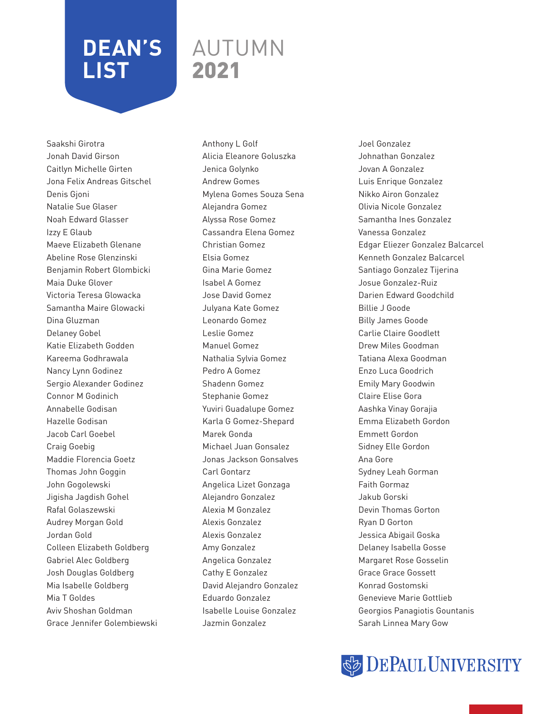### AUTUMN 2021

Saakshi Girotra Jonah David Girson Caitlyn Michelle Girten Jona Felix Andreas Gitschel Denis Gjoni Natalie Sue Glaser Noah Edward Glasser Izzy E Glaub Maeve Elizabeth Glenane Abeline Rose Glenzinski Benjamin Robert Glombicki Maia Duke Glover Victoria Teresa Glowacka Samantha Maire Glowacki Dina Gluzman Delaney Gobel Katie Elizabeth Godden Kareema Godhrawala Nancy Lynn Godinez Sergio Alexander Godinez Connor M Godinich Annabelle Godisan Hazelle Godisan Jacob Carl Goebel Craig Goebig Maddie Florencia Goetz Thomas John Goggin John Gogolewski Jigisha Jagdish Gohel Rafal Golaszewski Audrey Morgan Gold Jordan Gold Colleen Elizabeth Goldberg Gabriel Alec Goldberg Josh Douglas Goldberg Mia Isabelle Goldberg Mia T Goldes Aviv Shoshan Goldman Grace Jennifer Golembiewski Anthony L Golf Alicia Eleanore Goluszka Jenica Golynko Andrew Gomes Mylena Gomes Souza Sena Alejandra Gomez Alyssa Rose Gomez Cassandra Elena Gomez Christian Gomez Elsia Gomez Gina Marie Gomez Isabel A Gomez Jose David Gomez Julyana Kate Gomez Leonardo Gomez Leslie Gomez Manuel Gomez Nathalia Sylvia Gomez Pedro A Gomez Shadenn Gomez Stephanie Gomez Yuviri Guadalupe Gomez Karla G Gomez-Shepard Marek Gonda Michael Juan Gonsalez Jonas Jackson Gonsalves Carl Gontarz Angelica Lizet Gonzaga Alejandro Gonzalez Alexia M Gonzalez Alexis Gonzalez Alexis Gonzalez Amy Gonzalez Angelica Gonzalez Cathy E Gonzalez David Alejandro Gonzalez Eduardo Gonzalez Isabelle Louise Gonzalez Jazmin Gonzalez

Joel Gonzalez Johnathan Gonzalez Jovan A Gonzalez Luis Enrique Gonzalez Nikko Airon Gonzalez Olivia Nicole Gonzalez Samantha Ines Gonzalez Vanessa Gonzalez Edgar Eliezer Gonzalez Balcarcel Kenneth Gonzalez Balcarcel Santiago Gonzalez Tijerina Josue Gonzalez-Ruiz Darien Edward Goodchild Billie J Goode Billy James Goode Carlie Claire Goodlett Drew Miles Goodman Tatiana Alexa Goodman Enzo Luca Goodrich Emily Mary Goodwin Claire Elise Gora Aashka Vinay Gorajia Emma Elizabeth Gordon Emmett Gordon Sidney Elle Gordon Ana Gore Sydney Leah Gorman Faith Gormaz Jakub Gorski Devin Thomas Gorton Ryan D Gorton Jessica Abigail Goska Delaney Isabella Gosse Margaret Rose Gosselin Grace Grace Gossett Konrad Gostomski Genevieve Marie Gottlieb Georgios Panagiotis Gountanis Sarah Linnea Mary Gow

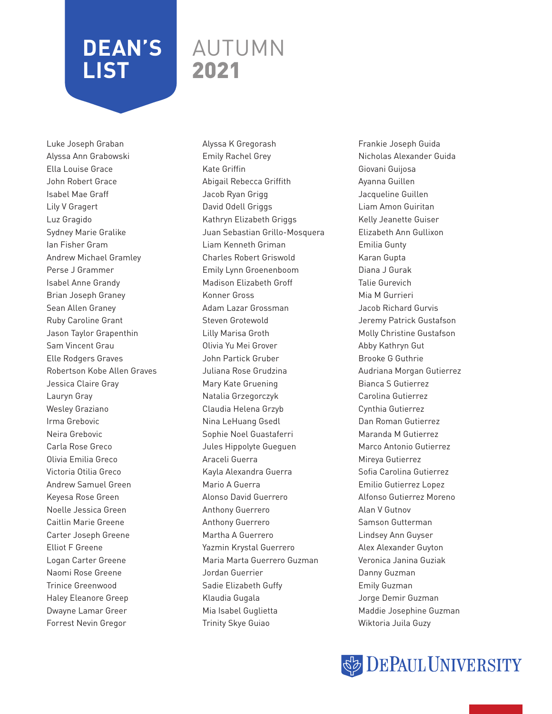### AUTUMN 2021

Luke Joseph Graban Alyssa Ann Grabowski Ella Louise Grace John Robert Grace Isabel Mae Graff Lily V Gragert Luz Gragido Sydney Marie Gralike Ian Fisher Gram Andrew Michael Gramley Perse J Grammer Isabel Anne Grandy Brian Joseph Graney Sean Allen Graney Ruby Caroline Grant Jason Taylor Grapenthin Sam Vincent Grau Elle Rodgers Graves Robertson Kobe Allen Graves Jessica Claire Gray Lauryn Gray Wesley Graziano Irma Grebovic Neira Grebovic Carla Rose Greco Olivia Emilia Greco Victoria Otilia Greco Andrew Samuel Green Keyesa Rose Green Noelle Jessica Green Caitlin Marie Greene Carter Joseph Greene Elliot F Greene Logan Carter Greene Naomi Rose Greene Trinice Greenwood Haley Eleanore Greep Dwayne Lamar Greer Forrest Nevin Gregor

Alyssa K Gregorash Emily Rachel Grey Kate Griffin Abigail Rebecca Griffith Jacob Ryan Grigg David Odell Griggs Kathryn Elizabeth Griggs Juan Sebastian Grillo-Mosquera Liam Kenneth Griman Charles Robert Griswold Emily Lynn Groenenboom Madison Elizabeth Groff Konner Gross Adam Lazar Grossman Steven Grotewold Lilly Marisa Groth Olivia Yu Mei Grover John Partick Gruber Juliana Rose Grudzina Mary Kate Gruening Natalia Grzegorczyk Claudia Helena Grzyb Nina LeHuang Gsedl Sophie Noel Guastaferri Jules Hippolyte Gueguen Araceli Guerra Kayla Alexandra Guerra Mario A Guerra Alonso David Guerrero Anthony Guerrero Anthony Guerrero Martha A Guerrero Yazmin Krystal Guerrero Maria Marta Guerrero Guzman Jordan Guerrier Sadie Elizabeth Guffy Klaudia Gugala Mia Isabel Guglietta Trinity Skye Guiao

Frankie Joseph Guida Nicholas Alexander Guida Giovani Guijosa Ayanna Guillen Jacqueline Guillen Liam Amon Guiritan Kelly Jeanette Guiser Elizabeth Ann Gullixon Emilia Gunty Karan Gupta Diana J Gurak Talie Gurevich Mia M Gurrieri Jacob Richard Gurvis Jeremy Patrick Gustafson Molly Christine Gustafson Abby Kathryn Gut Brooke G Guthrie Audriana Morgan Gutierrez Bianca S Gutierrez Carolina Gutierrez Cynthia Gutierrez Dan Roman Gutierrez Maranda M Gutierrez Marco Antonio Gutierrez Mireya Gutierrez Sofia Carolina Gutierrez Emilio Gutierrez Lopez Alfonso Gutierrez Moreno Alan V Gutnov Samson Gutterman Lindsey Ann Guyser Alex Alexander Guyton Veronica Janina Guziak Danny Guzman Emily Guzman Jorge Demir Guzman Maddie Josephine Guzman Wiktoria Juila Guzy

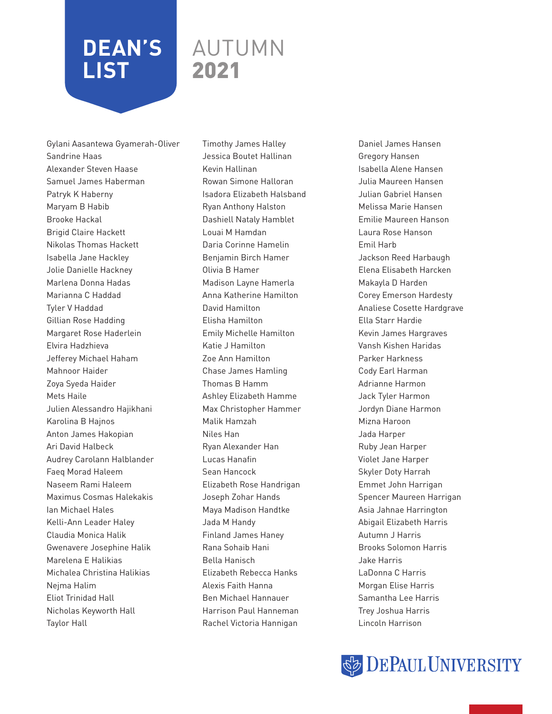### AUTUMN 2021

Gylani Aasantewa Gyamerah-Oliver Sandrine Haas Alexander Steven Haase Samuel James Haberman Patryk K Haberny Maryam B Habib Brooke Hackal Brigid Claire Hackett Nikolas Thomas Hackett Isabella Jane Hackley Jolie Danielle Hackney Marlena Donna Hadas Marianna C Haddad Tyler V Haddad Gillian Rose Hadding Margaret Rose Haderlein Elvira Hadzhieva Jefferey Michael Haham Mahnoor Haider Zoya Syeda Haider Mets Haile Julien Alessandro Hajikhani Karolina B Hajnos Anton James Hakopian Ari David Halbeck Audrey Carolann Halblander Faeq Morad Haleem Naseem Rami Haleem Maximus Cosmas Halekakis Ian Michael Hales Kelli-Ann Leader Haley Claudia Monica Halik Gwenavere Josephine Halik Marelena E Halikias Michalea Christina Halikias Nejma Halim Eliot Trinidad Hall Nicholas Keyworth Hall Taylor Hall

Timothy James Halley Jessica Boutet Hallinan Kevin Hallinan Rowan Simone Halloran Isadora Elizabeth Halsband Ryan Anthony Halston Dashiell Nataly Hamblet Louai M Hamdan Daria Corinne Hamelin Benjamin Birch Hamer Olivia B Hamer Madison Layne Hamerla Anna Katherine Hamilton David Hamilton Elisha Hamilton Emily Michelle Hamilton Katie J Hamilton Zoe Ann Hamilton Chase James Hamling Thomas B Hamm Ashley Elizabeth Hamme Max Christopher Hammer Malik Hamzah Niles Han Ryan Alexander Han Lucas Hanafin Sean Hancock Elizabeth Rose Handrigan Joseph Zohar Hands Maya Madison Handtke Jada M Handy Finland James Haney Rana Sohaib Hani Bella Hanisch Elizabeth Rebecca Hanks Alexis Faith Hanna Ben Michael Hannauer Harrison Paul Hanneman Rachel Victoria Hannigan

Daniel James Hansen Gregory Hansen Isabella Alene Hansen Julia Maureen Hansen Julian Gabriel Hansen Melissa Marie Hansen Emilie Maureen Hanson Laura Rose Hanson Emil Harb Jackson Reed Harbaugh Elena Elisabeth Harcken Makayla D Harden Corey Emerson Hardesty Analiese Cosette Hardgrave Ella Starr Hardie Kevin James Hargraves Vansh Kishen Haridas Parker Harkness Cody Earl Harman Adrianne Harmon Jack Tyler Harmon Jordyn Diane Harmon Mizna Haroon Jada Harper Ruby Jean Harper Violet Jane Harper Skyler Doty Harrah Emmet John Harrigan Spencer Maureen Harrigan Asia Jahnae Harrington Abigail Elizabeth Harris Autumn J Harris Brooks Solomon Harris Jake Harris LaDonna C Harris Morgan Elise Harris Samantha Lee Harris Trey Joshua Harris Lincoln Harrison

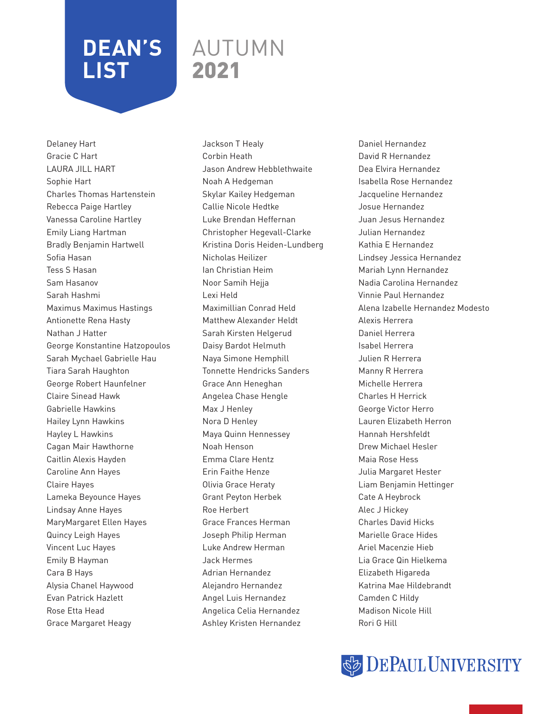### AUTUMN 2021

Delaney Hart Gracie C Hart LAURA JILL HART Sophie Hart Charles Thomas Hartenstein Rebecca Paige Hartley Vanessa Caroline Hartley Emily Liang Hartman Bradly Benjamin Hartwell Sofia Hasan Tess S Hasan Sam Hasanov Sarah Hashmi Maximus Maximus Hastings Antionette Rena Hasty Nathan J Hatter George Konstantine Hatzopoulos Sarah Mychael Gabrielle Hau Tiara Sarah Haughton George Robert Haunfelner Claire Sinead Hawk Gabrielle Hawkins Hailey Lynn Hawkins Hayley L Hawkins Cagan Mair Hawthorne Caitlin Alexis Hayden Caroline Ann Hayes Claire Hayes Lameka Beyounce Hayes Lindsay Anne Hayes MaryMargaret Ellen Hayes Quincy Leigh Hayes Vincent Luc Hayes Emily B Hayman Cara B Hays Alysia Chanel Haywood Evan Patrick Hazlett Rose Etta Head Grace Margaret Heagy

Jackson T Healy Corbin Heath Jason Andrew Hebblethwaite Noah A Hedgeman Skylar Kailey Hedgeman Callie Nicole Hedtke Luke Brendan Heffernan Christopher Hegevall-Clarke Kristina Doris Heiden-Lundberg Nicholas Heilizer Ian Christian Heim Noor Samih Hejja Lexi Held Maximillian Conrad Held Matthew Alexander Heldt Sarah Kirsten Helgerud Daisy Bardot Helmuth Naya Simone Hemphill Tonnette Hendricks Sanders Grace Ann Heneghan Angelea Chase Hengle Max J Henley Nora D Henley Maya Quinn Hennessey Noah Henson Emma Clare Hentz Erin Faithe Henze Olivia Grace Heraty Grant Peyton Herbek Roe Herbert Grace Frances Herman Joseph Philip Herman Luke Andrew Herman Jack Hermes Adrian Hernandez Alejandro Hernandez Angel Luis Hernandez Angelica Celia Hernandez Ashley Kristen Hernandez

Daniel Hernandez David R Hernandez Dea Elvira Hernandez Isabella Rose Hernandez Jacqueline Hernandez Josue Hernandez Juan Jesus Hernandez Julian Hernandez Kathia E Hernandez Lindsey Jessica Hernandez Mariah Lynn Hernandez Nadia Carolina Hernandez Vinnie Paul Hernandez Alena Izabelle Hernandez Modesto Alexis Herrera Daniel Herrera Isabel Herrera Julien R Herrera Manny R Herrera Michelle Herrera Charles H Herrick George Victor Herro Lauren Elizabeth Herron Hannah Hershfeldt Drew Michael Hesler Maia Rose Hess Julia Margaret Hester Liam Benjamin Hettinger Cate A Heybrock Alec J Hickey Charles David Hicks Marielle Grace Hides Ariel Macenzie Hieb Lia Grace Qin Hielkema Elizabeth Higareda Katrina Mae Hildebrandt Camden C Hildy Madison Nicole Hill Rori G Hill

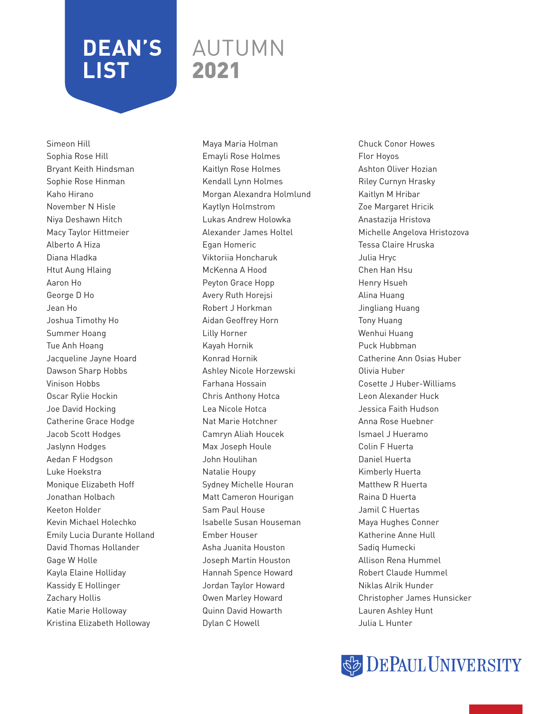### AUTUMN 2021

Simeon Hill Sophia Rose Hill Bryant Keith Hindsman Sophie Rose Hinman Kaho Hirano November N Hisle Niya Deshawn Hitch Macy Taylor Hittmeier Alberto A Hiza Diana Hladka Htut Aung Hlaing Aaron Ho George D Ho Jean Ho Joshua Timothy Ho Summer Hoang Tue Anh Hoang Jacqueline Jayne Hoard Dawson Sharp Hobbs Vinison Hobbs Oscar Rylie Hockin Joe David Hocking Catherine Grace Hodge Jacob Scott Hodges Jaslynn Hodges Aedan F Hodgson Luke Hoekstra Monique Elizabeth Hoff Jonathan Holbach Keeton Holder Kevin Michael Holechko Emily Lucia Durante Holland David Thomas Hollander Gage W Holle Kayla Elaine Holliday Kassidy E Hollinger Zachary Hollis Katie Marie Holloway Kristina Elizabeth Holloway

Maya Maria Holman Emayli Rose Holmes Kaitlyn Rose Holmes Kendall Lynn Holmes Morgan Alexandra Holmlund Kaytlyn Holmstrom Lukas Andrew Holowka Alexander James Holtel Egan Homeric Viktoriia Honcharuk McKenna A Hood Peyton Grace Hopp Avery Ruth Horejsi Robert J Horkman Aidan Geoffrey Horn Lilly Horner Kayah Hornik Konrad Hornik Ashley Nicole Horzewski Farhana Hossain Chris Anthony Hotca Lea Nicole Hotca Nat Marie Hotchner Camryn Aliah Houcek Max Joseph Houle John Houlihan Natalie Houpy Sydney Michelle Houran Matt Cameron Hourigan Sam Paul House Isabelle Susan Houseman Ember Houser Asha Juanita Houston Joseph Martin Houston Hannah Spence Howard Jordan Taylor Howard Owen Marley Howard Quinn David Howarth Dylan C Howell

Chuck Conor Howes Flor Hoyos Ashton Oliver Hozian Riley Curnyn Hrasky Kaitlyn M Hribar Zoe Margaret Hricik Anastazija Hristova Michelle Angelova Hristozova Tessa Claire Hruska Julia Hryc Chen Han Hsu Henry Hsueh Alina Huang Jingliang Huang Tony Huang Wenhui Huang Puck Hubbman Catherine Ann Osias Huber Olivia Huber Cosette J Huber-Williams Leon Alexander Huck Jessica Faith Hudson Anna Rose Huebner Ismael J Hueramo Colin F Huerta Daniel Huerta Kimberly Huerta Matthew R Huerta Raina D Huerta Jamil C Huertas Maya Hughes Conner Katherine Anne Hull Sadiq Humecki Allison Rena Hummel Robert Claude Hummel Niklas Alrik Hunder Christopher James Hunsicker Lauren Ashley Hunt Julia L Hunter

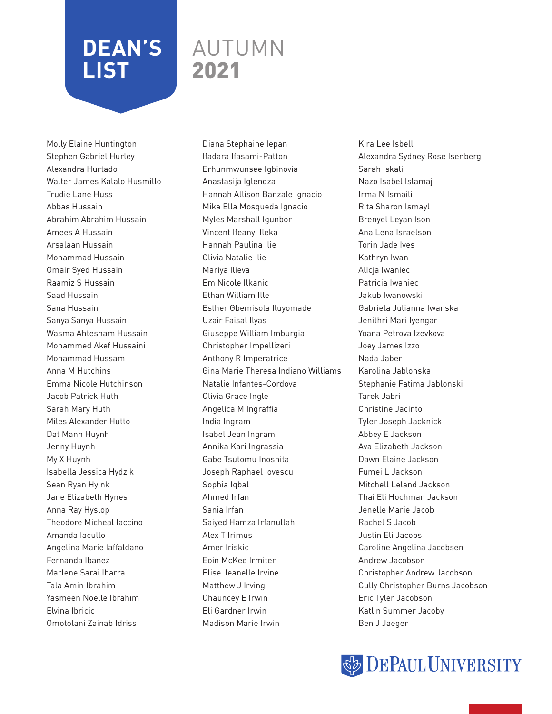### AUTUMN 2021

Molly Elaine Huntington Stephen Gabriel Hurley Alexandra Hurtado Walter James Kalalo Husmillo Trudie Lane Huss Abbas Hussain Abrahim Abrahim Hussain Amees A Hussain Arsalaan Hussain Mohammad Hussain Omair Syed Hussain Raamiz S Hussain Saad Hussain Sana Hussain Sanya Sanya Hussain Wasma Ahtesham Hussain Mohammed Akef Hussaini Mohammad Hussam Anna M Hutchins Emma Nicole Hutchinson Jacob Patrick Huth Sarah Mary Huth Miles Alexander Hutto Dat Manh Huynh Jenny Huynh My X Huynh Isabella Jessica Hydzik Sean Ryan Hyink Jane Elizabeth Hynes Anna Ray Hyslop Theodore Micheal Iaccino Amanda Iacullo Angelina Marie Iaffaldano Fernanda Ibanez Marlene Sarai Ibarra Tala Amin Ibrahim Yasmeen Noelle Ibrahim Elvina Ibricic Omotolani Zainab Idriss

Diana Stephaine Iepan Ifadara Ifasami-Patton Erhunmwunsee Igbinovia Anastasija Iglendza Hannah Allison Banzale Ignacio Mika Ella Mosqueda Ignacio Myles Marshall Igunbor Vincent Ifeanyi Ileka Hannah Paulina Ilie Olivia Natalie Ilie Mariya Ilieva Em Nicole Ilkanic Ethan William Ille Esther Gbemisola Iluyomade Uzair Faisal Ilyas Giuseppe William Imburgia Christopher Impellizeri Anthony R Imperatrice Gina Marie Theresa Indiano Williams Natalie Infantes-Cordova Olivia Grace Ingle Angelica M Ingraffia India Ingram Isabel Jean Ingram Annika Kari Ingrassia Gabe Tsutomu Inoshita Joseph Raphael Iovescu Sophia Iqbal Ahmed Irfan Sania Irfan Saiyed Hamza Irfanullah Alex T Irimus Amer Iriskic Eoin McKee Irmiter Elise Jeanelle Irvine Matthew J Irving Chauncey E Irwin Eli Gardner Irwin Madison Marie Irwin

Kira Lee Isbell Alexandra Sydney Rose Isenberg Sarah Iskali Nazo Isabel Islamaj Irma N Ismaili Rita Sharon Ismayl Brenyel Leyan Ison Ana Lena Israelson Torin Jade Ives Kathryn Iwan Alicja Iwaniec Patricia Iwaniec Jakub Iwanowski Gabriela Julianna Iwanska Jenithri Mari Iyengar Yoana Petrova Izevkova Joey James Izzo Nada Jaber Karolina Jablonska Stephanie Fatima Jablonski Tarek Jabri Christine Jacinto Tyler Joseph Jacknick Abbey E Jackson Ava Elizabeth Jackson Dawn Elaine Jackson Fumei L Jackson Mitchell Leland Jackson Thai Eli Hochman Jackson Jenelle Marie Jacob Rachel S Jacob Justin Eli Jacobs Caroline Angelina Jacobsen Andrew Jacobson Christopher Andrew Jacobson Cully Christopher Burns Jacobson Eric Tyler Jacobson Katlin Summer Jacoby Ben J Jaeger

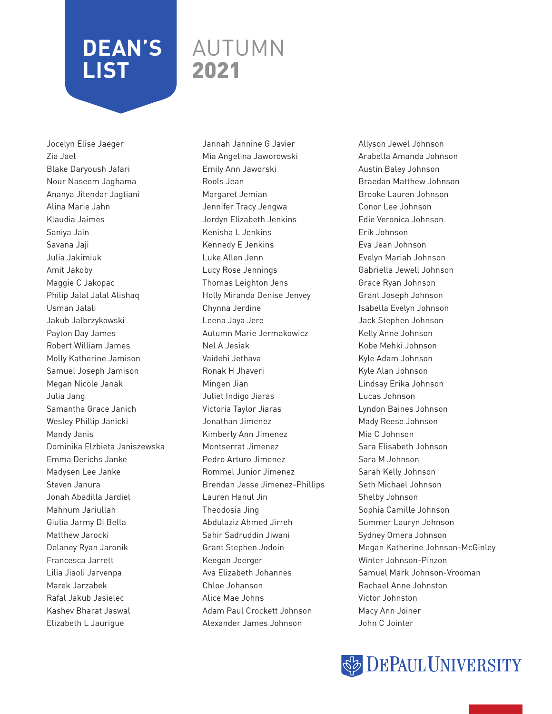#### AUTUMN 2021

Jocelyn Elise Jaeger Zia Jael Blake Daryoush Jafari Nour Naseem Jaghama Ananya Jitendar Jagtiani Alina Marie Jahn Klaudia Jaimes Saniya Jain Savana Jaji Julia Jakimiuk Amit Jakoby Maggie C Jakopac Philip Jalal Jalal Alishaq Usman Jalali Jakub Jalbrzykowski Payton Day James Robert William James Molly Katherine Jamison Samuel Joseph Jamison Megan Nicole Janak Julia Jang Samantha Grace Janich Wesley Phillip Janicki Mandy Janis Dominika Elzbieta Janiszewska Emma Derichs Janke Madysen Lee Janke Steven Janura Jonah Abadilla Jardiel Mahnum Jariullah Giulia Jarmy Di Bella Matthew Jarocki Delaney Ryan Jaronik Francesca Jarrett Lilia Jiaoli Jarvenpa Marek Jarzabek Rafal Jakub Jasielec Kashev Bharat Jaswal Elizabeth L Jaurigue

Jannah Jannine G Javier Mia Angelina Jaworowski Emily Ann Jaworski Rools Jean Margaret Jemian Jennifer Tracy Jengwa Jordyn Elizabeth Jenkins Kenisha L Jenkins Kennedy E Jenkins Luke Allen Jenn Lucy Rose Jennings Thomas Leighton Jens Holly Miranda Denise Jenvey Chynna Jerdine Leena Jaya Jere Autumn Marie Jermakowicz Nel A Jesiak Vaidehi Jethava Ronak H Jhaveri Mingen Jian Juliet Indigo Jiaras Victoria Taylor Jiaras Jonathan Jimenez Kimberly Ann Jimenez Montserrat Jimenez Pedro Arturo Jimenez Rommel Junior Jimenez Brendan Jesse Jimenez-Phillips Lauren Hanul Jin Theodosia Jing Abdulaziz Ahmed Jirreh Sahir Sadruddin Jiwani Grant Stephen Jodoin Keegan Joerger Ava Elizabeth Johannes Chloe Johanson Alice Mae Johns Adam Paul Crockett Johnson Alexander James Johnson

Allyson Jewel Johnson Arabella Amanda Johnson Austin Baley Johnson Braedan Matthew Johnson Brooke Lauren Johnson Conor Lee Johnson Edie Veronica Johnson Erik Johnson Eva Jean Johnson Evelyn Mariah Johnson Gabriella Jewell Johnson Grace Ryan Johnson Grant Joseph Johnson Isabella Evelyn Johnson Jack Stephen Johnson Kelly Anne Johnson Kobe Mehki Johnson Kyle Adam Johnson Kyle Alan Johnson Lindsay Erika Johnson Lucas Johnson Lyndon Baines Johnson Mady Reese Johnson Mia C Johnson Sara Elisabeth Johnson Sara M Johnson Sarah Kelly Johnson Seth Michael Johnson Shelby Johnson Sophia Camille Johnson Summer Lauryn Johnson Sydney Omera Johnson Megan Katherine Johnson-McGinley Winter Johnson-Pinzon Samuel Mark Johnson-Vrooman Rachael Anne Johnston Victor Johnston Macy Ann Joiner John C Jointer

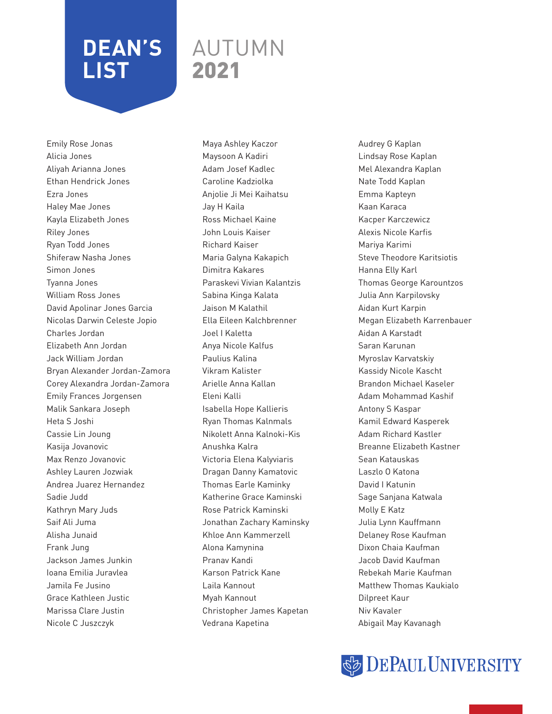### AUTUMN 2021

Emily Rose Jonas Alicia Jones Aliyah Arianna Jones Ethan Hendrick Jones Ezra Jones Haley Mae Jones Kayla Elizabeth Jones Riley Jones Ryan Todd Jones Shiferaw Nasha Jones Simon Jones Tyanna Jones William Ross Jones David Apolinar Jones Garcia Nicolas Darwin Celeste Jopio Charles Jordan Elizabeth Ann Jordan Jack William Jordan Bryan Alexander Jordan-Zamora Corey Alexandra Jordan-Zamora Emily Frances Jorgensen Malik Sankara Joseph Heta S Joshi Cassie Lin Joung Kasija Jovanovic Max Renzo Jovanovic Ashley Lauren Jozwiak Andrea Juarez Hernandez Sadie Judd Kathryn Mary Juds Saif Ali Juma Alisha Junaid Frank Jung Jackson James Junkin Ioana Emilia Juravlea Jamila Fe Jusino Grace Kathleen Justic Marissa Clare Justin Nicole C Juszczyk

Maya Ashley Kaczor Maysoon A Kadiri Adam Josef Kadlec Caroline Kadziolka Anjolie Ji Mei Kaihatsu Jay H Kaila Ross Michael Kaine John Louis Kaiser Richard Kaiser Maria Galyna Kakapich Dimitra Kakares Paraskevi Vivian Kalantzis Sabina Kinga Kalata Jaison M Kalathil Ella Eileen Kalchbrenner Joel I Kaletta Anya Nicole Kalfus Paulius Kalina Vikram Kalister Arielle Anna Kallan Eleni Kalli Isabella Hope Kallieris Ryan Thomas Kalnmals Nikolett Anna Kalnoki-Kis Anushka Kalra Victoria Elena Kalyviaris Dragan Danny Kamatovic Thomas Earle Kaminky Katherine Grace Kaminski Rose Patrick Kaminski Jonathan Zachary Kaminsky Khloe Ann Kammerzell Alona Kamynina Pranav Kandi Karson Patrick Kane Laila Kannout Myah Kannout Christopher James Kapetan Vedrana Kapetina

Audrey G Kaplan Lindsay Rose Kaplan Mel Alexandra Kaplan Nate Todd Kaplan Emma Kapteyn Kaan Karaca Kacper Karczewicz Alexis Nicole Karfis Mariya Karimi Steve Theodore Karitsiotis Hanna Elly Karl Thomas George Karountzos Julia Ann Karpilovsky Aidan Kurt Karpin Megan Elizabeth Karrenbauer Aidan A Karstadt Saran Karunan Myroslav Karvatskiy Kassidy Nicole Kascht Brandon Michael Kaseler Adam Mohammad Kashif Antony S Kaspar Kamil Edward Kasperek Adam Richard Kastler Breanne Elizabeth Kastner Sean Katauskas Laszlo O Katona David I Katunin Sage Sanjana Katwala Molly E Katz Julia Lynn Kauffmann Delaney Rose Kaufman Dixon Chaia Kaufman Jacob David Kaufman Rebekah Marie Kaufman Matthew Thomas Kaukialo Dilpreet Kaur Niv Kavaler Abigail May Kavanagh

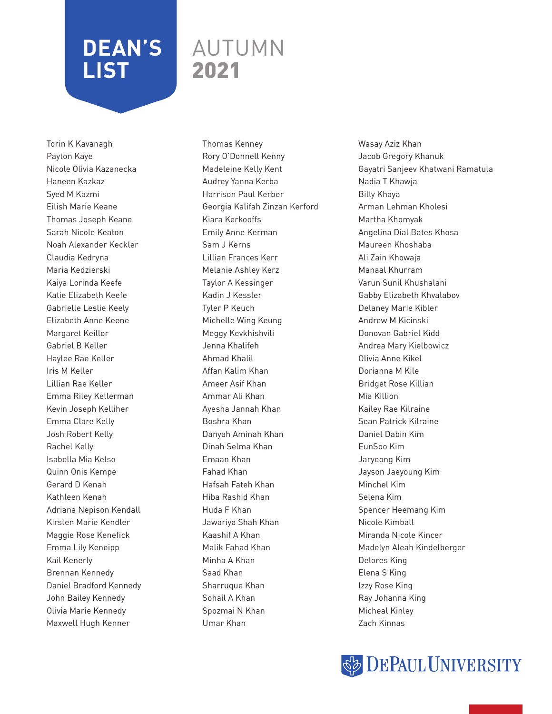### AUTUMN 2021

Torin K Kavanagh Payton Kaye Nicole Olivia Kazanecka Haneen Kazkaz Syed M Kazmi Eilish Marie Keane Thomas Joseph Keane Sarah Nicole Keaton Noah Alexander Keckler Claudia Kedryna Maria Kedzierski Kaiya Lorinda Keefe Katie Elizabeth Keefe Gabrielle Leslie Keely Elizabeth Anne Keene Margaret Keillor Gabriel B Keller Haylee Rae Keller Iris M Keller Lillian Rae Keller Emma Riley Kellerman Kevin Joseph Kelliher Emma Clare Kelly Josh Robert Kelly Rachel Kelly Isabella Mia Kelso Quinn Onis Kempe Gerard D Kenah Kathleen Kenah Adriana Nepison Kendall Kirsten Marie Kendler Maggie Rose Kenefick Emma Lily Keneipp Kail Kenerly Brennan Kennedy Daniel Bradford Kennedy John Bailey Kennedy Olivia Marie Kennedy Maxwell Hugh Kenner

Thomas Kenney Rory O'Donnell Kenny Madeleine Kelly Kent Audrey Yanna Kerba Harrison Paul Kerber Georgia Kalifah Zinzan Kerford Kiara Kerkooffs Emily Anne Kerman Sam J Kerns Lillian Frances Kerr Melanie Ashley Kerz Taylor A Kessinger Kadin J Kessler Tyler P Keuch Michelle Wing Keung Meggy Kevkhishvili Jenna Khalifeh Ahmad Khalil Affan Kalim Khan Ameer Asif Khan Ammar Ali Khan Ayesha Jannah Khan Boshra Khan Danyah Aminah Khan Dinah Selma Khan Emaan Khan Fahad Khan Hafsah Fateh Khan Hiba Rashid Khan Huda F Khan Jawariya Shah Khan Kaashif A Khan Malik Fahad Khan Minha A Khan Saad Khan Sharruque Khan Sohail A Khan Spozmai N Khan Umar Khan

Wasay Aziz Khan Jacob Gregory Khanuk Gayatri Sanjeev Khatwani Ramatula Nadia T Khawja Billy Khaya Arman Lehman Kholesi Martha Khomyak Angelina Dial Bates Khosa Maureen Khoshaba Ali Zain Khowaja Manaal Khurram Varun Sunil Khushalani Gabby Elizabeth Khvalabov Delaney Marie Kibler Andrew M Kicinski Donovan Gabriel Kidd Andrea Mary Kielbowicz Olivia Anne Kikel Dorianna M Kile Bridget Rose Killian Mia Killion Kailey Rae Kilraine Sean Patrick Kilraine Daniel Dabin Kim EunSoo Kim Jaryeong Kim Jayson Jaeyoung Kim Minchel Kim Selena Kim Spencer Heemang Kim Nicole Kimball Miranda Nicole Kincer Madelyn Aleah Kindelberger Delores King Elena S King Izzy Rose King Ray Johanna King Micheal Kinley Zach Kinnas

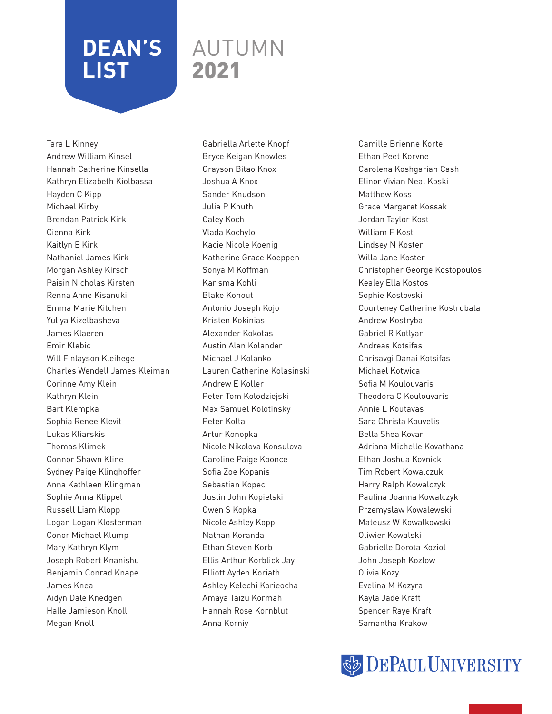### AUTUMN 2021

Tara L Kinney Andrew William Kinsel Hannah Catherine Kinsella Kathryn Elizabeth Kiolbassa Hayden C Kipp Michael Kirby Brendan Patrick Kirk Cienna Kirk Kaitlyn E Kirk Nathaniel James Kirk Morgan Ashley Kirsch Paisin Nicholas Kirsten Renna Anne Kisanuki Emma Marie Kitchen Yuliya Kizelbasheva James Klaeren Emir Klebic Will Finlayson Kleihege Charles Wendell James Kleiman Corinne Amy Klein Kathryn Klein Bart Klempka Sophia Renee Klevit Lukas Kliarskis Thomas Klimek Connor Shawn Kline Sydney Paige Klinghoffer Anna Kathleen Klingman Sophie Anna Klippel Russell Liam Klopp Logan Logan Klosterman Conor Michael Klump Mary Kathryn Klym Joseph Robert Knanishu Benjamin Conrad Knape James Knea Aidyn Dale Knedgen Halle Jamieson Knoll Megan Knoll

Gabriella Arlette Knopf Bryce Keigan Knowles Grayson Bitao Knox Joshua A Knox Sander Knudson Julia P Knuth Caley Koch Vlada Kochylo Kacie Nicole Koenig Katherine Grace Koeppen Sonya M Koffman Karisma Kohli Blake Kohout Antonio Joseph Kojo Kristen Kokinias Alexander Kokotas Austin Alan Kolander Michael J Kolanko Lauren Catherine Kolasinski Andrew E Koller Peter Tom Kolodziejski Max Samuel Kolotinsky Peter Koltai Artur Konopka Nicole Nikolova Konsulova Caroline Paige Koonce Sofia Zoe Kopanis Sebastian Kopec Justin John Kopielski Owen S Kopka Nicole Ashley Kopp Nathan Koranda Ethan Steven Korb Ellis Arthur Korblick Jay Elliott Ayden Koriath Ashley Kelechi Korieocha Amaya Taizu Kormah Hannah Rose Kornblut Anna Korniy

Camille Brienne Korte Ethan Peet Korvne Carolena Koshgarian Cash Elinor Vivian Neal Koski Matthew Koss Grace Margaret Kossak Jordan Taylor Kost William F Kost Lindsey N Koster Willa Jane Koster Christopher George Kostopoulos Kealey Ella Kostos Sophie Kostovski Courteney Catherine Kostrubala Andrew Kostryba Gabriel R Kotlyar Andreas Kotsifas Chrisavgi Danai Kotsifas Michael Kotwica Sofia M Koulouvaris Theodora C Koulouvaris Annie L Koutavas Sara Christa Kouvelis Bella Shea Kovar Adriana Michelle Kovathana Ethan Joshua Kovnick Tim Robert Kowalczuk Harry Ralph Kowalczyk Paulina Joanna Kowalczyk Przemyslaw Kowalewski Mateusz W Kowalkowski Oliwier Kowalski Gabrielle Dorota Koziol John Joseph Kozlow Olivia Kozy Evelina M Kozyra Kayla Jade Kraft Spencer Raye Kraft Samantha Krakow

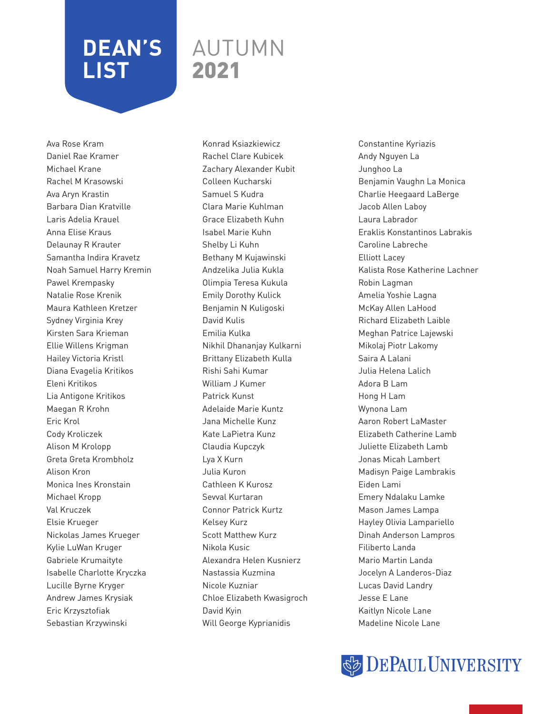### AUTUMN 2021

Ava Rose Kram Daniel Rae Kramer Michael Krane Rachel M Krasowski Ava Aryn Krastin Barbara Dian Kratville Laris Adelia Krauel Anna Elise Kraus Delaunay R Krauter Samantha Indira Kravetz Noah Samuel Harry Kremin Pawel Krempasky Natalie Rose Krenik Maura Kathleen Kretzer Sydney Virginia Krey Kirsten Sara Krieman Ellie Willens Krigman Hailey Victoria Kristl Diana Evagelia Kritikos Eleni Kritikos Lia Antigone Kritikos Maegan R Krohn Eric Krol Cody Kroliczek Alison M Krolopp Greta Greta Krombholz Alison Kron Monica Ines Kronstain Michael Kropp Val Kruczek Elsie Krueger Nickolas James Krueger Kylie LuWan Kruger Gabriele Krumaityte Isabelle Charlotte Kryczka Lucille Byrne Kryger Andrew James Krysiak Eric Krzysztofiak Sebastian Krzywinski

Konrad Ksiazkiewicz Rachel Clare Kubicek Zachary Alexander Kubit Colleen Kucharski Samuel S Kudra Clara Marie Kuhlman Grace Elizabeth Kuhn Isabel Marie Kuhn Shelby Li Kuhn Bethany M Kujawinski Andzelika Julia Kukla Olimpia Teresa Kukula Emily Dorothy Kulick Benjamin N Kuligoski David Kulis Emilia Kulka Nikhil Dhananjay Kulkarni Brittany Elizabeth Kulla Rishi Sahi Kumar William J Kumer Patrick Kunst Adelaide Marie Kuntz Jana Michelle Kunz Kate LaPietra Kunz Claudia Kupczyk Lya X Kurn Julia Kuron Cathleen K Kurosz Sevval Kurtaran Connor Patrick Kurtz Kelsey Kurz Scott Matthew Kurz Nikola Kusic Alexandra Helen Kusnierz Nastassia Kuzmina Nicole Kuzniar Chloe Elizabeth Kwasigroch David Kyin Will George Kyprianidis

Constantine Kyriazis Andy Nguyen La Junghoo La Benjamin Vaughn La Monica Charlie Heegaard LaBerge Jacob Allen Laboy Laura Labrador Eraklis Konstantinos Labrakis Caroline Labreche Elliott Lacey Kalista Rose Katherine Lachner Robin Lagman Amelia Yoshie Lagna McKay Allen LaHood Richard Elizabeth Laible Meghan Patrice Lajewski Mikolaj Piotr Lakomy Saira A Lalani Julia Helena Lalich Adora B Lam Hong H Lam Wynona Lam Aaron Robert LaMaster Elizabeth Catherine Lamb Juliette Elizabeth Lamb Jonas Micah Lambert Madisyn Paige Lambrakis Eiden Lami Emery Ndalaku Lamke Mason James Lampa Hayley Olivia Lampariello Dinah Anderson Lampros Filiberto Landa Mario Martin Landa Jocelyn A Landeros-Diaz Lucas David Landry Jesse E Lane Kaitlyn Nicole Lane Madeline Nicole Lane

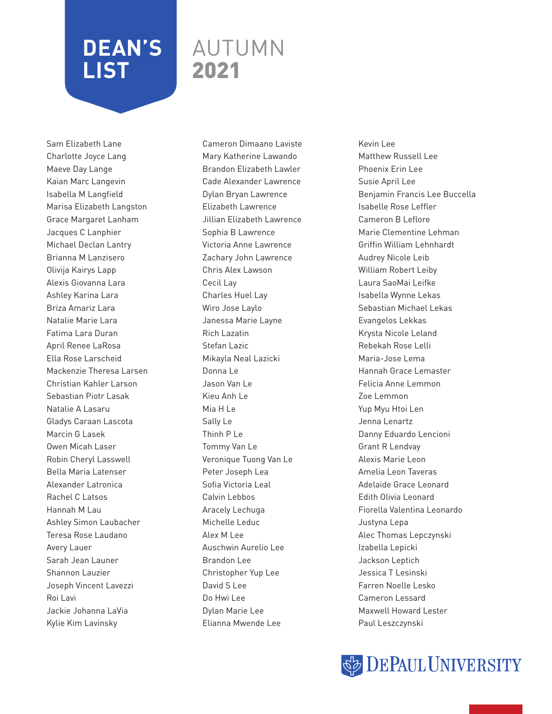### AUTUMN 2021

Sam Elizabeth Lane Charlotte Joyce Lang Maeve Day Lange Kaian Marc Langevin Isabella M Langfield Marisa Elizabeth Langston Grace Margaret Lanham Jacques C Lanphier Michael Declan Lantry Brianna M Lanzisero Olivija Kairys Lapp Alexis Giovanna Lara Ashley Karina Lara Briza Amariz Lara Natalie Marie Lara Fatima Lara Duran April Renee LaRosa Ella Rose Larscheid Mackenzie Theresa Larsen Christian Kahler Larson Sebastian Piotr Lasak Natalie A Lasaru Gladys Caraan Lascota Marcin G Lasek Owen Micah Laser Robin Cheryl Lasswell Bella Maria Latenser Alexander Latronica Rachel C Latsos Hannah M Lau Ashley Simon Laubacher Teresa Rose Laudano Avery Lauer Sarah Jean Launer Shannon Lauzier Joseph Vincent Lavezzi Roi Lavi Jackie Johanna LaVia Kylie Kim Lavinsky

Cameron Dimaano Laviste Mary Katherine Lawando Brandon Elizabeth Lawler Cade Alexander Lawrence Dylan Bryan Lawrence Elizabeth Lawrence Jillian Elizabeth Lawrence Sophia B Lawrence Victoria Anne Lawrence Zachary John Lawrence Chris Alex Lawson Cecil Lay Charles Huel Lay Wiro Jose Laylo Janessa Marie Layne Rich Lazatin Stefan Lazic Mikayla Neal Lazicki Donna Le Jason Van Le Kieu Anh Le Mia H Le Sally Le Thinh P Le Tommy Van Le Veronique Tuong Van Le Peter Joseph Lea Sofia Victoria Leal Calvin Lebbos Aracely Lechuga Michelle Leduc Alex M Lee Auschwin Aurelio Lee Brandon Lee Christopher Yup Lee David S Lee Do Hwi Lee Dylan Marie Lee Elianna Mwende Lee

Kevin Lee Matthew Russell Lee Phoenix Erin Lee Susie April Lee Benjamin Francis Lee Buccella Isabelle Rose Leffler Cameron B Leflore Marie Clementine Lehman Griffin William Lehnhardt Audrey Nicole Leib William Robert Leiby Laura SaoMai Leifke Isabella Wynne Lekas Sebastian Michael Lekas Evangelos Lekkas Krysta Nicole Leland Rebekah Rose Lelli Maria-Jose Lema Hannah Grace Lemaster Felicia Anne Lemmon Zoe Lemmon Yup Myu Htoi Len Jenna Lenartz Danny Eduardo Lencioni Grant R Lendvay Alexis Marie Leon Amelia Leon Taveras Adelaide Grace Leonard Edith Olivia Leonard Fiorella Valentina Leonardo Justyna Lepa Alec Thomas Lepczynski Izabella Lepicki Jackson Leptich Jessica T Lesinski Farren Noelle Lesko Cameron Lessard Maxwell Howard Lester Paul Leszczynski

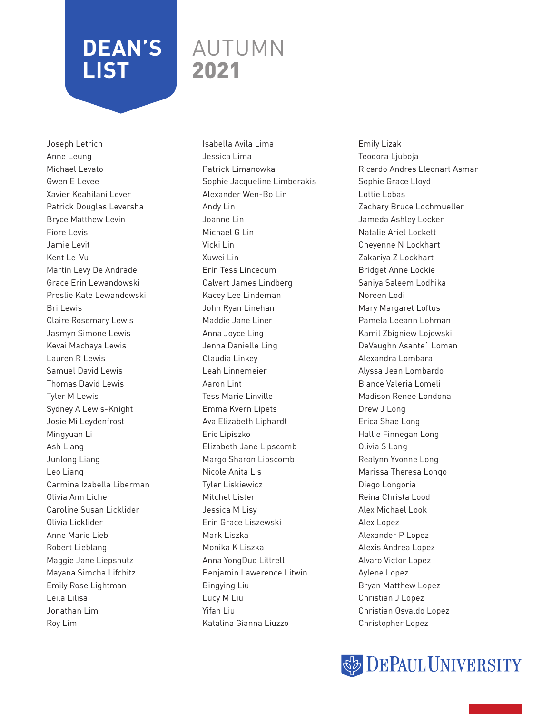### AUTUMN 2021

Joseph Letrich Anne Leung Michael Levato Gwen E Levee Xavier Keahilani Lever Patrick Douglas Leversha Bryce Matthew Levin Fiore Levis Jamie Levit Kent Le-Vu Martin Levy De Andrade Grace Erin Lewandowski Preslie Kate Lewandowski Bri Lewis Claire Rosemary Lewis Jasmyn Simone Lewis Kevai Machaya Lewis Lauren R Lewis Samuel David Lewis Thomas David Lewis Tyler M Lewis Sydney A Lewis-Knight Josie Mi Leydenfrost Mingyuan Li Ash Liang Junlong Liang Leo Liang Carmina Izabella Liberman Olivia Ann Licher Caroline Susan Licklider Olivia Licklider Anne Marie Lieb Robert Lieblang Maggie Jane Liepshutz Mayana Simcha Lifchitz Emily Rose Lightman Leila Lilisa Jonathan Lim Roy Lim

Isabella Avila Lima Jessica Lima Patrick Limanowka Sophie Jacqueline Limberakis Alexander Wen-Bo Lin Andy Lin Joanne Lin Michael G Lin Vicki Lin Xuwei Lin Erin Tess Lincecum Calvert James Lindberg Kacey Lee Lindeman John Ryan Linehan Maddie Jane Liner Anna Joyce Ling Jenna Danielle Ling Claudia Linkey Leah Linnemeier Aaron Lint Tess Marie Linville Emma Kvern Lipets Ava Elizabeth Liphardt Eric Lipiszko Elizabeth Jane Lipscomb Margo Sharon Lipscomb Nicole Anita Lis Tyler Liskiewicz Mitchel Lister Jessica M Lisy Erin Grace Liszewski Mark Liszka Monika K Liszka Anna YongDuo Littrell Benjamin Lawerence Litwin Bingying Liu Lucy M Liu Yifan Liu Katalina Gianna Liuzzo

Emily Lizak Teodora Ljuboja Ricardo Andres Lleonart Asmar Sophie Grace Lloyd Lottie Lobas Zachary Bruce Lochmueller Jameda Ashley Locker Natalie Ariel Lockett Cheyenne N Lockhart Zakariya Z Lockhart Bridget Anne Lockie Saniya Saleem Lodhika Noreen Lodi Mary Margaret Loftus Pamela Leeann Lohman Kamil Zbigniew Lojowski DeVaughn Asante` Loman Alexandra Lombara Alyssa Jean Lombardo Biance Valeria Lomeli Madison Renee Londona Drew J Long Erica Shae Long Hallie Finnegan Long Olivia S Long Realynn Yvonne Long Marissa Theresa Longo Diego Longoria Reina Christa Lood Alex Michael Look Alex Lopez Alexander P Lopez Alexis Andrea Lopez Alvaro Victor Lopez Aylene Lopez Bryan Matthew Lopez Christian J Lopez Christian Osvaldo Lopez Christopher Lopez

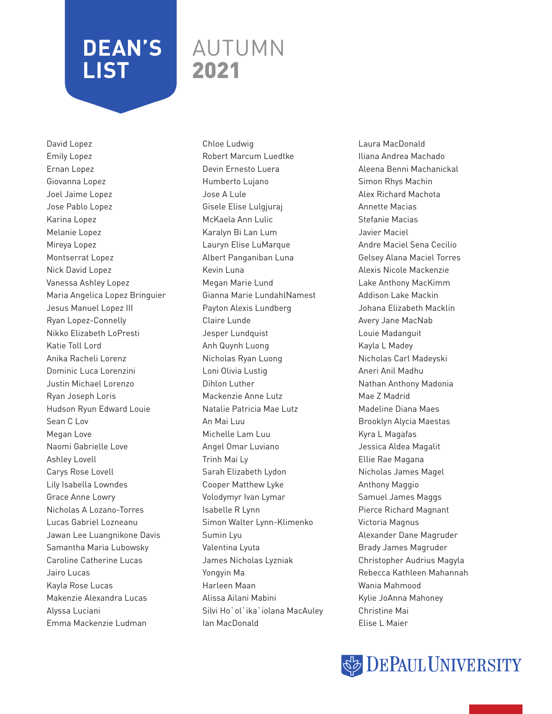### AUTUMN 2021

David Lopez Emily Lopez Ernan Lopez Giovanna Lopez Joel Jaime Lopez Jose Pablo Lopez Karina Lopez Melanie Lopez Mireya Lopez Montserrat Lopez Nick David Lopez Vanessa Ashley Lopez Maria Angelica Lopez Bringuier Jesus Manuel Lopez III Ryan Lopez-Connelly Nikko Elizabeth LoPresti Katie Toll Lord Anika Racheli Lorenz Dominic Luca Lorenzini Justin Michael Lorenzo Ryan Joseph Loris Hudson Ryun Edward Louie Sean C Lov Megan Love Naomi Gabrielle Love Ashley Lovell Carys Rose Lovell Lily Isabella Lowndes Grace Anne Lowry Nicholas A Lozano-Torres Lucas Gabriel Lozneanu Jawan Lee Luangnikone Davis Samantha Maria Lubowsky Caroline Catherine Lucas Jairo Lucas Kayla Rose Lucas Makenzie Alexandra Lucas Alyssa Luciani Emma Mackenzie Ludman

Chloe Ludwig Robert Marcum Luedtke Devin Ernesto Luera Humberto Lujano Jose A Lule Gisele Elise Lulgjuraj McKaela Ann Lulic Karalyn Bi Lan Lum Lauryn Elise LuMarque Albert Panganiban Luna Kevin Luna Megan Marie Lund Gianna Marie LundahlNamest Payton Alexis Lundberg Claire Lunde Jesper Lundquist Anh Quynh Luong Nicholas Ryan Luong Loni Olivia Lustig Dihlon Luther Mackenzie Anne Lutz Natalie Patricia Mae Lutz An Mai Luu Michelle Lam Luu Angel Omar Luviano Trinh Mai Ly Sarah Elizabeth Lydon Cooper Matthew Lyke Volodymyr Ivan Lymar Isabelle R Lynn Simon Walter Lynn-Klimenko Sumin Lyu Valentina Lyuta James Nicholas Lyzniak Yongyin Ma Harleen Maan Alissa Ailani Mabini Silvi Ho`ol`ika`iolana MacAuley Ian MacDonald

Laura MacDonald Iliana Andrea Machado Aleena Benni Machanickal Simon Rhys Machin Alex Richard Machota Annette Macias Stefanie Macias Javier Maciel Andre Maciel Sena Cecilio Gelsey Alana Maciel Torres Alexis Nicole Mackenzie Lake Anthony MacKimm Addison Lake Mackin Johana Elizabeth Macklin Avery Jane MacNab Louie Madanguit Kayla L Madey Nicholas Carl Madeyski Aneri Anil Madhu Nathan Anthony Madonia Mae Z Madrid Madeline Diana Maes Brooklyn Alycia Maestas Kyra L Magafas Jessica Aldea Magalit Ellie Rae Magana Nicholas James Magel Anthony Maggio Samuel James Maggs Pierce Richard Magnant Victoria Magnus Alexander Dane Magruder Brady James Magruder Christopher Audrius Magyla Rebecca Kathleen Mahannah Wania Mahmood Kylie JoAnna Mahoney Christine Mai Elise L Maier

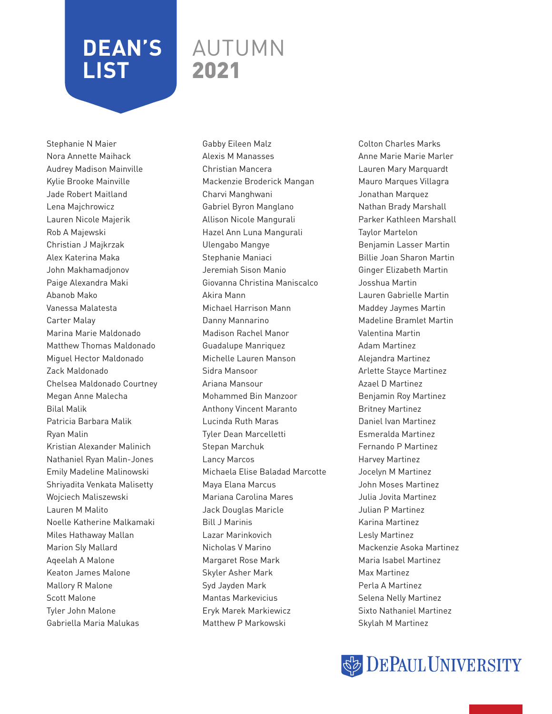### AUTUMN 2021

Stephanie N Maier Nora Annette Maihack Audrey Madison Mainville Kylie Brooke Mainville Jade Robert Maitland Lena Majchrowicz Lauren Nicole Majerik Rob A Majewski Christian J Majkrzak Alex Katerina Maka John Makhamadjonov Paige Alexandra Maki Abanob Mako Vanessa Malatesta Carter Malay Marina Marie Maldonado Matthew Thomas Maldonado Miguel Hector Maldonado Zack Maldonado Chelsea Maldonado Courtney Megan Anne Malecha Bilal Malik Patricia Barbara Malik Ryan Malin Kristian Alexander Malinich Nathaniel Ryan Malin-Jones Emily Madeline Malinowski Shriyadita Venkata Malisetty Wojciech Maliszewski Lauren M Malito Noelle Katherine Malkamaki Miles Hathaway Mallan Marion Sly Mallard Aqeelah A Malone Keaton James Malone Mallory R Malone Scott Malone Tyler John Malone Gabriella Maria Malukas

Gabby Eileen Malz Alexis M Manasses Christian Mancera Mackenzie Broderick Mangan Charvi Manghwani Gabriel Byron Manglano Allison Nicole Mangurali Hazel Ann Luna Mangurali Ulengabo Mangye Stephanie Maniaci Jeremiah Sison Manio Giovanna Christina Maniscalco Akira Mann Michael Harrison Mann Danny Mannarino Madison Rachel Manor Guadalupe Manriquez Michelle Lauren Manson Sidra Mansoor Ariana Mansour Mohammed Bin Manzoor Anthony Vincent Maranto Lucinda Ruth Maras Tyler Dean Marcelletti Stepan Marchuk Lancy Marcos Michaela Elise Baladad Marcotte Maya Elana Marcus Mariana Carolina Mares Jack Douglas Maricle Bill J Marinis Lazar Marinkovich Nicholas V Marino Margaret Rose Mark Skyler Asher Mark Syd Jayden Mark Mantas Markevicius Eryk Marek Markiewicz Matthew P Markowski

Colton Charles Marks Anne Marie Marie Marler Lauren Mary Marquardt Mauro Marques Villagra Jonathan Marquez Nathan Brady Marshall Parker Kathleen Marshall Taylor Martelon Benjamin Lasser Martin Billie Joan Sharon Martin Ginger Elizabeth Martin Josshua Martin Lauren Gabrielle Martin Maddey Jaymes Martin Madeline Bramlet Martin Valentina Martin Adam Martinez Alejandra Martinez Arlette Stayce Martinez Azael D Martinez Benjamin Roy Martinez Britney Martinez Daniel Ivan Martinez Esmeralda Martinez Fernando P Martinez Harvey Martinez Jocelyn M Martinez John Moses Martinez Julia Jovita Martinez Julian P Martinez Karina Martinez Lesly Martinez Mackenzie Asoka Martinez Maria Isabel Martinez Max Martinez Perla A Martinez Selena Nelly Martinez Sixto Nathaniel Martinez Skylah M Martinez

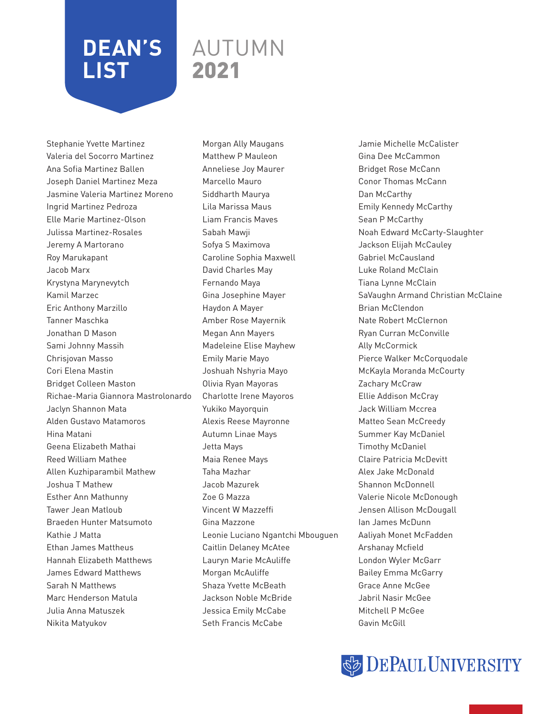### AUTUMN 2021

Stephanie Yvette Martinez Valeria del Socorro Martinez Ana Sofia Martinez Ballen Joseph Daniel Martinez Meza Jasmine Valeria Martinez Moreno Ingrid Martinez Pedroza Elle Marie Martinez-Olson Julissa Martinez-Rosales Jeremy A Martorano Roy Marukapant Jacob Marx Krystyna Marynevytch Kamil Marzec Eric Anthony Marzillo Tanner Maschka Jonathan D Mason Sami Johnny Massih Chrisjovan Masso Cori Elena Mastin Bridget Colleen Maston Richae-Maria Giannora Mastrolonardo Jaclyn Shannon Mata Alden Gustavo Matamoros Hina Matani Geena Elizabeth Mathai Reed William Mathee Allen Kuzhiparambil Mathew Joshua T Mathew Esther Ann Mathunny Tawer Jean Matloub Braeden Hunter Matsumoto Kathie J Matta Ethan James Mattheus Hannah Elizabeth Matthews James Edward Matthews Sarah N Matthews Marc Henderson Matula Julia Anna Matuszek Nikita Matyukov

Morgan Ally Maugans Matthew P Mauleon Anneliese Joy Maurer Marcello Mauro Siddharth Maurya Lila Marissa Maus Liam Francis Maves Sabah Mawji Sofya S Maximova Caroline Sophia Maxwell David Charles May Fernando Maya Gina Josephine Mayer Haydon A Mayer Amber Rose Mayernik Megan Ann Mayers Madeleine Elise Mayhew Emily Marie Mayo Joshuah Nshyria Mayo Olivia Ryan Mayoras Charlotte Irene Mayoros Yukiko Mayorquin Alexis Reese Mayronne Autumn Linae Mays Jetta Mays Maia Renee Mays Taha Mazhar Jacob Mazurek Zoe G Mazza Vincent W Mazzeffi Gina Mazzone Leonie Luciano Ngantchi Mbouguen Caitlin Delaney McAtee Lauryn Marie McAuliffe Morgan McAuliffe Shaza Yvette McBeath Jackson Noble McBride Jessica Emily McCabe Seth Francis McCabe

Jamie Michelle McCalister Gina Dee McCammon Bridget Rose McCann Conor Thomas McCann Dan McCarthy Emily Kennedy McCarthy Sean P McCarthy Noah Edward McCarty-Slaughter Jackson Elijah McCauley Gabriel McCausland Luke Roland McClain Tiana Lynne McClain SaVaughn Armand Christian McClaine Brian McClendon Nate Robert McClernon Ryan Curran McConville Ally McCormick Pierce Walker McCorquodale McKayla Moranda McCourty Zachary McCraw Ellie Addison McCray Jack William Mccrea Matteo Sean McCreedy Summer Kay McDaniel Timothy McDaniel Claire Patricia McDevitt Alex Jake McDonald Shannon McDonnell Valerie Nicole McDonough Jensen Allison McDougall Ian James McDunn Aaliyah Monet McFadden Arshanay Mcfield London Wyler McGarr Bailey Emma McGarry Grace Anne McGee Jabril Nasir McGee Mitchell P McGee Gavin McGill

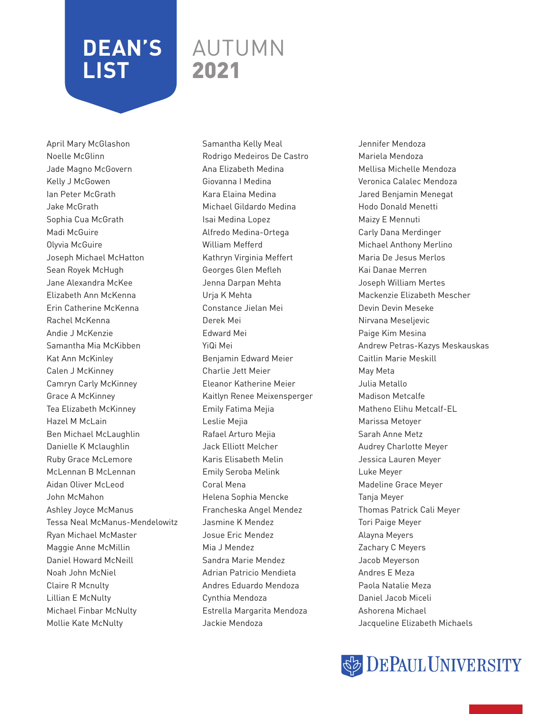### AUTUMN 2021

April Mary McGlashon Noelle McGlinn Jade Magno McGovern Kelly J McGowen Ian Peter McGrath Jake McGrath Sophia Cua McGrath Madi McGuire Olyvia McGuire Joseph Michael McHatton Sean Royek McHugh Jane Alexandra McKee Elizabeth Ann McKenna Erin Catherine McKenna Rachel McKenna Andie J McKenzie Samantha Mia McKibben Kat Ann McKinley Calen J McKinney Camryn Carly McKinney Grace A McKinney Tea Elizabeth McKinney Hazel M McLain Ben Michael McLaughlin Danielle K Mclaughlin Ruby Grace McLemore McLennan B McLennan Aidan Oliver McLeod John McMahon Ashley Joyce McManus Tessa Neal McManus-Mendelowitz Ryan Michael McMaster Maggie Anne McMillin Daniel Howard McNeill Noah John McNiel Claire R Mcnulty Lillian E McNulty Michael Finbar McNulty Mollie Kate McNulty

Samantha Kelly Meal Rodrigo Medeiros De Castro Ana Elizabeth Medina Giovanna I Medina Kara Elaina Medina Michael Gildardo Medina Isai Medina Lopez Alfredo Medina-Ortega William Mefferd Kathryn Virginia Meffert Georges Glen Mefleh Jenna Darpan Mehta Urja K Mehta Constance Jielan Mei Derek Mei Edward Mei YiQi Mei Benjamin Edward Meier Charlie Jett Meier Eleanor Katherine Meier Kaitlyn Renee Meixensperger Emily Fatima Mejia Leslie Mejia Rafael Arturo Mejia Jack Elliott Melcher Karis Elisabeth Melin Emily Seroba Melink Coral Mena Helena Sophia Mencke Francheska Angel Mendez Jasmine K Mendez Josue Eric Mendez Mia J Mendez Sandra Marie Mendez Adrian Patricio Mendieta Andres Eduardo Mendoza Cynthia Mendoza Estrella Margarita Mendoza Jackie Mendoza

Jennifer Mendoza Mariela Mendoza Mellisa Michelle Mendoza Veronica Calalec Mendoza Jared Benjamin Menegat Hodo Donald Menetti Maizy E Mennuti Carly Dana Merdinger Michael Anthony Merlino Maria De Jesus Merlos Kai Danae Merren Joseph William Mertes Mackenzie Elizabeth Mescher Devin Devin Meseke Nirvana Meseljevic Paige Kim Mesina Andrew Petras-Kazys Meskauskas Caitlin Marie Meskill May Meta Julia Metallo Madison Metcalfe Matheno Elihu Metcalf-EL Marissa Metoyer Sarah Anne Metz Audrey Charlotte Meyer Jessica Lauren Meyer Luke Meyer Madeline Grace Meyer Tanja Meyer Thomas Patrick Cali Meyer Tori Paige Meyer Alayna Meyers Zachary C Meyers Jacob Meyerson Andres E Meza Paola Natalie Meza Daniel Jacob Miceli Ashorena Michael Jacqueline Elizabeth Michaels

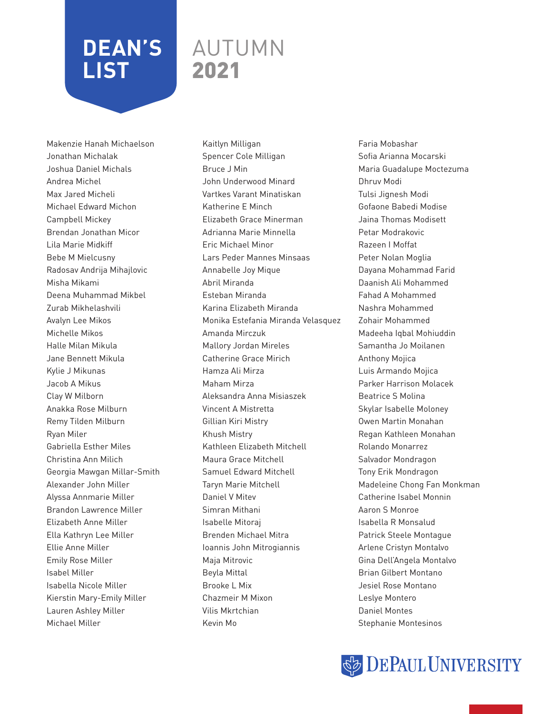### AUTUMN 2021

Makenzie Hanah Michaelson Jonathan Michalak Joshua Daniel Michals Andrea Michel Max Jared Micheli Michael Edward Michon Campbell Mickey Brendan Jonathan Micor Lila Marie Midkiff Bebe M Mielcusny Radosav Andrija Mihajlovic Misha Mikami Deena Muhammad Mikbel Zurab Mikhelashvili Avalyn Lee Mikos Michelle Mikos Halle Milan Mikula Jane Bennett Mikula Kylie J Mikunas Jacob A Mikus Clay W Milborn Anakka Rose Milburn Remy Tilden Milburn Ryan Miler Gabriella Esther Miles Christina Ann Milich Georgia Mawgan Millar-Smith Alexander John Miller Alyssa Annmarie Miller Brandon Lawrence Miller Elizabeth Anne Miller Ella Kathryn Lee Miller Ellie Anne Miller Emily Rose Miller Isabel Miller Isabella Nicole Miller Kierstin Mary-Emily Miller Lauren Ashley Miller Michael Miller

Kaitlyn Milligan Spencer Cole Milligan Bruce J Min John Underwood Minard Vartkes Varant Minatiskan Katherine E Minch Elizabeth Grace Minerman Adrianna Marie Minnella Eric Michael Minor Lars Peder Mannes Minsaas Annabelle Joy Mique Abril Miranda Esteban Miranda Karina Elizabeth Miranda Monika Estefania Miranda Velasquez Amanda Mirczuk Mallory Jordan Mireles Catherine Grace Mirich Hamza Ali Mirza Maham Mirza Aleksandra Anna Misiaszek Vincent A Mistretta Gillian Kiri Mistry Khush Mistry Kathleen Elizabeth Mitchell Maura Grace Mitchell Samuel Edward Mitchell Taryn Marie Mitchell Daniel V Mitev Simran Mithani Isabelle Mitoraj Brenden Michael Mitra Ioannis John Mitrogiannis Maja Mitrovic Beyla Mittal Brooke L Mix Chazmeir M Mixon Vilis Mkrtchian Kevin Mo

Faria Mobashar Sofia Arianna Mocarski Maria Guadalupe Moctezuma Dhruv Modi Tulsi Jignesh Modi Gofaone Babedi Modise Jaina Thomas Modisett Petar Modrakovic Razeen I Moffat Peter Nolan Moglia Dayana Mohammad Farid Daanish Ali Mohammed Fahad A Mohammed Nashra Mohammed Zohair Mohammed Madeeha Iqbal Mohiuddin Samantha Jo Moilanen Anthony Mojica Luis Armando Mojica Parker Harrison Molacek Beatrice S Molina Skylar Isabelle Moloney Owen Martin Monahan Regan Kathleen Monahan Rolando Monarrez Salvador Mondragon Tony Erik Mondragon Madeleine Chong Fan Monkman Catherine Isabel Monnin Aaron S Monroe Isabella R Monsalud Patrick Steele Montague Arlene Cristyn Montalvo Gina Dell'Angela Montalvo Brian Gilbert Montano Jesiel Rose Montano Leslye Montero Daniel Montes Stephanie Montesinos

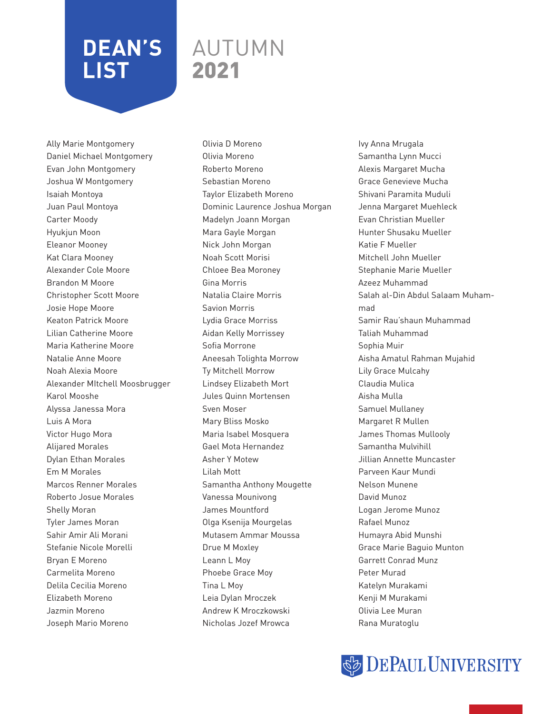### AUTUMN 2021

Ally Marie Montgomery Daniel Michael Montgomery Evan John Montgomery Joshua W Montgomery Isaiah Montoya Juan Paul Montoya Carter Moody Hyukjun Moon Eleanor Mooney Kat Clara Mooney Alexander Cole Moore Brandon M Moore Christopher Scott Moore Josie Hope Moore Keaton Patrick Moore Lilian Catherine Moore Maria Katherine Moore Natalie Anne Moore Noah Alexia Moore Alexander MItchell Moosbrugger Karol Mooshe Alyssa Janessa Mora Luis A Mora Victor Hugo Mora Alijared Morales Dylan Ethan Morales Em M Morales Marcos Renner Morales Roberto Josue Morales Shelly Moran Tyler James Moran Sahir Amir Ali Morani Stefanie Nicole Morelli Bryan E Moreno Carmelita Moreno Delila Cecilia Moreno Elizabeth Moreno Jazmin Moreno Joseph Mario Moreno

Olivia D Moreno Olivia Moreno Roberto Moreno Sebastian Moreno Taylor Elizabeth Moreno Dominic Laurence Joshua Morgan Madelyn Joann Morgan Mara Gayle Morgan Nick John Morgan Noah Scott Morisi Chloee Bea Moroney Gina Morris Natalia Claire Morris Savion Morris Lydia Grace Morriss Aidan Kelly Morrissey Sofia Morrone Aneesah Tolighta Morrow Ty Mitchell Morrow Lindsey Elizabeth Mort Jules Quinn Mortensen Sven Moser Mary Bliss Mosko Maria Isabel Mosquera Gael Mota Hernandez Asher Y Motew Lilah Mott Samantha Anthony Mougette Vanessa Mounivong James Mountford Olga Ksenija Mourgelas Mutasem Ammar Moussa Drue M Moxley Leann L Moy Phoebe Grace Moy Tina L Moy Leia Dylan Mroczek Andrew K Mroczkowski Nicholas Jozef Mrowca

Ivy Anna Mrugala Samantha Lynn Mucci Alexis Margaret Mucha Grace Genevieve Mucha Shivani Paramita Muduli Jenna Margaret Muehleck Evan Christian Mueller Hunter Shusaku Mueller Katie F Mueller Mitchell John Mueller Stephanie Marie Mueller Azeez Muhammad Salah al-Din Abdul Salaam Muhammad Samir Rau'shaun Muhammad Taliah Muhammad Sophia Muir Aisha Amatul Rahman Mujahid Lily Grace Mulcahy Claudia Mulica Aisha Mulla Samuel Mullaney Margaret R Mullen James Thomas Mullooly Samantha Mulvihill Jillian Annette Muncaster Parveen Kaur Mundi Nelson Munene David Munoz Logan Jerome Munoz Rafael Munoz Humayra Abid Munshi Grace Marie Baguio Munton Garrett Conrad Munz Peter Murad Katelyn Murakami Kenji M Murakami Olivia Lee Muran Rana Muratoglu

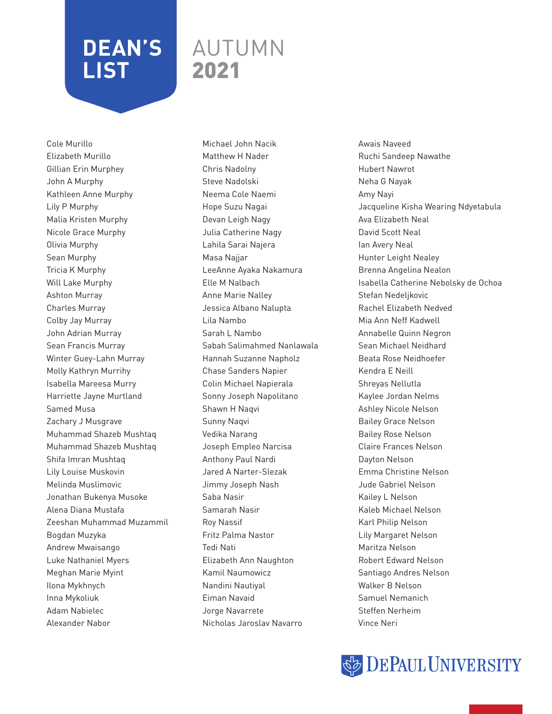### AUTUMN 2021

Cole Murillo Elizabeth Murillo Gillian Erin Murphey John A Murphy Kathleen Anne Murphy Lily P Murphy Malia Kristen Murphy Nicole Grace Murphy Olivia Murphy Sean Murphy Tricia K Murphy Will Lake Murphy Ashton Murray Charles Murray Colby Jay Murray John Adrian Murray Sean Francis Murray Winter Guey-Lahn Murray Molly Kathryn Murrihy Isabella Mareesa Murry Harriette Jayne Murtland Samed Musa Zachary J Musgrave Muhammad Shazeb Mushtaq Muhammad Shazeb Mushtaq Shifa Imran Mushtaq Lily Louise Muskovin Melinda Muslimovic Jonathan Bukenya Musoke Alena Diana Mustafa Zeeshan Muhammad Muzammil Bogdan Muzyka Andrew Mwaisango Luke Nathaniel Myers Meghan Marie Myint Ilona Mykhnych Inna Mykoliuk Adam Nabielec Alexander Nabor

Michael John Nacik Matthew H Nader Chris Nadolny Steve Nadolski Neema Cole Naemi Hope Suzu Nagai Devan Leigh Nagy Julia Catherine Nagy Lahila Sarai Najera Masa Najjar LeeAnne Ayaka Nakamura Elle M Nalbach Anne Marie Nalley Jessica Albano Nalupta Lila Nambo Sarah L Nambo Sabah Salimahmed Nanlawala Hannah Suzanne Napholz Chase Sanders Napier Colin Michael Napierala Sonny Joseph Napolitano Shawn H Naqvi Sunny Naqvi Vedika Narang Joseph Empleo Narcisa Anthony Paul Nardi Jared A Narter-Slezak Jimmy Joseph Nash Saba Nasir Samarah Nasir Roy Nassif Fritz Palma Nastor Tedi Nati Elizabeth Ann Naughton Kamil Naumowicz Nandini Nautiyal Eiman Navaid Jorge Navarrete Nicholas Jaroslav Navarro

Awais Naveed Ruchi Sandeep Nawathe Hubert Nawrot Neha G Nayak Amy Nayi Jacqueline Kisha Wearing Ndyetabula Ava Elizabeth Neal David Scott Neal Ian Avery Neal Hunter Leight Nealey Brenna Angelina Nealon Isabella Catherine Nebolsky de Ochoa Stefan Nedeljkovic Rachel Elizabeth Nedved Mia Ann Neff Kadwell Annabelle Quinn Negron Sean Michael Neidhard Beata Rose Neidhoefer Kendra E Neill Shreyas Nellutla Kaylee Jordan Nelms Ashley Nicole Nelson Bailey Grace Nelson Bailey Rose Nelson Claire Frances Nelson Dayton Nelson Emma Christine Nelson Jude Gabriel Nelson Kailey L Nelson Kaleb Michael Nelson Karl Philip Nelson Lily Margaret Nelson Maritza Nelson Robert Edward Nelson Santiago Andres Nelson Walker B Nelson Samuel Nemanich Steffen Nerheim Vince Neri

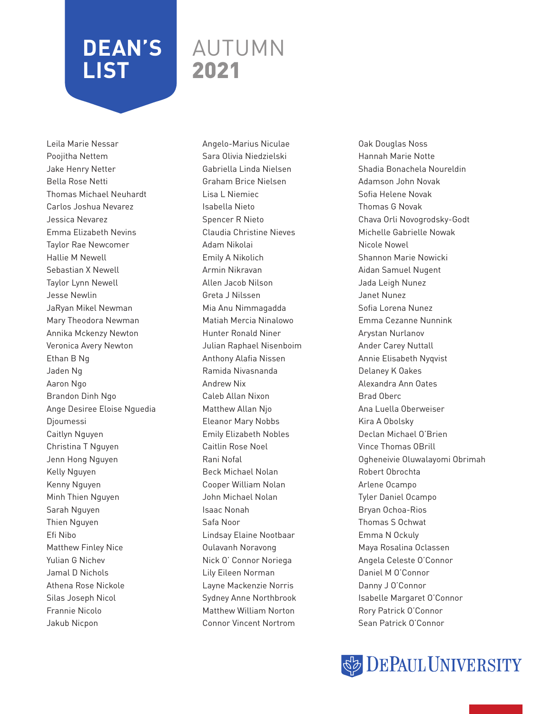### AUTUMN 2021

Leila Marie Nessar Poojitha Nettem Jake Henry Netter Bella Rose Netti Thomas Michael Neuhardt Carlos Joshua Nevarez Jessica Nevarez Emma Elizabeth Nevins Taylor Rae Newcomer Hallie M Newell Sebastian X Newell Taylor Lynn Newell Jesse Newlin JaRyan Mikel Newman Mary Theodora Newman Annika Mckenzy Newton Veronica Avery Newton Ethan B Ng Jaden Ng Aaron Ngo Brandon Dinh Ngo Ange Desiree Eloise Nguedia Djoumessi Caitlyn Nguyen Christina T Nguyen Jenn Hong Nguyen Kelly Nguyen Kenny Nguyen Minh Thien Nguyen Sarah Nguyen Thien Nguyen Efi Nibo Matthew Finley Nice Yulian G Nichev Jamal D Nichols Athena Rose Nickole Silas Joseph Nicol Frannie Nicolo Jakub Nicpon

Angelo-Marius Niculae Sara Olivia Niedzielski Gabriella Linda Nielsen Graham Brice Nielsen Lisa L Niemiec Isabella Nieto Spencer R Nieto Claudia Christine Nieves Adam Nikolai Emily A Nikolich Armin Nikravan Allen Jacob Nilson Greta J Nilssen Mia Anu Nimmagadda Matiah Mercia Ninalowo Hunter Ronald Niner Julian Raphael Nisenboim Anthony Alafia Nissen Ramida Nivasnanda Andrew Nix Caleb Allan Nixon Matthew Allan Njo Eleanor Mary Nobbs Emily Elizabeth Nobles Caitlin Rose Noel Rani Nofal Beck Michael Nolan Cooper William Nolan John Michael Nolan Isaac Nonah Safa Noor Lindsay Elaine Nootbaar Oulavanh Noravong Nick O' Connor Noriega Lily Eileen Norman Layne Mackenzie Norris Sydney Anne Northbrook Matthew William Norton Connor Vincent Nortrom

Oak Douglas Noss Hannah Marie Notte Shadia Bonachela Noureldin Adamson John Novak Sofia Helene Novak Thomas G Novak Chava Orli Novogrodsky-Godt Michelle Gabrielle Nowak Nicole Nowel Shannon Marie Nowicki Aidan Samuel Nugent Jada Leigh Nunez Janet Nunez Sofia Lorena Nunez Emma Cezanne Nunnink Arystan Nurlanov Ander Carey Nuttall Annie Elisabeth Nyqvist Delaney K Oakes Alexandra Ann Oates Brad Oberc Ana Luella Oberweiser Kira A Obolsky Declan Michael O'Brien Vince Thomas OBrill Ogheneivie Oluwalayomi Obrimah Robert Obrochta Arlene Ocampo Tyler Daniel Ocampo Bryan Ochoa-Rios Thomas S Ochwat Emma N Ockuly Maya Rosalina Oclassen Angela Celeste O'Connor Daniel M O'Connor Danny J O'Connor Isabelle Margaret O'Connor Rory Patrick O'Connor Sean Patrick O'Connor

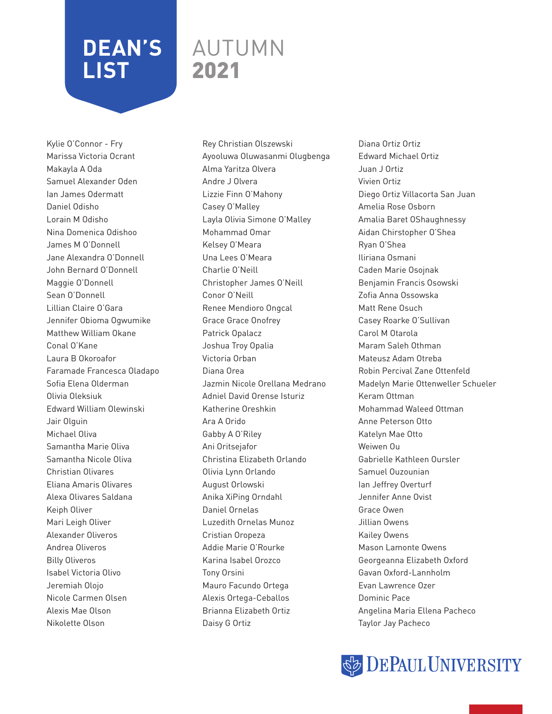### AUTUMN 2021

Kylie O'Connor - Fry Marissa Victoria Ocrant Makayla A Oda Samuel Alexander Oden Ian James Odermatt Daniel Odisho Lorain M Odisho Nina Domenica Odishoo James M O'Donnell Jane Alexandra O'Donnell John Bernard O'Donnell Maggie O'Donnell Sean O'Donnell Lillian Claire O'Gara Jennifer Obioma Ogwumike Matthew William Okane Conal O'Kane Laura B Okoroafor Faramade Francesca Oladapo Sofia Elena Olderman Olivia Oleksiuk Edward William Olewinski Jair Olguin Michael Oliva Samantha Marie Oliva Samantha Nicole Oliva Christian Olivares Eliana Amaris Olivares Alexa Olivares Saldana Keiph Oliver Mari Leigh Oliver Alexander Oliveros Andrea Oliveros Billy Oliveros Isabel Victoria Olivo Jeremiah Olojo Nicole Carmen Olsen Alexis Mae Olson Nikolette Olson

Rey Christian Olszewski Ayooluwa Oluwasanmi Olugbenga Alma Yaritza Olvera Andre J Olvera Lizzie Finn O'Mahony Casey O'Malley Layla Olivia Simone O'Malley Mohammad Omar Kelsey O'Meara Una Lees O'Meara Charlie O'Neill Christopher James O'Neill Conor O'Neill Renee Mendioro Ongcal Grace Grace Onofrey Patrick Opalacz Joshua Troy Opalia Victoria Orban Diana Orea Jazmin Nicole Orellana Medrano Adniel David Orense Isturiz Katherine Oreshkin Ara A Orido Gabby A O'Riley Ani Oritsejafor Christina Elizabeth Orlando Olivia Lynn Orlando August Orlowski Anika XiPing Orndahl Daniel Ornelas Luzedith Ornelas Munoz Cristian Oropeza Addie Marie O'Rourke Karina Isabel Orozco Tony Orsini Mauro Facundo Ortega Alexis Ortega-Ceballos Brianna Elizabeth Ortiz Daisy G Ortiz

Diana Ortiz Ortiz Edward Michael Ortiz Juan J Ortiz Vivien Ortiz Diego Ortiz Villacorta San Juan Amelia Rose Osborn Amalia Baret OShaughnessy Aidan Chirstopher O'Shea Ryan O'Shea Iliriana Osmani Caden Marie Osojnak Benjamin Francis Osowski Zofia Anna Ossowska Matt Rene Osuch Casey Roarke O'Sullivan Carol M Otarola Maram Saleh Othman Mateusz Adam Otreba Robin Percival Zane Ottenfeld Madelyn Marie Ottenweller Schueler Keram Ottman Mohammad Waleed Ottman Anne Peterson Otto Katelyn Mae Otto Weiwen Ou Gabrielle Kathleen Oursler Samuel Ouzounian Ian Jeffrey Overturf Jennifer Anne Ovist Grace Owen Jillian Owens Kailey Owens Mason Lamonte Owens Georgeanna Elizabeth Oxford Gavan Oxford-Lannholm Evan Lawrence Ozer Dominic Pace Angelina Maria Ellena Pacheco Taylor Jay Pacheco

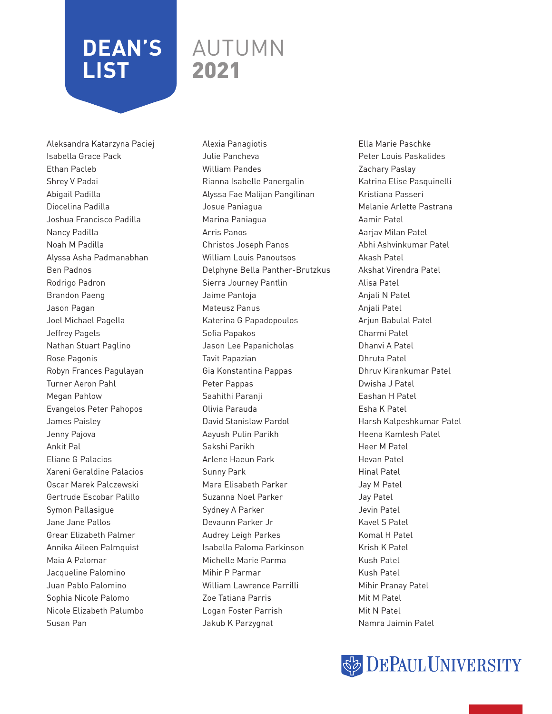### AUTUMN 2021

Aleksandra Katarzyna Paciej Isabella Grace Pack Ethan Pacleb Shrey V Padai Abigail Padilla Diocelina Padilla Joshua Francisco Padilla Nancy Padilla Noah M Padilla Alyssa Asha Padmanabhan Ben Padnos Rodrigo Padron Brandon Paeng Jason Pagan Joel Michael Pagella Jeffrey Pagels Nathan Stuart Paglino Rose Pagonis Robyn Frances Pagulayan Turner Aeron Pahl Megan Pahlow Evangelos Peter Pahopos James Paisley Jenny Pajova Ankit Pal Eliane G Palacios Xareni Geraldine Palacios Oscar Marek Palczewski Gertrude Escobar Palillo Symon Pallasigue Jane Jane Pallos Grear Elizabeth Palmer Annika Aileen Palmquist Maia A Palomar Jacqueline Palomino Juan Pablo Palomino Sophia Nicole Palomo Nicole Elizabeth Palumbo Susan Pan

Alexia Panagiotis Julie Pancheva William Pandes Rianna Isabelle Panergalin Alyssa Fae Malijan Pangilinan Josue Paniagua Marina Paniagua Arris Panos Christos Joseph Panos William Louis Panoutsos Delphyne Bella Panther-Brutzkus Sierra Journey Pantlin Jaime Pantoja Mateusz Panus Katerina G Papadopoulos Sofia Papakos Jason Lee Papanicholas Tavit Papazian Gia Konstantina Pappas Peter Pappas Saahithi Paranji Olivia Parauda David Stanislaw Pardol Aayush Pulin Parikh Sakshi Parikh Arlene Haeun Park Sunny Park Mara Elisabeth Parker Suzanna Noel Parker Sydney A Parker Devaunn Parker Jr Audrey Leigh Parkes Isabella Paloma Parkinson Michelle Marie Parma Mihir P Parmar William Lawrence Parrilli Zoe Tatiana Parris Logan Foster Parrish Jakub K Parzygnat

Ella Marie Paschke Peter Louis Paskalides Zachary Paslay Katrina Elise Pasquinelli Kristiana Passeri Melanie Arlette Pastrana Aamir Patel Aarjav Milan Patel Abhi Ashvinkumar Patel Akash Patel Akshat Virendra Patel Alisa Patel Anjali N Patel Anjali Patel Arjun Babulal Patel Charmi Patel Dhanvi A Patel Dhruta Patel Dhruv Kirankumar Patel Dwisha J Patel Eashan H Patel Esha K Patel Harsh Kalpeshkumar Patel Heena Kamlesh Patel Heer M Patel Hevan Patel Hinal Patel Jay M Patel Jay Patel Jevin Patel Kavel S Patel Komal H Patel Krish K Patel Kush Patel Kush Patel Mihir Pranay Patel Mit M Patel Mit N Patel Namra Jaimin Patel

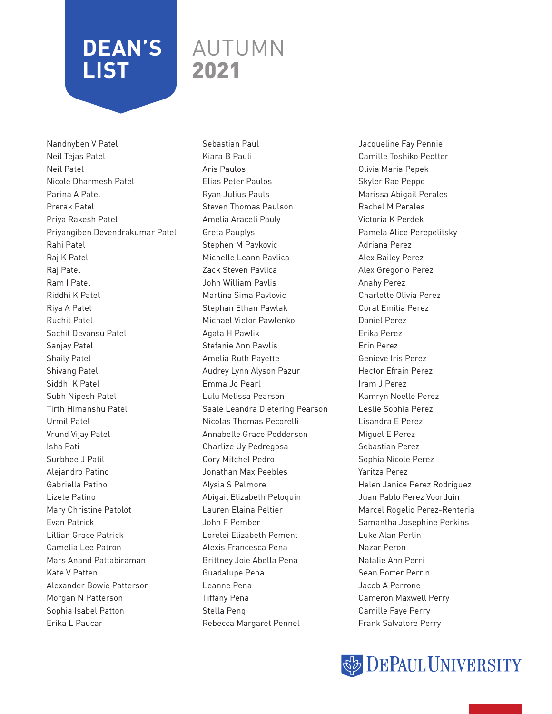### AUTUMN 2021

Nandnyben V Patel Neil Tejas Patel Neil Patel Nicole Dharmesh Patel Parina A Patel Prerak Patel Priya Rakesh Patel Priyangiben Devendrakumar Patel Rahi Patel Raj K Patel Raj Patel Ram I Patel Riddhi K Patel Riya A Patel Ruchit Patel Sachit Devansu Patel Sanjay Patel Shaily Patel Shivang Patel Siddhi K Patel Subh Nipesh Patel Tirth Himanshu Patel Urmil Patel Vrund Vijay Patel Isha Pati Surbhee J Patil Alejandro Patino Gabriella Patino Lizete Patino Mary Christine Patolot Evan Patrick Lillian Grace Patrick Camelia Lee Patron Mars Anand Pattabiraman Kate V Patten Alexander Bowie Patterson Morgan N Patterson Sophia Isabel Patton Erika L Paucar

Sebastian Paul Kiara B Pauli Aris Paulos Elias Peter Paulos Ryan Julius Pauls Steven Thomas Paulson Amelia Araceli Pauly Greta Pauplys Stephen M Pavkovic Michelle Leann Pavlica Zack Steven Pavlica John William Pavlis Martina Sima Pavlovic Stephan Ethan Pawlak Michael Victor Pawlenko Agata H Pawlik Stefanie Ann Pawlis Amelia Ruth Payette Audrey Lynn Alyson Pazur Emma Jo Pearl Lulu Melissa Pearson Saale Leandra Dietering Pearson Nicolas Thomas Pecorelli Annabelle Grace Pedderson Charlize Uy Pedregosa Cory Mitchel Pedro Jonathan Max Peebles Alysia S Pelmore Abigail Elizabeth Peloquin Lauren Elaina Peltier John F Pember Lorelei Elizabeth Pement Alexis Francesca Pena Brittney Joie Abella Pena Guadalupe Pena Leanne Pena Tiffany Pena Stella Peng Rebecca Margaret Pennel

Jacqueline Fay Pennie Camille Toshiko Peotter Olivia Maria Pepek Skyler Rae Peppo Marissa Abigail Perales Rachel M Perales Victoria K Perdek Pamela Alice Perepelitsky Adriana Perez Alex Bailey Perez Alex Gregorio Perez Anahy Perez Charlotte Olivia Perez Coral Emilia Perez Daniel Perez Erika Perez Erin Perez Genieve Iris Perez Hector Efrain Perez Iram J Perez Kamryn Noelle Perez Leslie Sophia Perez Lisandra E Perez Miguel E Perez Sebastian Perez Sophia Nicole Perez Yaritza Perez Helen Janice Perez Rodriguez Juan Pablo Perez Voorduin Marcel Rogelio Perez-Renteria Samantha Josephine Perkins Luke Alan Perlin Nazar Peron Natalie Ann Perri Sean Porter Perrin Jacob A Perrone Cameron Maxwell Perry Camille Faye Perry Frank Salvatore Perry

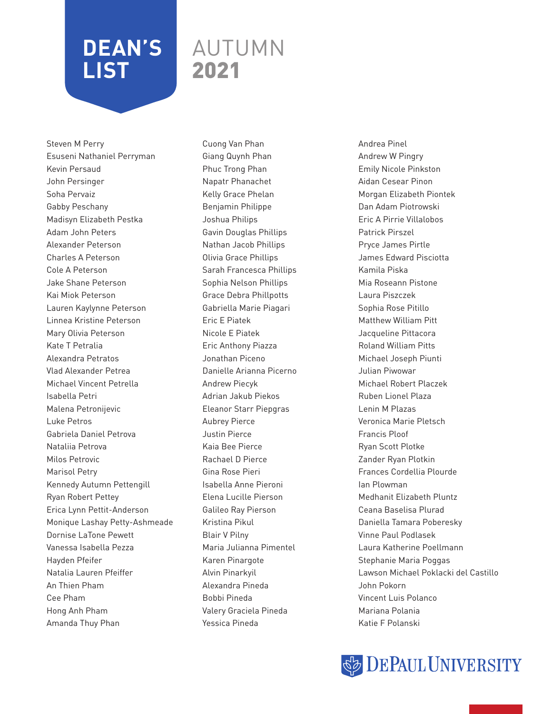### AUTUMN 2021

Steven M Perry Esuseni Nathaniel Perryman Kevin Persaud John Persinger Soha Pervaiz Gabby Peschany Madisyn Elizabeth Pestka Adam John Peters Alexander Peterson Charles A Peterson Cole A Peterson Jake Shane Peterson Kai Miok Peterson Lauren Kaylynne Peterson Linnea Kristine Peterson Mary Olivia Peterson Kate T Petralia Alexandra Petratos Vlad Alexander Petrea Michael Vincent Petrella Isabella Petri Malena Petronijevic Luke Petros Gabriela Daniel Petrova Nataliia Petrova Milos Petrovic Marisol Petry Kennedy Autumn Pettengill Ryan Robert Pettey Erica Lynn Pettit-Anderson Monique Lashay Petty-Ashmeade Dornise LaTone Pewett Vanessa Isabella Pezza Hayden Pfeifer Natalia Lauren Pfeiffer An Thien Pham Cee Pham Hong Anh Pham Amanda Thuy Phan

Cuong Van Phan Giang Quynh Phan Phuc Trong Phan Napatr Phanachet Kelly Grace Phelan Benjamin Philippe Joshua Philips Gavin Douglas Phillips Nathan Jacob Phillips Olivia Grace Phillips Sarah Francesca Phillips Sophia Nelson Phillips Grace Debra Phillpotts Gabriella Marie Piagari Eric E Piatek Nicole E Piatek Eric Anthony Piazza Jonathan Piceno Danielle Arianna Picerno Andrew Piecyk Adrian Jakub Piekos Eleanor Starr Piepgras Aubrey Pierce Justin Pierce Kaia Bee Pierce Rachael D Pierce Gina Rose Pieri Isabella Anne Pieroni Elena Lucille Pierson Galileo Ray Pierson Kristina Pikul Blair V Pilny Maria Julianna Pimentel Karen Pinargote Alvin Pinarkyil Alexandra Pineda Bobbi Pineda Valery Graciela Pineda Yessica Pineda

Andrea Pinel Andrew W Pingry Emily Nicole Pinkston Aidan Cesear Pinon Morgan Elizabeth Piontek Dan Adam Piotrowski Eric A Pirrie Villalobos Patrick Pirszel Pryce James Pirtle James Edward Pisciotta Kamila Piska Mia Roseann Pistone Laura Piszczek Sophia Rose Pitillo Matthew William Pitt Jacqueline Pittacora Roland William Pitts Michael Joseph Piunti Julian Piwowar Michael Robert Placzek Ruben Lionel Plaza Lenin M Plazas Veronica Marie Pletsch Francis Ploof Ryan Scott Plotke Zander Ryan Plotkin Frances Cordellia Plourde Ian Plowman Medhanit Elizabeth Pluntz Ceana Baselisa Plurad Daniella Tamara Poberesky Vinne Paul Podlasek Laura Katherine Poellmann Stephanie Maria Poggas Lawson Michael Poklacki del Castillo John Pokorn Vincent Luis Polanco Mariana Polania Katie F Polanski

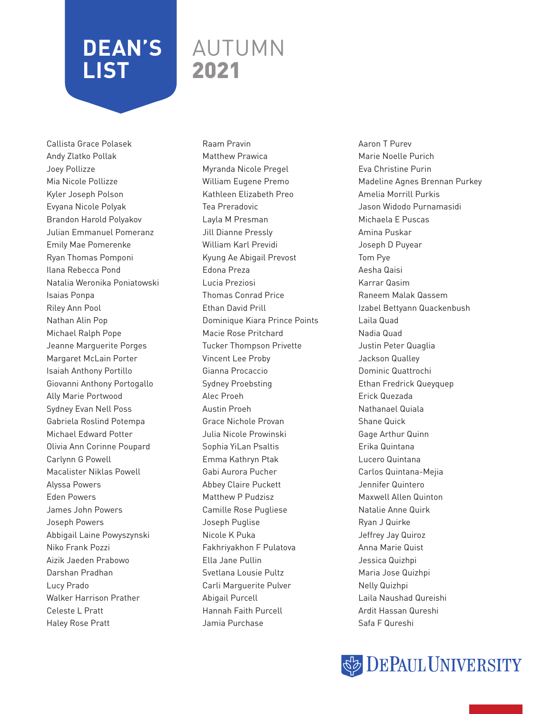### AUTUMN 2021

Callista Grace Polasek Andy Zlatko Pollak Joey Pollizze Mia Nicole Pollizze Kyler Joseph Polson Evyana Nicole Polyak Brandon Harold Polyakov Julian Emmanuel Pomeranz Emily Mae Pomerenke Ryan Thomas Pomponi Ilana Rebecca Pond Natalia Weronika Poniatowski Isaias Ponpa Riley Ann Pool Nathan Alin Pop Michael Ralph Pope Jeanne Marguerite Porges Margaret McLain Porter Isaiah Anthony Portillo Giovanni Anthony Portogallo Ally Marie Portwood Sydney Evan Nell Poss Gabriela Roslind Potempa Michael Edward Potter Olivia Ann Corinne Poupard Carlynn G Powell Macalister Niklas Powell Alyssa Powers Eden Powers James John Powers Joseph Powers Abbigail Laine Powyszynski Niko Frank Pozzi Aizik Jaeden Prabowo Darshan Pradhan Lucy Prado Walker Harrison Prather Celeste L Pratt Haley Rose Pratt

Raam Pravin Matthew Prawica Myranda Nicole Pregel William Eugene Premo Kathleen Elizabeth Preo Tea Preradovic Layla M Presman Jill Dianne Pressly William Karl Previdi Kyung Ae Abigail Prevost Edona Preza Lucia Preziosi Thomas Conrad Price Ethan David Prill Dominique Kiara Prince Points Macie Rose Pritchard Tucker Thompson Privette Vincent Lee Proby Gianna Procaccio Sydney Proebsting Alec Proeh Austin Proeh Grace Nichole Provan Julia Nicole Prowinski Sophia YiLan Psaltis Emma Kathryn Ptak Gabi Aurora Pucher Abbey Claire Puckett Matthew P Pudzisz Camille Rose Pugliese Joseph Puglise Nicole K Puka Fakhriyakhon F Pulatova Ella Jane Pullin Svetlana Lousie Pultz Carli Marguerite Pulver Abigail Purcell Hannah Faith Purcell Jamia Purchase

Aaron T Purev Marie Noelle Purich Eva Christine Purin Madeline Agnes Brennan Purkey Amelia Morrill Purkis Jason Widodo Purnamasidi Michaela E Puscas Amina Puskar Joseph D Puyear Tom Pye Aesha Qaisi Karrar Qasim Raneem Malak Qassem Izabel Bettyann Quackenbush Laila Quad Nadia Quad Justin Peter Quaglia Jackson Qualley Dominic Quattrochi Ethan Fredrick Queyquep Erick Quezada Nathanael Quiala Shane Quick Gage Arthur Quinn Erika Quintana Lucero Quintana Carlos Quintana-Mejia Jennifer Quintero Maxwell Allen Quinton Natalie Anne Quirk Ryan J Quirke Jeffrey Jay Quiroz Anna Marie Quist Jessica Quizhpi Maria Jose Quizhpi Nelly Quizhpi Laila Naushad Qureishi Ardit Hassan Qureshi Safa F Qureshi

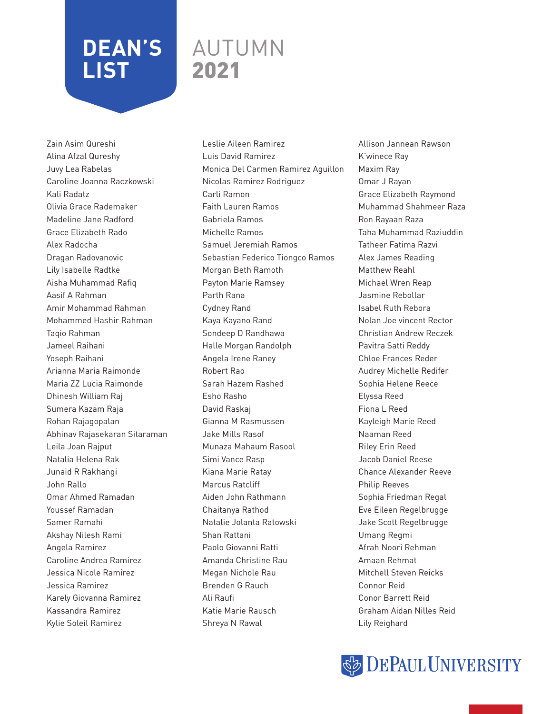### AUTUMN 2021

Zain Asim Qureshi Alina Afzal Qureshy Juvy Lea Rabelas Caroline Joanna Raczkowski Kali Radatz Olivia Grace Rademaker Madeline Jane Radford Grace Elizabeth Rado Alex Radocha Dragan Radovanovic Lily Isabelle Radtke Aisha Muhammad Rafiq Aasif A Rahman Amir Mohammad Rahman Mohammed Hashir Rahman Taqio Rahman Jameel Raihani Yoseph Raihani Arianna Maria Raimonde Maria ZZ Lucia Raimonde Dhinesh William Raj Sumera Kazam Raja Rohan Rajagopalan Abhinav Rajasekaran Sitaraman Leila Joan Rajput Natalia Helena Rak Junaid R Rakhangi John Rallo Omar Ahmed Ramadan Youssef Ramadan Samer Ramahi Akshay Nilesh Rami Angela Ramirez Caroline Andrea Ramirez Jessica Nicole Ramirez Jessica Ramirez Karely Giovanna Ramirez Kassandra Ramirez Kylie Soleil Ramirez

Leslie Aileen Ramirez Luis David Ramirez Monica Del Carmen Ramirez Aguillon Nicolas Ramirez Rodriguez Carli Ramon Faith Lauren Ramos Gabriela Ramos Michelle Ramos Samuel Jeremiah Ramos Sebastian Federico Tiongco Ramos Morgan Beth Ramoth Payton Marie Ramsey Parth Rana Cydney Rand Kaya Kayano Rand Sondeep D Randhawa Halle Morgan Randolph Angela Irene Raney Robert Rao Sarah Hazem Rashed Esho Rasho David Raskaj Gianna M Rasmussen Jake Mills Rasof Munaza Mahaum Rasool Simi Vance Rasp Kiana Marie Ratay Marcus Ratcliff Aiden John Rathmann Chaitanya Rathod Natalie Jolanta Ratowski Shan Rattani Paolo Giovanni Ratti Amanda Christine Rau Megan Nichole Rau Brenden G Rauch Ali Raufi Katie Marie Rausch Shreya N Rawal

Allison Jannean Rawson K'winece Ray Maxim Ray Omar J Rayan Grace Elizabeth Raymond Muhammad Shahmeer Raza Ron Rayaan Raza Taha Muhammad Raziuddin Tatheer Fatima Razvi Alex James Reading Matthew Reahl Michael Wren Reap Jasmine Rebollar Isabel Ruth Rebora Nolan Joe vincent Rector Christian Andrew Reczek Pavitra Satti Reddy Chloe Frances Reder Audrey Michelle Redifer Sophia Helene Reece Elyssa Reed Fiona L Reed Kayleigh Marie Reed Naaman Reed Riley Erin Reed Jacob Daniel Reese Chance Alexander Reeve Philip Reeves Sophia Friedman Regal Eve Eileen Regelbrugge Jake Scott Regelbrugge Umang Regmi Afrah Noori Rehman Amaan Rehmat Mitchell Steven Reicks Connor Reid Conor Barrett Reid Graham Aidan Nilles Reid Lily Reighard

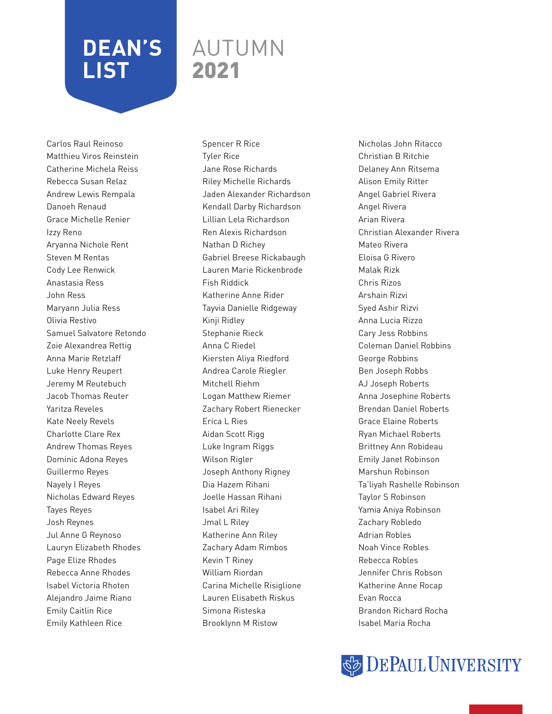### AUTUMN 2021

Carlos Raul Reinoso Matthieu Viros Reinstein Catherine Michela Reiss Rebecca Susan Relaz Andrew Lewis Rempala Danoeh Renaud Grace Michelle Renier Izzy Reno Aryanna Nichole Rent Steven M Rentas Cody Lee Renwick Anastasia Ress John Ress Maryann Julia Ress Olivia Restivo Samuel Salvatore Retondo Zoie Alexandrea Rettig Anna Marie Retzlaff Luke Henry Reupert Jeremy M Reutebuch Jacob Thomas Reuter Yaritza Reveles Kate Neely Revels Charlotte Clare Rex Andrew Thomas Reyes Dominic Adona Reyes Guillermo Reyes Nayely I Reyes Nicholas Edward Reyes Tayes Reyes Josh Reynes Jul Anne G Reynoso Lauryn Elizabeth Rhodes Page Elize Rhodes Rebecca Anne Rhodes Isabel Victoria Rhoten Alejandro Jaime Riano Emily Caitlin Rice Emily Kathleen Rice

Spencer R Rice Tyler Rice Jane Rose Richards Riley Michelle Richards Jaden Alexander Richardson Kendall Darby Richardson Lillian Lela Richardson Ren Alexis Richardson Nathan D Richey Gabriel Breese Rickabaugh Lauren Marie Rickenbrode Fish Riddick Katherine Anne Rider Tayvia Danielle Ridgeway Kinji Ridley Stephanie Rieck Anna C Riedel Kiersten Aliya Riedford Andrea Carole Riegler Mitchell Riehm Logan Matthew Riemer Zachary Robert Rienecker Erica L Ries Aidan Scott Rigg Luke Ingram Riggs Wilson Rigler Joseph Anthony Rigney Dia Hazem Rihani Joelle Hassan Rihani Isabel Ari Riley Jmal L Riley Katherine Ann Riley Zachary Adam Rimbos Kevin T Riney William Riordan Carina Michelle Risiglione Lauren Elisabeth Riskus Simona Risteska Brooklynn M Ristow

Nicholas John Ritacco Christian B Ritchie Delaney Ann Ritsema Alison Emily Ritter Angel Gabriel Rivera Angel Rivera Arian Rivera Christian Alexander Rivera Mateo Rivera Eloisa G Rivero Malak Rizk Chris Rizos Arshain Rizvi Syed Ashir Rizvi Anna Lucia Rizzo Cary Jess Robbins Coleman Daniel Robbins George Robbins Ben Joseph Robbs AJ Joseph Roberts Anna Josephine Roberts Brendan Daniel Roberts Grace Elaine Roberts Ryan Michael Roberts Brittney Ann Robideau Emily Janet Robinson Marshun Robinson Ta'liyah Rashelle Robinson Taylor S Robinson Yamia Aniya Robinson Zachary Robledo Adrian Robles Noah Vince Robles Rebecca Robles Jennifer Chris Robson Katherine Anne Rocap Evan Rocca Brandon Richard Rocha Isabel Maria Rocha

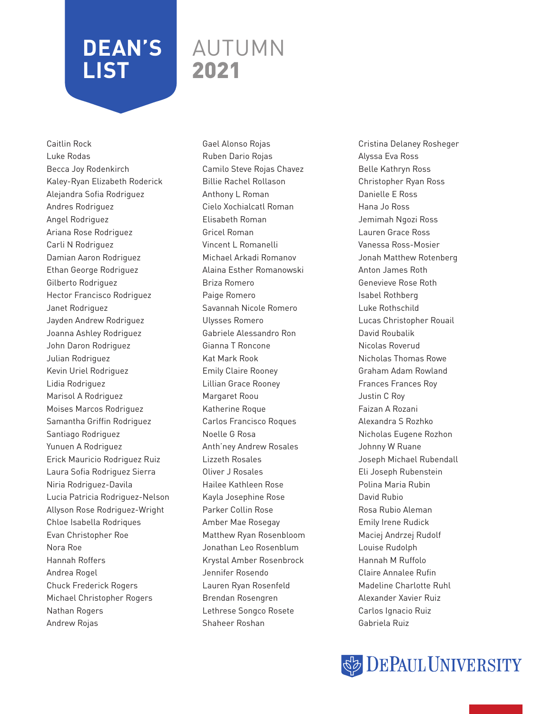### AUTUMN 2021

Caitlin Rock Luke Rodas Becca Joy Rodenkirch Kaley-Ryan Elizabeth Roderick Alejandra Sofia Rodriguez Andres Rodriguez Angel Rodriguez Ariana Rose Rodriguez Carli N Rodriguez Damian Aaron Rodriguez Ethan George Rodriguez Gilberto Rodriguez Hector Francisco Rodriguez Janet Rodriguez Jayden Andrew Rodriguez Joanna Ashley Rodriguez John Daron Rodriguez Julian Rodriguez Kevin Uriel Rodriguez Lidia Rodriguez Marisol A Rodriguez Moises Marcos Rodriguez Samantha Griffin Rodriguez Santiago Rodriguez Yunuen A Rodriguez Erick Mauricio Rodriguez Ruiz Laura Sofia Rodriguez Sierra Niria Rodriguez-Davila Lucia Patricia Rodriguez-Nelson Allyson Rose Rodriguez-Wright Chloe Isabella Rodriques Evan Christopher Roe Nora Roe Hannah Roffers Andrea Rogel Chuck Frederick Rogers Michael Christopher Rogers Nathan Rogers Andrew Rojas

Gael Alonso Rojas Ruben Dario Rojas Camilo Steve Rojas Chavez Billie Rachel Rollason Anthony L Roman Cielo Xochialcatl Roman Elisabeth Roman Gricel Roman Vincent L Romanelli Michael Arkadi Romanov Alaina Esther Romanowski Briza Romero Paige Romero Savannah Nicole Romero Ulysses Romero Gabriele Alessandro Ron Gianna T Roncone Kat Mark Rook Emily Claire Rooney Lillian Grace Rooney Margaret Roou Katherine Roque Carlos Francisco Roques Noelle G Rosa Anth'ney Andrew Rosales Lizzeth Rosales Oliver J Rosales Hailee Kathleen Rose Kayla Josephine Rose Parker Collin Rose Amber Mae Rosegay Matthew Ryan Rosenbloom Jonathan Leo Rosenblum Krystal Amber Rosenbrock Jennifer Rosendo Lauren Ryan Rosenfeld Brendan Rosengren Lethrese Songco Rosete Shaheer Roshan

Cristina Delaney Rosheger Alyssa Eva Ross Belle Kathryn Ross Christopher Ryan Ross Danielle E Ross Hana Jo Ross Jemimah Ngozi Ross Lauren Grace Ross Vanessa Ross-Mosier Jonah Matthew Rotenberg Anton James Roth Genevieve Rose Roth Isabel Rothberg Luke Rothschild Lucas Christopher Rouail David Roubalik Nicolas Roverud Nicholas Thomas Rowe Graham Adam Rowland Frances Frances Roy Justin C Roy Faizan A Rozani Alexandra S Rozhko Nicholas Eugene Rozhon Johnny W Ruane Joseph Michael Rubendall Eli Joseph Rubenstein Polina Maria Rubin David Rubio Rosa Rubio Aleman Emily Irene Rudick Maciej Andrzej Rudolf Louise Rudolph Hannah M Ruffolo Claire Annalee Rufin Madeline Charlotte Ruhl Alexander Xavier Ruiz Carlos Ignacio Ruiz Gabriela Ruiz

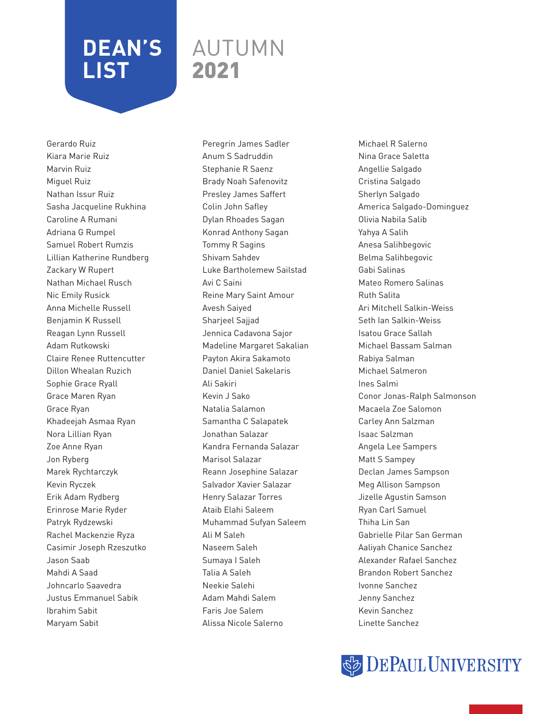### AUTUMN 2021

Gerardo Ruiz Kiara Marie Ruiz Marvin Ruiz Miguel Ruiz Nathan Issur Ruiz Sasha Jacqueline Rukhina Caroline A Rumani Adriana G Rumpel Samuel Robert Rumzis Lillian Katherine Rundberg Zackary W Rupert Nathan Michael Rusch Nic Emily Rusick Anna Michelle Russell Benjamin K Russell Reagan Lynn Russell Adam Rutkowski Claire Renee Ruttencutter Dillon Whealan Ruzich Sophie Grace Ryall Grace Maren Ryan Grace Ryan Khadeejah Asmaa Ryan Nora Lillian Ryan Zoe Anne Ryan Jon Ryberg Marek Rychtarczyk Kevin Ryczek Erik Adam Rydberg Erinrose Marie Ryder Patryk Rydzewski Rachel Mackenzie Ryza Casimir Joseph Rzeszutko Jason Saab Mahdi A Saad Johncarlo Saavedra Justus Emmanuel Sabik Ibrahim Sabit Maryam Sabit

Peregrin James Sadler Anum S Sadruddin Stephanie R Saenz Brady Noah Safenovitz Presley James Saffert Colin John Safley Dylan Rhoades Sagan Konrad Anthony Sagan Tommy R Sagins Shivam Sahdev Luke Bartholemew Sailstad Avi C Saini Reine Mary Saint Amour Avesh Saiyed Sharjeel Sajjad Jennica Cadavona Sajor Madeline Margaret Sakalian Payton Akira Sakamoto Daniel Daniel Sakelaris Ali Sakiri Kevin J Sako Natalia Salamon Samantha C Salapatek Jonathan Salazar Kandra Fernanda Salazar Marisol Salazar Reann Josephine Salazar Salvador Xavier Salazar Henry Salazar Torres Ataib Elahi Saleem Muhammad Sufyan Saleem Ali M Saleh Naseem Saleh Sumaya I Saleh Talia A Saleh Neekie Salehi Adam Mahdi Salem Faris Joe Salem Alissa Nicole Salerno

Michael R Salerno Nina Grace Saletta Angellie Salgado Cristina Salgado Sherlyn Salgado America Salgado-Dominguez Olivia Nabila Salib Yahya A Salih Anesa Salihbegovic Belma Salihbegovic Gabi Salinas Mateo Romero Salinas Ruth Salita Ari Mitchell Salkin-Weiss Seth Ian Salkin-Weiss Isatou Grace Sallah Michael Bassam Salman Rabiya Salman Michael Salmeron Ines Salmi Conor Jonas-Ralph Salmonson Macaela Zoe Salomon Carley Ann Salzman Isaac Salzman Angela Lee Sampers Matt S Sampey Declan James Sampson Meg Allison Sampson Jizelle Agustin Samson Ryan Carl Samuel Thiha Lin San Gabrielle Pilar San German Aaliyah Chanice Sanchez Alexander Rafael Sanchez Brandon Robert Sanchez Ivonne Sanchez Jenny Sanchez Kevin Sanchez Linette Sanchez

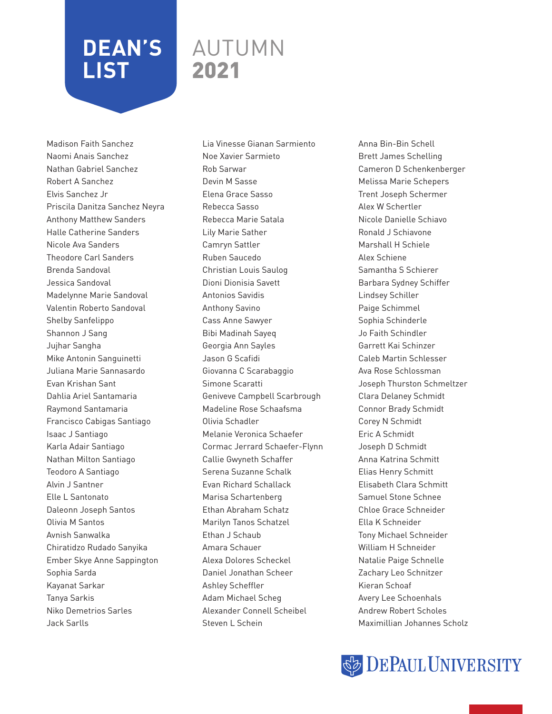### AUTUMN 2021

Madison Faith Sanchez Naomi Anais Sanchez Nathan Gabriel Sanchez Robert A Sanchez Elvis Sanchez Jr Priscila Danitza Sanchez Neyra Anthony Matthew Sanders Halle Catherine Sanders Nicole Ava Sanders Theodore Carl Sanders Brenda Sandoval Jessica Sandoval Madelynne Marie Sandoval Valentin Roberto Sandoval Shelby Sanfelippo Shannon J Sang Jujhar Sangha Mike Antonin Sanguinetti Juliana Marie Sannasardo Evan Krishan Sant Dahlia Ariel Santamaria Raymond Santamaria Francisco Cabigas Santiago Isaac J Santiago Karla Adair Santiago Nathan Milton Santiago Teodoro A Santiago Alvin J Santner Elle L Santonato Daleonn Joseph Santos Olivia M Santos Avnish Sanwalka Chiratidzo Rudado Sanyika Ember Skye Anne Sappington Sophia Sarda Kayanat Sarkar Tanya Sarkis Niko Demetrios Sarles Jack Sarlls

Lia Vinesse Gianan Sarmiento Noe Xavier Sarmieto Rob Sarwar Devin M Sasse Elena Grace Sasso Rebecca Sasso Rebecca Marie Satala Lily Marie Sather Camryn Sattler Ruben Saucedo Christian Louis Saulog Dioni Dionisia Savett Antonios Savidis Anthony Savino Cass Anne Sawyer Bibi Madinah Sayeq Georgia Ann Sayles Jason G Scafidi Giovanna C Scarabaggio Simone Scaratti Geniveve Campbell Scarbrough Madeline Rose Schaafsma Olivia Schadler Melanie Veronica Schaefer Cormac Jerrard Schaefer-Flynn Callie Gwyneth Schaffer Serena Suzanne Schalk Evan Richard Schallack Marisa Schartenberg Ethan Abraham Schatz Marilyn Tanos Schatzel Ethan J Schaub Amara Schauer Alexa Dolores Scheckel Daniel Jonathan Scheer Ashley Scheffler Adam Michael Scheg Alexander Connell Scheibel Steven L Schein

Anna Bin-Bin Schell Brett James Schelling Cameron D Schenkenberger Melissa Marie Schepers Trent Joseph Schermer Alex W Schertler Nicole Danielle Schiavo Ronald J Schiavone Marshall H Schiele Alex Schiene Samantha S Schierer Barbara Sydney Schiffer Lindsey Schiller Paige Schimmel Sophia Schinderle Jo Faith Schindler Garrett Kai Schinzer Caleb Martin Schlesser Ava Rose Schlossman Joseph Thurston Schmeltzer Clara Delaney Schmidt Connor Brady Schmidt Corey N Schmidt Eric A Schmidt Joseph D Schmidt Anna Katrina Schmitt Elias Henry Schmitt Elisabeth Clara Schmitt Samuel Stone Schnee Chloe Grace Schneider Ella K Schneider Tony Michael Schneider William H Schneider Natalie Paige Schnelle Zachary Leo Schnitzer Kieran Schoaf Avery Lee Schoenhals Andrew Robert Scholes Maximillian Johannes Scholz

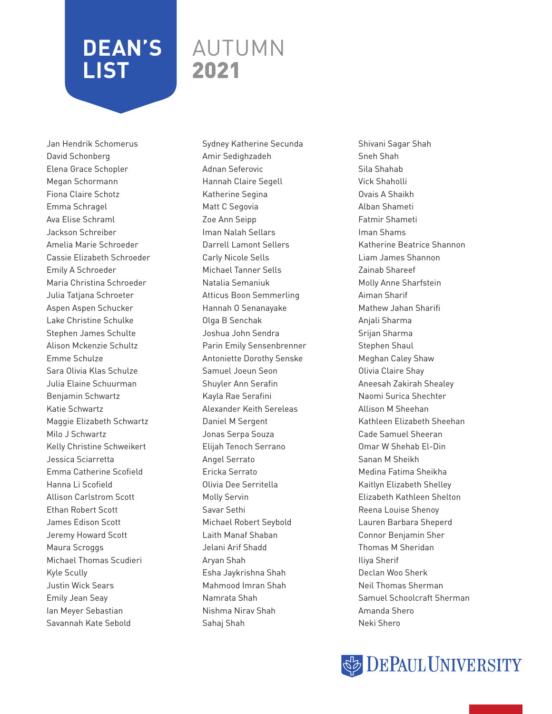### AUTUMN 2021

Jan Hendrik Schomerus David Schonberg Elena Grace Schopler Megan Schormann Fiona Claire Schotz Emma Schragel Ava Elise Schraml Jackson Schreiber Amelia Marie Schroeder Cassie Elizabeth Schroeder Emily A Schroeder Maria Christina Schroeder Julia Tatjana Schroeter Aspen Aspen Schucker Lake Christine Schulke Stephen James Schulte Alison Mckenzie Schultz Emme Schulze Sara Olivia Klas Schulze Julia Elaine Schuurman Benjamin Schwartz Katie Schwartz Maggie Elizabeth Schwartz Milo J Schwartz Kelly Christine Schweikert Jessica Sciarretta Emma Catherine Scofield Hanna Li Scofield Allison Carlstrom Scott Ethan Robert Scott James Edison Scott Jeremy Howard Scott Maura Scroggs Michael Thomas Scudieri Kyle Scully Justin Wick Sears Emily Jean Seay Ian Meyer Sebastian Savannah Kate Sebold

Sydney Katherine Secunda Amir Sedighzadeh Adnan Seferovic Hannah Claire Segell Katherine Segina Matt C Segovia Zoe Ann Seipp Iman Nalah Sellars Darrell Lamont Sellers Carly Nicole Sells Michael Tanner Sells Natalia Semaniuk Atticus Boon Semmerling Hannah O Senanayake Olga B Senchak Joshua John Sendra Parin Emily Sensenbrenner Antoniette Dorothy Senske Samuel Joeun Seon Shuyler Ann Serafin Kayla Rae Serafini Alexander Keith Sereleas Daniel M Sergent Jonas Serpa Souza Elijah Tenoch Serrano Angel Serrato Ericka Serrato Olivia Dee Serritella Molly Servin Savar Sethi Michael Robert Seybold Laith Manaf Shaban Jelani Arif Shadd Aryan Shah Esha Jaykrishna Shah Mahmood Imran Shah Namrata Shah Nishma Nirav Shah Sahaj Shah

Shivani Sagar Shah Sneh Shah Sila Shahab Vick Shaholli Ovais A Shaikh Alban Shameti Fatmir Shameti Iman Shams Katherine Beatrice Shannon Liam James Shannon Zainab Shareef Molly Anne Sharfstein Aiman Sharif Mathew Jahan Sharifi Anjali Sharma Srijan Sharma Stephen Shaul Meghan Caley Shaw Olivia Claire Shay Aneesah Zakirah Shealey Naomi Surica Shechter Allison M Sheehan Kathleen Elizabeth Sheehan Cade Samuel Sheeran Omar W Shehab El-Din Sanan M Sheikh Medina Fatima Sheikha Kaitlyn Elizabeth Shelley Elizabeth Kathleen Shelton Reena Louise Shenoy Lauren Barbara Sheperd Connor Benjamin Sher Thomas M Sheridan Iliya Sherif Declan Woo Sherk Neil Thomas Sherman Samuel Schoolcraft Sherman Amanda Shero Neki Shero

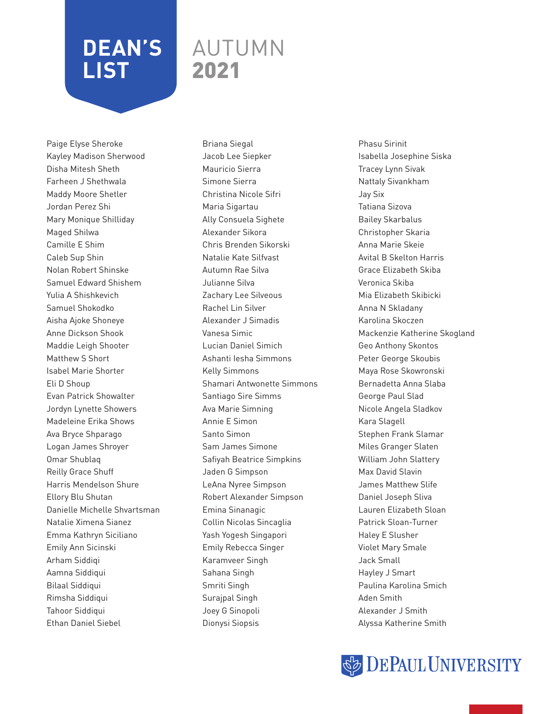### AUTUMN 2021

Paige Elyse Sheroke Kayley Madison Sherwood Disha Mitesh Sheth Farheen J Shethwala Maddy Moore Shetler Jordan Perez Shi Mary Monique Shilliday Maged Shilwa Camille E Shim Caleb Sup Shin Nolan Robert Shinske Samuel Edward Shishem Yulia A Shishkevich Samuel Shokodko Aisha Ajoke Shoneye Anne Dickson Shook Maddie Leigh Shooter Matthew S Short Isabel Marie Shorter Eli D Shoup Evan Patrick Showalter Jordyn Lynette Showers Madeleine Erika Shows Ava Bryce Shparago Logan James Shroyer Omar Shublaq Reilly Grace Shuff Harris Mendelson Shure Ellory Blu Shutan Danielle Michelle Shvartsman Natalie Ximena Sianez Emma Kathryn Siciliano Emily Ann Sicinski Arham Siddiqi Aamna Siddiqui Bilaal Siddiqui Rimsha Siddiqui Tahoor Siddiqui Ethan Daniel Siebel

Briana Siegal Jacob Lee Siepker Mauricio Sierra Simone Sierra Christina Nicole Sifri Maria Sigartau Ally Consuela Sighete Alexander Sikora Chris Brenden Sikorski Natalie Kate Silfvast Autumn Rae Silva Julianne Silva Zachary Lee Silveous Rachel Lin Silver Alexander J Simadis Vanesa Simic Lucian Daniel Simich Ashanti Iesha Simmons Kelly Simmons Shamari Antwonette Simmons Santiago Sire Simms Ava Marie Simning Annie E Simon Santo Simon Sam James Simone Safiyah Beatrice Simpkins Jaden G Simpson LeAna Nyree Simpson Robert Alexander Simpson Emina Sinanagic Collin Nicolas Sincaglia Yash Yogesh Singapori Emily Rebecca Singer Karamveer Singh Sahana Singh Smriti Singh Surajpal Singh Joey G Sinopoli Dionysi Siopsis

Phasu Sirinit Isabella Josephine Siska Tracey Lynn Sivak Nattaly Sivankham Jay Six Tatiana Sizova Bailey Skarbalus Christopher Skaria Anna Marie Skeie Avital B Skelton Harris Grace Elizabeth Skiba Veronica Skiba Mia Elizabeth Skibicki Anna N Skladany Karolina Skoczen Mackenzie Katherine Skogland Geo Anthony Skontos Peter George Skoubis Maya Rose Skowronski Bernadetta Anna Slaba George Paul Slad Nicole Angela Sladkov Kara Slagell Stephen Frank Slamar Miles Granger Slaten William John Slattery Max David Slavin James Matthew Slife Daniel Joseph Sliva Lauren Elizabeth Sloan Patrick Sloan-Turner Haley E Slusher Violet Mary Smale Jack Small Hayley J Smart Paulina Karolina Smich Aden Smith Alexander J Smith Alyssa Katherine Smith

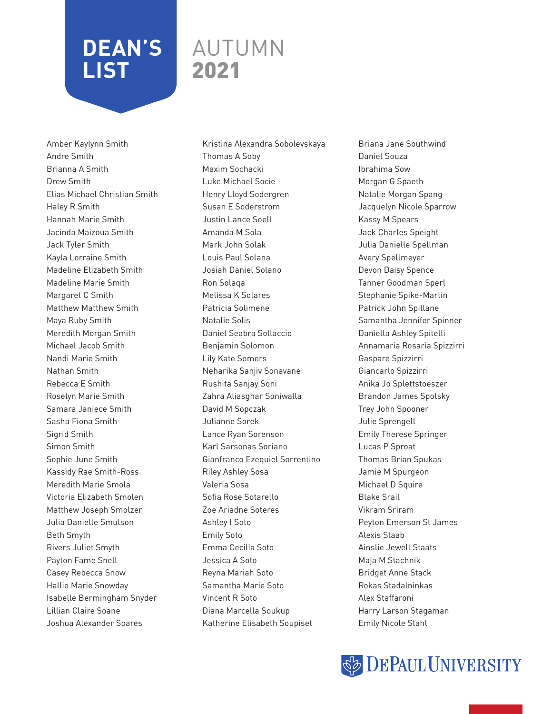### AUTUMN 2021

Amber Kaylynn Smith Andre Smith Brianna A Smith Drew Smith Elias Michael Christian Smith Haley R Smith Hannah Marie Smith Jacinda Maizoua Smith Jack Tyler Smith Kayla Lorraine Smith Madeline Elizabeth Smith Madeline Marie Smith Margaret C Smith Matthew Matthew Smith Maya Ruby Smith Meredith Morgan Smith Michael Jacob Smith Nandi Marie Smith Nathan Smith Rebecca E Smith Roselyn Marie Smith Samara Janiece Smith Sasha Fiona Smith Sigrid Smith Simon Smith Sophie June Smith Kassidy Rae Smith-Ross Meredith Marie Smola Victoria Elizabeth Smolen Matthew Joseph Smolzer Julia Danielle Smulson Beth Smyth Rivers Juliet Smyth Payton Fame Snell Casey Rebecca Snow Hallie Marie Snowday Isabelle Bermingham Snyder Lillian Claire Soane Joshua Alexander Soares

Kristina Alexandra Sobolevskaya Thomas A Soby Maxim Sochacki Luke Michael Socie Henry Lloyd Sodergren Susan E Soderstrom Justin Lance Soell Amanda M Sola Mark John Solak Louis Paul Solana Josiah Daniel Solano Ron Solaqa Melissa K Solares Patricia Solimene Natalie Solis Daniel Seabra Sollaccio Benjamin Solomon Lily Kate Somers Neharika Sanjiv Sonavane Rushita Sanjay Soni Zahra Aliasghar Soniwalla David M Sopczak Julianne Sorek Lance Ryan Sorenson Karl Sarsonas Soriano Gianfranco Ezequiel Sorrentino Riley Ashley Sosa Valeria Sosa Sofia Rose Sotarello Zoe Ariadne Soteres Ashley I Soto Emily Soto Emma Cecilia Soto Jessica A Soto Reyna Mariah Soto Samantha Marie Soto Vincent R Soto Diana Marcella Soukup Katherine Elisabeth Soupiset

Briana Jane Southwind Daniel Souza Ibrahima Sow Morgan G Spaeth Natalie Morgan Spang Jacquelyn Nicole Sparrow Kassy M Spears Jack Charles Speight Julia Danielle Spellman Avery Spellmeyer Devon Daisy Spence Tanner Goodman Sperl Stephanie Spike-Martin Patrick John Spillane Samantha Jennifer Spinner Daniella Ashley Spitelli Annamaria Rosaria Spizzirri Gaspare Spizzirri Giancarlo Spizzirri Anika Jo Splettstoeszer Brandon James Spolsky Trey John Spooner Julie Sprengell Emily Therese Springer Lucas P Sproat Thomas Brian Spukas Jamie M Spurgeon Michael D Squire Blake Srail Vikram Sriram Peyton Emerson St James Alexis Staab Ainslie Jewell Staats Maja M Stachnik Bridget Anne Stack Rokas Stadalninkas Alex Staffaroni Harry Larson Stagaman Emily Nicole Stahl

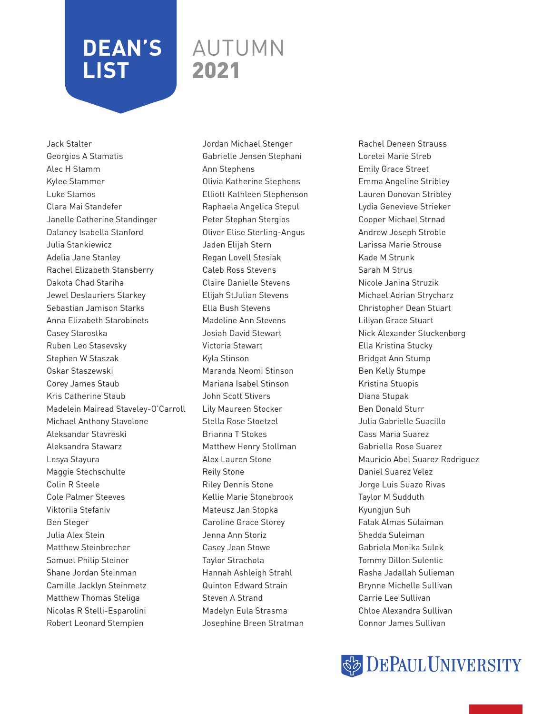### AUTUMN 2021

Jack Stalter Georgios A Stamatis Alec H Stamm Kylee Stammer Luke Stamos Clara Mai Standefer Janelle Catherine Standinger Dalaney Isabella Stanford Julia Stankiewicz Adelia Jane Stanley Rachel Elizabeth Stansberry Dakota Chad Stariha Jewel Deslauriers Starkey Sebastian Jamison Starks Anna Elizabeth Starobinets Casey Starostka Ruben Leo Stasevsky Stephen W Staszak Oskar Staszewski Corey James Staub Kris Catherine Staub Madelein Mairead Staveley-O'Carroll Michael Anthony Stavolone Aleksandar Stavreski Aleksandra Stawarz Lesya Stayura Maggie Stechschulte Colin R Steele Cole Palmer Steeves Viktoriia Stefaniv Ben Steger Julia Alex Stein Matthew Steinbrecher Samuel Philip Steiner Shane Jordan Steinman Camille Jacklyn Steinmetz Matthew Thomas Steliga Nicolas R Stelli-Esparolini Robert Leonard Stempien

Jordan Michael Stenger Gabrielle Jensen Stephani Ann Stephens Olivia Katherine Stephens Elliott Kathleen Stephenson Raphaela Angelica Stepul Peter Stephan Stergios Oliver Elise Sterling-Angus Jaden Elijah Stern Regan Lovell Stesiak Caleb Ross Stevens Claire Danielle Stevens Elijah StJulian Stevens Ella Bush Stevens Madeline Ann Stevens Josiah David Stewart Victoria Stewart Kyla Stinson Maranda Neomi Stinson Mariana Isabel Stinson John Scott Stivers Lily Maureen Stocker Stella Rose Stoetzel Brianna T Stokes Matthew Henry Stollman Alex Lauren Stone Reily Stone Riley Dennis Stone Kellie Marie Stonebrook Mateusz Jan Stopka Caroline Grace Storey Jenna Ann Storiz Casey Jean Stowe Taylor Strachota Hannah Ashleigh Strahl Quinton Edward Strain Steven A Strand Madelyn Eula Strasma Josephine Breen Stratman

Rachel Deneen Strauss Lorelei Marie Streb Emily Grace Street Emma Angeline Stribley Lauren Donovan Stribley Lydia Genevieve Strieker Cooper Michael Strnad Andrew Joseph Stroble Larissa Marie Strouse Kade M Strunk Sarah M Strus Nicole Janina Struzik Michael Adrian Strycharz Christopher Dean Stuart Lillyan Grace Stuart Nick Alexander Stuckenborg Ella Kristina Stucky Bridget Ann Stump Ben Kelly Stumpe Kristina Stuopis Diana Stupak Ben Donald Sturr Julia Gabrielle Suacillo Cass Maria Suarez Gabriella Rose Suarez Mauricio Abel Suarez Rodriguez Daniel Suarez Velez Jorge Luis Suazo Rivas Taylor M Sudduth Kyungjun Suh Falak Almas Sulaiman Shedda Suleiman Gabriela Monika Sulek Tommy Dillon Sulentic Rasha Jadallah Sulieman Brynne Michelle Sullivan Carrie Lee Sullivan Chloe Alexandra Sullivan Connor James Sullivan

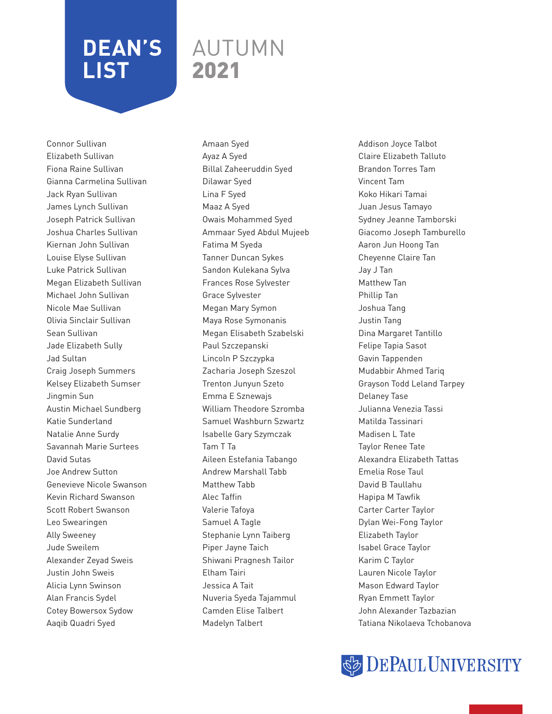### AUTUMN 2021

Connor Sullivan Elizabeth Sullivan Fiona Raine Sullivan Gianna Carmelina Sullivan Jack Ryan Sullivan James Lynch Sullivan Joseph Patrick Sullivan Joshua Charles Sullivan Kiernan John Sullivan Louise Elyse Sullivan Luke Patrick Sullivan Megan Elizabeth Sullivan Michael John Sullivan Nicole Mae Sullivan Olivia Sinclair Sullivan Sean Sullivan Jade Elizabeth Sully Jad Sultan Craig Joseph Summers Kelsey Elizabeth Sumser Jingmin Sun Austin Michael Sundberg Katie Sunderland Natalie Anne Surdy Savannah Marie Surtees David Sutas Joe Andrew Sutton Genevieve Nicole Swanson Kevin Richard Swanson Scott Robert Swanson Leo Swearingen Ally Sweeney Jude Sweilem Alexander Zeyad Sweis Justin John Sweis Alicia Lynn Swinson Alan Francis Sydel Cotey Bowersox Sydow Aaqib Quadri Syed

Amaan Syed Ayaz A Syed Billal Zaheeruddin Syed Dilawar Syed Lina F Syed Maaz A Syed Owais Mohammed Syed Ammaar Syed Abdul Mujeeb Fatima M Syeda Tanner Duncan Sykes Sandon Kulekana Sylva Frances Rose Sylvester Grace Sylvester Megan Mary Symon Maya Rose Symonanis Megan Elisabeth Szabelski Paul Szczepanski Lincoln P Szczypka Zacharia Joseph Szeszol Trenton Junyun Szeto Emma E Sznewajs William Theodore Szromba Samuel Washburn Szwartz Isabelle Gary Szymczak Tam T Ta Aileen Estefania Tabango Andrew Marshall Tabb Matthew Tabb Alec Taffin Valerie Tafoya Samuel A Tagle Stephanie Lynn Taiberg Piper Jayne Taich Shiwani Pragnesh Tailor Elham Tairi Jessica A Tait Nuveria Syeda Tajammul Camden Elise Talbert Madelyn Talbert

Addison Joyce Talbot Claire Elizabeth Talluto Brandon Torres Tam Vincent Tam Koko Hikari Tamai Juan Jesus Tamayo Sydney Jeanne Tamborski Giacomo Joseph Tamburello Aaron Jun Hoong Tan Cheyenne Claire Tan Jay J Tan Matthew Tan Phillip Tan Joshua Tang Justin Tang Dina Margaret Tantillo Felipe Tapia Sasot Gavin Tappenden Mudabbir Ahmed Tariq Grayson Todd Leland Tarpey Delaney Tase Julianna Venezia Tassi Matilda Tassinari Madisen L Tate Taylor Renee Tate Alexandra Elizabeth Tattas Emelia Rose Taul David B Taullahu Hapipa M Tawfik Carter Carter Taylor Dylan Wei-Fong Taylor Elizabeth Taylor Isabel Grace Taylor Karim C Taylor Lauren Nicole Taylor Mason Edward Taylor Ryan Emmett Taylor John Alexander Tazbazian Tatiana Nikolaeva Tchobanova

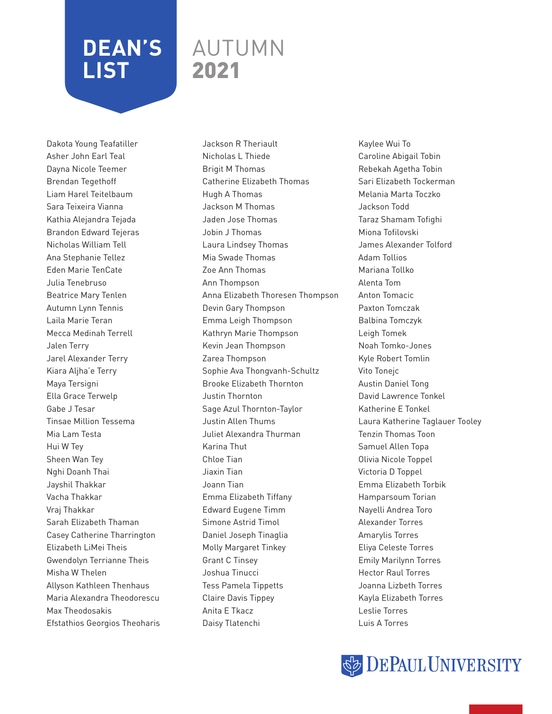### AUTUMN 2021

Dakota Young Teafatiller Asher John Earl Teal Dayna Nicole Teemer Brendan Tegethoff Liam Harel Teitelbaum Sara Teixeira Vianna Kathia Alejandra Tejada Brandon Edward Tejeras Nicholas William Tell Ana Stephanie Tellez Eden Marie TenCate Julia Tenebruso Beatrice Mary Tenlen Autumn Lynn Tennis Laila Marie Teran Mecca Medinah Terrell Jalen Terry Jarel Alexander Terry Kiara Aljha'e Terry Maya Tersigni Ella Grace Terwelp Gabe J Tesar Tinsae Million Tessema Mia Lam Testa Hui W Tey Sheen Wan Tey Nghi Doanh Thai Jayshil Thakkar Vacha Thakkar Vraj Thakkar Sarah Elizabeth Thaman Casey Catherine Tharrington Elizabeth LiMei Theis Gwendolyn Terrianne Theis Misha W Thelen Allyson Kathleen Thenhaus Maria Alexandra Theodorescu Max Theodosakis Efstathios Georgios Theoharis

Jackson R Theriault Nicholas L Thiede Brigit M Thomas Catherine Elizabeth Thomas Hugh A Thomas Jackson M Thomas Jaden Jose Thomas Jobin J Thomas Laura Lindsey Thomas Mia Swade Thomas Zoe Ann Thomas Ann Thompson Anna Elizabeth Thoresen Thompson Devin Gary Thompson Emma Leigh Thompson Kathryn Marie Thompson Kevin Jean Thompson Zarea Thompson Sophie Ava Thongvanh-Schultz Brooke Elizabeth Thornton Justin Thornton Sage Azul Thornton-Taylor Justin Allen Thums Juliet Alexandra Thurman Karina Thut Chloe Tian Jiaxin Tian Joann Tian Emma Elizabeth Tiffany Edward Eugene Timm Simone Astrid Timol Daniel Joseph Tinaglia Molly Margaret Tinkey Grant C Tinsey Joshua Tinucci Tess Pamela Tippetts Claire Davis Tippey Anita E Tkacz Daisy Tlatenchi

Kaylee Wui To Caroline Abigail Tobin Rebekah Agetha Tobin Sari Elizabeth Tockerman Melania Marta Toczko Jackson Todd Taraz Shamam Tofighi Miona Tofilovski James Alexander Tolford Adam Tollios Mariana Tollko Alenta Tom Anton Tomacic Paxton Tomczak Balbina Tomczyk Leigh Tomek Noah Tomko-Jones Kyle Robert Tomlin Vito Tonejc Austin Daniel Tong David Lawrence Tonkel Katherine E Tonkel Laura Katherine Taglauer Tooley Tenzin Thomas Toon Samuel Allen Topa Olivia Nicole Toppel Victoria D Toppel Emma Elizabeth Torbik Hamparsoum Torian Nayelli Andrea Toro Alexander Torres Amarylis Torres Eliya Celeste Torres Emily Marilynn Torres Hector Raul Torres Joanna Lizbeth Torres Kayla Elizabeth Torres Leslie Torres Luis A Torres

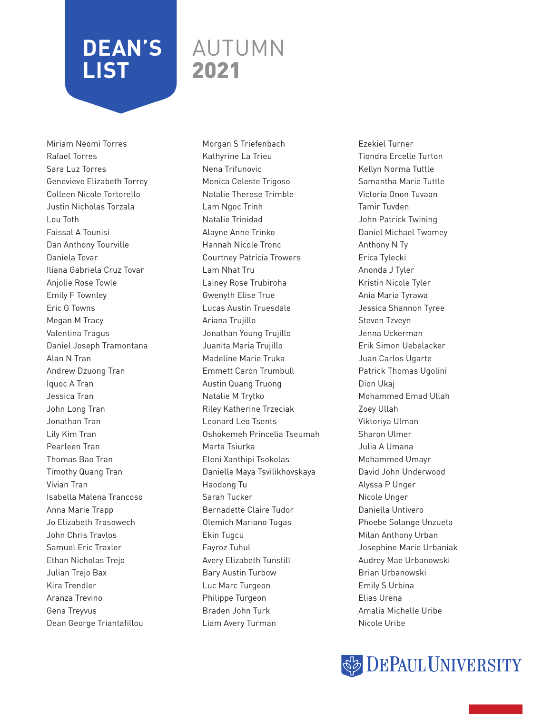### AUTUMN 2021

Miriam Neomi Torres Rafael Torres Sara Luz Torres Genevieve Elizabeth Torrey Colleen Nicole Tortorello Justin Nicholas Torzala Lou Toth Faissal A Tounisi Dan Anthony Tourville Daniela Tovar Iliana Gabriela Cruz Tovar Anjolie Rose Towle Emily F Townley Eric G Towns Megan M Tracy Valentina Tragus Daniel Joseph Tramontana Alan N Tran Andrew Dzuong Tran Iquoc A Tran Jessica Tran John Long Tran Jonathan Tran Lily Kim Tran Pearleen Tran Thomas Bao Tran Timothy Quang Tran Vivian Tran Isabella Malena Trancoso Anna Marie Trapp Jo Elizabeth Trasowech John Chris Travlos Samuel Eric Traxler Ethan Nicholas Trejo Julian Trejo Bax Kira Trendler Aranza Trevino Gena Treyvus Dean George Triantafillou

Morgan S Triefenbach Kathyrine La Trieu Nena Trifunovic Monica Celeste Trigoso Natalie Therese Trimble Lam Ngoc Trinh Natalie Trinidad Alayne Anne Trinko Hannah Nicole Tronc Courtney Patricia Trowers Lam Nhat Tru Lainey Rose Trubiroha Gwenyth Elise True Lucas Austin Truesdale Ariana Trujillo Jonathan Young Trujillo Juanita Maria Trujillo Madeline Marie Truka Emmett Caron Trumbull Austin Quang Truong Natalie M Trytko Riley Katherine Trzeciak Leonard Leo Tsents Oshokemeh Princelia Tseumah Marta Tsiurka Eleni Xanthipi Tsokolas Danielle Maya Tsvilikhovskaya Haodong Tu Sarah Tucker Bernadette Claire Tudor Olemich Mariano Tugas Ekin Tugcu Fayroz Tuhul Avery Elizabeth Tunstill Bary Austin Turbow Luc Marc Turgeon Philippe Turgeon Braden John Turk Liam Avery Turman

Ezekiel Turner Tiondra Ercelle Turton Kellyn Norma Tuttle Samantha Marie Tuttle Victoria Onon Tuvaan Tamir Tuvden John Patrick Twining Daniel Michael Twomey Anthony N Ty Erica Tylecki Anonda J Tyler Kristin Nicole Tyler Ania Maria Tyrawa Jessica Shannon Tyree Steven Tzveyn Jenna Uckerman Erik Simon Uebelacker Juan Carlos Ugarte Patrick Thomas Ugolini Dion Ukaj Mohammed Emad Ullah Zoey Ullah Viktoriya Ulman Sharon Ulmer Julia A Umana Mohammed Umayr David John Underwood Alyssa P Unger Nicole Unger Daniella Untivero Phoebe Solange Unzueta Milan Anthony Urban Josephine Marie Urbaniak Audrey Mae Urbanowski Brian Urbanowski Emily S Urbina Elias Urena Amalia Michelle Uribe Nicole Uribe

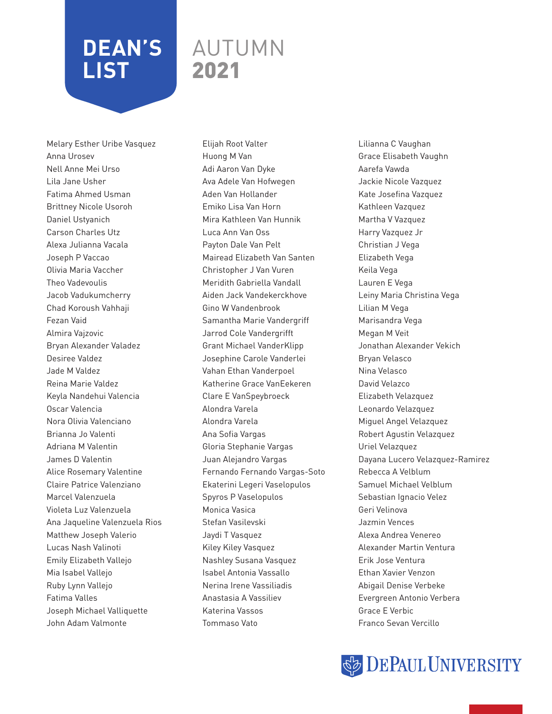### AUTUMN 2021

Melary Esther Uribe Vasquez Anna Urosev Nell Anne Mei Urso Lila Jane Usher Fatima Ahmed Usman Brittney Nicole Usoroh Daniel Ustyanich Carson Charles Utz Alexa Julianna Vacala Joseph P Vaccao Olivia Maria Vaccher Theo Vadevoulis Jacob Vadukumcherry Chad Koroush Vahhaji Fezan Vaid Almira Vajzovic Bryan Alexander Valadez Desiree Valdez Jade M Valdez Reina Marie Valdez Keyla Nandehui Valencia Oscar Valencia Nora Olivia Valenciano Brianna Jo Valenti Adriana M Valentin James D Valentin Alice Rosemary Valentine Claire Patrice Valenziano Marcel Valenzuela Violeta Luz Valenzuela Ana Jaqueline Valenzuela Rios Matthew Joseph Valerio Lucas Nash Valinoti Emily Elizabeth Vallejo Mia Isabel Vallejo Ruby Lynn Vallejo Fatima Valles Joseph Michael Valliquette John Adam Valmonte

Elijah Root Valter Huong M Van Adi Aaron Van Dyke Ava Adele Van Hofwegen Aden Van Hollander Emiko Lisa Van Horn Mira Kathleen Van Hunnik Luca Ann Van Oss Payton Dale Van Pelt Mairead Elizabeth Van Santen Christopher J Van Vuren Meridith Gabriella Vandall Aiden Jack Vandekerckhove Gino W Vandenbrook Samantha Marie Vandergriff Jarrod Cole Vandergrifft Grant Michael VanderKlipp Josephine Carole Vanderlei Vahan Ethan Vanderpoel Katherine Grace VanEekeren Clare E VanSpeybroeck Alondra Varela Alondra Varela Ana Sofia Vargas Gloria Stephanie Vargas Juan Alejandro Vargas Fernando Fernando Vargas-Soto Ekaterini Legeri Vaselopulos Spyros P Vaselopulos Monica Vasica Stefan Vasilevski Jaydi T Vasquez Kiley Kiley Vasquez Nashley Susana Vasquez Isabel Antonia Vassallo Nerina Irene Vassiliadis Anastasia A Vassiliev Katerina Vassos Tommaso Vato

Lilianna C Vaughan Grace Elisabeth Vaughn Aarefa Vawda Jackie Nicole Vazquez Kate Josefina Vazquez Kathleen Vazquez Martha V Vazquez Harry Vazquez Jr Christian J Vega Elizabeth Vega Keila Vega Lauren E Vega Leiny Maria Christina Vega Lilian M Vega Marisandra Vega Megan M Veit Jonathan Alexander Vekich Bryan Velasco Nina Velasco David Velazco Elizabeth Velazquez Leonardo Velazquez Miguel Angel Velazquez Robert Agustin Velazquez Uriel Velazquez Dayana Lucero Velazquez-Ramirez Rebecca A Velblum Samuel Michael Velblum Sebastian Ignacio Velez Geri Velinova Jazmin Vences Alexa Andrea Venereo Alexander Martin Ventura Erik Jose Ventura Ethan Xavier Venzon Abigail Denise Verbeke Evergreen Antonio Verbera Grace E Verbic Franco Sevan Vercillo

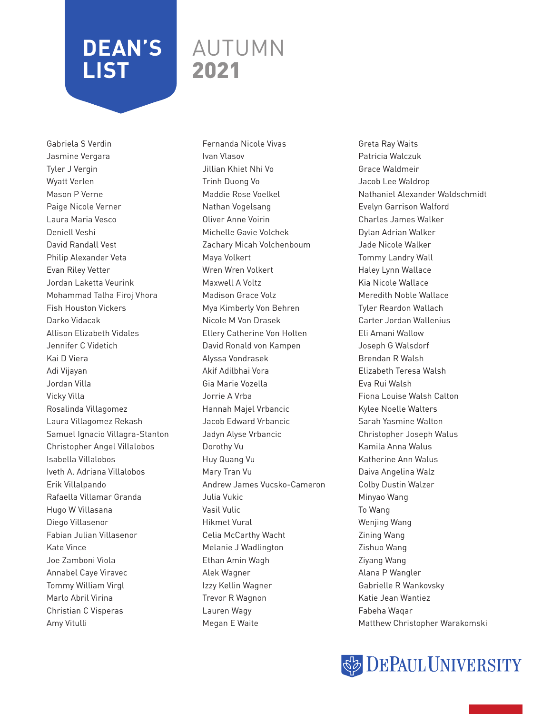### AUTUMN 2021

Gabriela S Verdin Jasmine Vergara Tyler J Vergin Wyatt Verlen Mason P Verne Paige Nicole Verner Laura Maria Vesco Deniell Veshi David Randall Vest Philip Alexander Veta Evan Riley Vetter Jordan Laketta Veurink Mohammad Talha Firoj Vhora Fish Houston Vickers Darko Vidacak Allison Elizabeth Vidales Jennifer C Videtich Kai D Viera Adi Vijayan Jordan Villa Vicky Villa Rosalinda Villagomez Laura Villagomez Rekash Samuel Ignacio Villagra-Stanton Christopher Angel Villalobos Isabella Villalobos Iveth A. Adriana Villalobos Erik Villalpando Rafaella Villamar Granda Hugo W Villasana Diego Villasenor Fabian Julian Villasenor Kate Vince Joe Zamboni Viola Annabel Caye Viravec Tommy William Virgl Marlo Abril Virina Christian C Visperas Amy Vitulli

Fernanda Nicole Vivas Ivan Vlasov Jillian Khiet Nhi Vo Trinh Duong Vo Maddie Rose Voelkel Nathan Vogelsang Oliver Anne Voirin Michelle Gavie Volchek Zachary Micah Volchenboum Maya Volkert Wren Wren Volkert Maxwell A Voltz Madison Grace Volz Mya Kimberly Von Behren Nicole M Von Drasek Ellery Catherine Von Holten David Ronald von Kampen Alyssa Vondrasek Akif Adilbhai Vora Gia Marie Vozella Jorrie A Vrba Hannah Majel Vrbancic Jacob Edward Vrbancic Jadyn Alyse Vrbancic Dorothy Vu Huy Quang Vu Mary Tran Vu Andrew James Vucsko-Cameron Julia Vukic Vasil Vulic Hikmet Vural Celia McCarthy Wacht Melanie J Wadlington Ethan Amin Wagh Alek Wagner Izzy Kellin Wagner Trevor R Wagnon Lauren Wagy Megan E Waite

Greta Ray Waits Patricia Walczuk Grace Waldmeir Jacob Lee Waldrop Nathaniel Alexander Waldschmidt Evelyn Garrison Walford Charles James Walker Dylan Adrian Walker Jade Nicole Walker Tommy Landry Wall Haley Lynn Wallace Kia Nicole Wallace Meredith Noble Wallace Tyler Reardon Wallach Carter Jordan Wallenius Eli Amani Wallow Joseph G Walsdorf Brendan R Walsh Elizabeth Teresa Walsh Eva Rui Walsh Fiona Louise Walsh Calton Kylee Noelle Walters Sarah Yasmine Walton Christopher Joseph Walus Kamila Anna Walus Katherine Ann Walus Daiva Angelina Walz Colby Dustin Walzer Minyao Wang To Wang Wenjing Wang Zining Wang Zishuo Wang Ziyang Wang Alana P Wangler Gabrielle R Wankovsky Katie Jean Wantiez Fabeha Waqar Matthew Christopher Warakomski

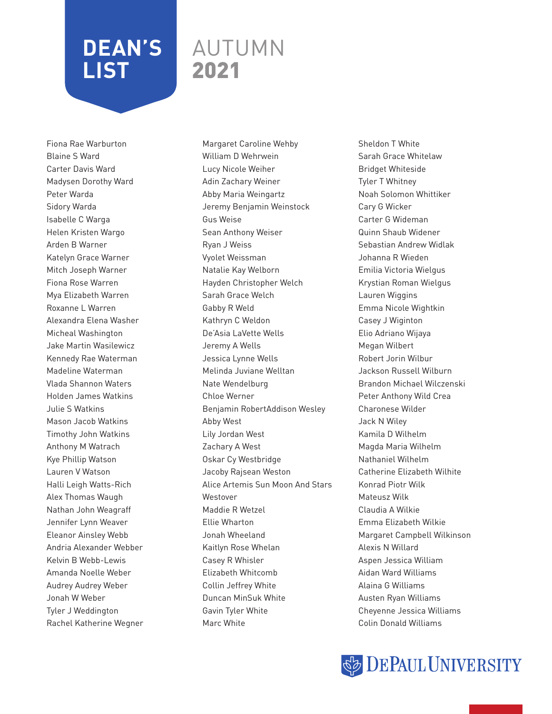### AUTUMN 2021

Fiona Rae Warburton Blaine S Ward Carter Davis Ward Madysen Dorothy Ward Peter Warda Sidory Warda Isabelle C Warga Helen Kristen Wargo Arden B Warner Katelyn Grace Warner Mitch Joseph Warner Fiona Rose Warren Mya Elizabeth Warren Roxanne L Warren Alexandra Elena Washer Micheal Washington Jake Martin Wasilewicz Kennedy Rae Waterman Madeline Waterman Vlada Shannon Waters Holden James Watkins Julie S Watkins Mason Jacob Watkins Timothy John Watkins Anthony M Watrach Kye Phillip Watson Lauren V Watson Halli Leigh Watts-Rich Alex Thomas Waugh Nathan John Weagraff Jennifer Lynn Weaver Eleanor Ainsley Webb Andria Alexander Webber Kelvin B Webb-Lewis Amanda Noelle Weber Audrey Audrey Weber Jonah W Weber Tyler J Weddington Rachel Katherine Wegner

Margaret Caroline Wehby William D Wehrwein Lucy Nicole Weiher Adin Zachary Weiner Abby Maria Weingartz Jeremy Benjamin Weinstock Gus Weise Sean Anthony Weiser Ryan J Weiss Vyolet Weissman Natalie Kay Welborn Hayden Christopher Welch Sarah Grace Welch Gabby R Weld Kathryn C Weldon De'Asia LaVette Wells Jeremy A Wells Jessica Lynne Wells Melinda Juviane Welltan Nate Wendelburg Chloe Werner Benjamin RobertAddison Wesley Abby West Lily Jordan West Zachary A West Oskar Cy Westbridge Jacoby Rajsean Weston Alice Artemis Sun Moon And Stars Westover Maddie R Wetzel Ellie Wharton Jonah Wheeland Kaitlyn Rose Whelan Casey R Whisler Elizabeth Whitcomb Collin Jeffrey White Duncan MinSuk White Gavin Tyler White Marc White

Sheldon T White Sarah Grace Whitelaw Bridget Whiteside Tyler T Whitney Noah Solomon Whittiker Cary G Wicker Carter G Wideman Quinn Shaub Widener Sebastian Andrew Widlak Johanna R Wieden Emilia Victoria Wielgus Krystian Roman Wielgus Lauren Wiggins Emma Nicole Wightkin Casey J Wiginton Elio Adriano Wijaya Megan Wilbert Robert Jorin Wilbur Jackson Russell Wilburn Brandon Michael Wilczenski Peter Anthony Wild Crea Charonese Wilder Jack N Wiley Kamila D Wilhelm Magda Maria Wilhelm Nathaniel Wilhelm Catherine Elizabeth Wilhite Konrad Piotr Wilk Mateusz Wilk Claudia A Wilkie Emma Elizabeth Wilkie Margaret Campbell Wilkinson Alexis N Willard Aspen Jessica William Aidan Ward Williams Alaina G Williams Austen Ryan Williams Cheyenne Jessica Williams Colin Donald Williams

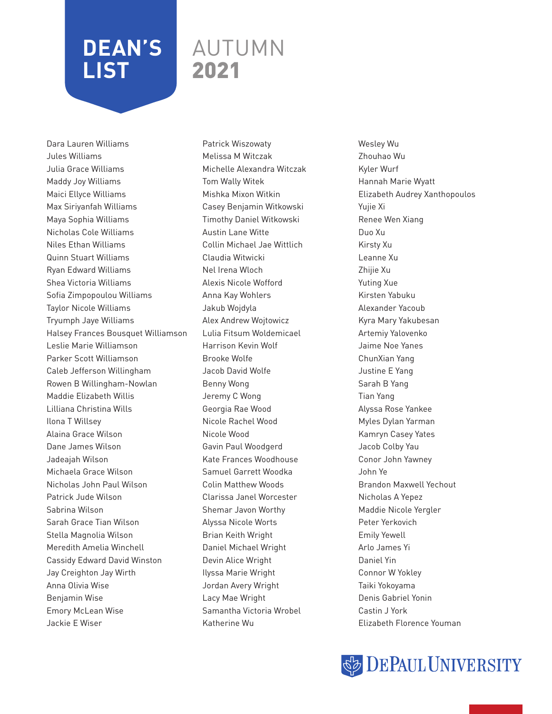#### AUTUMN 2021

Dara Lauren Williams Jules Williams Julia Grace Williams Maddy Joy Williams Maici Ellyce Williams Max Siriyanfah Williams Maya Sophia Williams Nicholas Cole Williams Niles Ethan Williams Quinn Stuart Williams Ryan Edward Williams Shea Victoria Williams Sofia Zimpopoulou Williams Taylor Nicole Williams Tryumph Jaye Williams Halsey Frances Bousquet Williamson Leslie Marie Williamson Parker Scott Williamson Caleb Jefferson Willingham Rowen B Willingham-Nowlan Maddie Elizabeth Willis Lilliana Christina Wills Ilona T Willsey Alaina Grace Wilson Dane James Wilson Jadeajah Wilson Michaela Grace Wilson Nicholas John Paul Wilson Patrick Jude Wilson Sabrina Wilson Sarah Grace Tian Wilson Stella Magnolia Wilson Meredith Amelia Winchell Cassidy Edward David Winston Jay Creighton Jay Wirth Anna Olivia Wise Benjamin Wise Emory McLean Wise Jackie E Wiser

Patrick Wiszowaty Melissa M Witczak Michelle Alexandra Witczak Tom Wally Witek Mishka Mixon Witkin Casey Benjamin Witkowski Timothy Daniel Witkowski Austin Lane Witte Collin Michael Jae Wittlich Claudia Witwicki Nel Irena Wloch Alexis Nicole Wofford Anna Kay Wohlers Jakub Wojdyla Alex Andrew Wojtowicz Lulia Fitsum Woldemicael Harrison Kevin Wolf Brooke Wolfe Jacob David Wolfe Benny Wong Jeremy C Wong Georgia Rae Wood Nicole Rachel Wood Nicole Wood Gavin Paul Woodgerd Kate Frances Woodhouse Samuel Garrett Woodka Colin Matthew Woods Clarissa Janel Worcester Shemar Javon Worthy Alyssa Nicole Worts Brian Keith Wright Daniel Michael Wright Devin Alice Wright Ilyssa Marie Wright Jordan Avery Wright Lacy Mae Wright Samantha Victoria Wrobel Katherine Wu

Wesley Wu Zhouhao Wu Kyler Wurf Hannah Marie Wyatt Elizabeth Audrey Xanthopoulos Yujie Xi Renee Wen Xiang Duo Xu Kirsty Xu Leanne Xu Zhijie Xu Yuting Xue Kirsten Yabuku Alexander Yacoub Kyra Mary Yakubesan Artemiy Yalovenko Jaime Noe Yanes ChunXian Yang Justine E Yang Sarah B Yang Tian Yang Alyssa Rose Yankee Myles Dylan Yarman Kamryn Casey Yates Jacob Colby Yau Conor John Yawney John Ye Brandon Maxwell Yechout Nicholas A Yepez Maddie Nicole Yergler Peter Yerkovich Emily Yewell Arlo James Yi Daniel Yin Connor W Yokley Taiki Yokoyama Denis Gabriel Yonin Castin J York Elizabeth Florence Youman

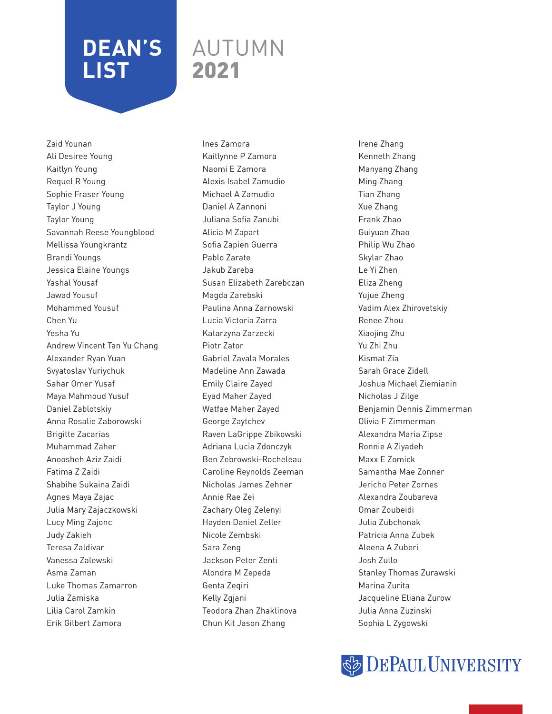### AUTUMN 2021

Zaid Younan Ali Desiree Young Kaitlyn Young Requel R Young Sophie Fraser Young Taylor J Young Taylor Young Savannah Reese Youngblood Mellissa Youngkrantz Brandi Youngs Jessica Elaine Youngs Yashal Yousaf Jawad Yousuf Mohammed Yousuf Chen Yu Yesha Yu Andrew Vincent Tan Yu Chang Alexander Ryan Yuan Svyatoslav Yuriychuk Sahar Omer Yusaf Maya Mahmoud Yusuf Daniel Zablotskiy Anna Rosalie Zaborowski Brigitte Zacarias Muhammad Zaher Anoosheh Aziz Zaidi Fatima Z Zaidi Shabihe Sukaina Zaidi Agnes Maya Zajac Julia Mary Zajaczkowski Lucy Ming Zajonc Judy Zakieh Teresa Zaldivar Vanessa Zalewski Asma Zaman Luke Thomas Zamarron Julia Zamiska Lilia Carol Zamkin Erik Gilbert Zamora

Ines Zamora Kaitlynne P Zamora Naomi E Zamora Alexis Isabel Zamudio Michael A Zamudio Daniel A Zannoni Juliana Sofia Zanubi Alicia M Zapart Sofia Zapien Guerra Pablo Zarate Jakub Zareba Susan Elizabeth Zarebczan Magda Zarebski Paulina Anna Zarnowski Lucia Victoria Zarra Katarzyna Zarzecki Piotr Zator Gabriel Zavala Morales Madeline Ann Zawada Emily Claire Zayed Eyad Maher Zayed Watfae Maher Zayed George Zaytchev Raven LaGrippe Zbikowski Adriana Lucia Zdonczyk Ben Zebrowski-Rocheleau Caroline Reynolds Zeeman Nicholas James Zehner Annie Rae Zei Zachary Oleg Zelenyi Hayden Daniel Zeller Nicole Zembski Sara Zeng Jackson Peter Zenti Alondra M Zepeda Genta Zeqiri Kelly Zgjani Teodora Zhan Zhaklinova Chun Kit Jason Zhang

Irene Zhang Kenneth Zhang Manyang Zhang Ming Zhang Tian Zhang Xue Zhang Frank Zhao Guiyuan Zhao Philip Wu Zhao Skylar Zhao Le Yi Zhen Eliza Zheng Yujue Zheng Vadim Alex Zhirovetskiy Renee Zhou Xiaojing Zhu Yu Zhi Zhu Kismat Zia Sarah Grace Zidell Joshua Michael Ziemianin Nicholas J Zilge Benjamin Dennis Zimmerman Olivia F Zimmerman Alexandra Maria Zipse Ronnie A Ziyadeh Maxx E Zomick Samantha Mae Zonner Jericho Peter Zornes Alexandra Zoubareva Omar Zoubeidi Julia Zubchonak Patricia Anna Zubek Aleena A Zuberi Josh Zullo Stanley Thomas Zurawski Marina Zurita Jacqueline Eliana Zurow Julia Anna Zuzinski Sophia L Zygowski